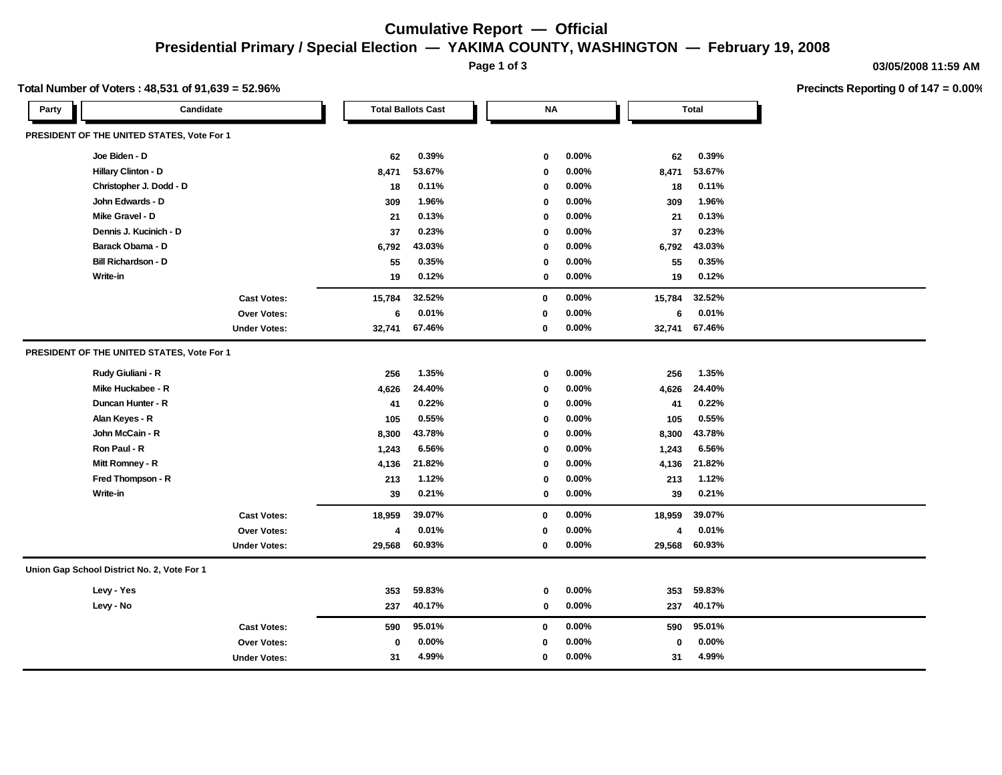## **Cumulative Report — Official Presidential Primary / Special Election — YAKIMA COUNTY, WASHINGTON — February 19, 2008**

**Page 1 of 3**

**03/05/2008 11:59 AM**

**Precincts Reporting 0 of 147 = 0.00%**

#### **Total Number of Voters : 48,531 of 91,639 = 52.96%**

| Party | Candidate                                   |                     | <b>Total Ballots Cast</b> |        |  | <b>NA</b>    |          | <b>Total</b> |                         |        |  |
|-------|---------------------------------------------|---------------------|---------------------------|--------|--|--------------|----------|--------------|-------------------------|--------|--|
|       | PRESIDENT OF THE UNITED STATES, Vote For 1  |                     |                           |        |  |              |          |              |                         |        |  |
|       | Joe Biden - D                               |                     | 62                        | 0.39%  |  | 0            | $0.00\%$ |              | 62                      | 0.39%  |  |
|       | Hillary Clinton - D                         |                     | 8,471                     | 53.67% |  | $\mathbf 0$  | 0.00%    | 8,471        |                         | 53.67% |  |
|       | Christopher J. Dodd - D                     |                     | 18                        | 0.11%  |  | $\mathbf 0$  | 0.00%    |              | 18                      | 0.11%  |  |
|       | John Edwards - D                            |                     | 309                       | 1.96%  |  | $\mathbf 0$  | $0.00\%$ |              | 309                     | 1.96%  |  |
|       | Mike Gravel - D                             |                     | 21                        | 0.13%  |  | $\mathbf{0}$ | $0.00\%$ |              | 21                      | 0.13%  |  |
|       | Dennis J. Kucinich - D                      |                     | 37                        | 0.23%  |  | $\mathbf 0$  | $0.00\%$ |              | 37                      | 0.23%  |  |
|       | Barack Obama - D                            |                     | 6,792                     | 43.03% |  | 0            | $0.00\%$ | 6,792        |                         | 43.03% |  |
|       | <b>Bill Richardson - D</b>                  |                     | 55                        | 0.35%  |  | $\mathbf{0}$ | $0.00\%$ |              | 55                      | 0.35%  |  |
|       | Write-in                                    |                     | 19                        | 0.12%  |  | 0            | $0.00\%$ |              | 19                      | 0.12%  |  |
|       |                                             | <b>Cast Votes:</b>  | 15,784                    | 32.52% |  | $\bf{0}$     | $0.00\%$ | 15,784       |                         | 32.52% |  |
|       |                                             | <b>Over Votes:</b>  | 6                         | 0.01%  |  | $\mathbf{0}$ | 0.00%    |              | 6                       | 0.01%  |  |
|       |                                             | <b>Under Votes:</b> | 32,741                    | 67.46% |  | 0            | $0.00\%$ | 32,741       |                         | 67.46% |  |
|       | PRESIDENT OF THE UNITED STATES, Vote For 1  |                     |                           |        |  |              |          |              |                         |        |  |
|       | Rudy Giuliani - R                           |                     | 256                       | 1.35%  |  | $\mathbf 0$  | $0.00\%$ |              | 256                     | 1.35%  |  |
|       | Mike Huckabee - R                           |                     | 4,626                     | 24.40% |  | $\mathbf 0$  | $0.00\%$ | 4,626        |                         | 24.40% |  |
|       | Duncan Hunter - R                           |                     | 41                        | 0.22%  |  | $\mathbf 0$  | $0.00\%$ |              | 41                      | 0.22%  |  |
|       | Alan Keyes - R                              |                     | 105                       | 0.55%  |  | 0            | $0.00\%$ |              | 105                     | 0.55%  |  |
|       | John McCain - R                             |                     | 8,300                     | 43.78% |  | $\mathbf{0}$ | $0.00\%$ | 8,300        |                         | 43.78% |  |
|       | Ron Paul - R                                |                     | 1,243                     | 6.56%  |  | 0            | $0.00\%$ | 1,243        |                         | 6.56%  |  |
|       | Mitt Romney - R                             |                     | 4,136                     | 21.82% |  | 0            | $0.00\%$ | 4,136        |                         | 21.82% |  |
|       | Fred Thompson - R                           |                     | 213                       | 1.12%  |  | 0            | $0.00\%$ |              | 213                     | 1.12%  |  |
|       | Write-in                                    |                     | 39                        | 0.21%  |  | 0            | $0.00\%$ |              | 39                      | 0.21%  |  |
|       |                                             | <b>Cast Votes:</b>  | 18,959                    | 39.07% |  | $\mathbf 0$  | $0.00\%$ | 18,959       |                         | 39.07% |  |
|       |                                             | <b>Over Votes:</b>  | 4                         | 0.01%  |  | $\mathbf 0$  | $0.00\%$ |              | $\overline{\mathbf{A}}$ | 0.01%  |  |
|       |                                             | <b>Under Votes:</b> | 29,568                    | 60.93% |  | $\mathbf 0$  | $0.00\%$ | 29,568       |                         | 60.93% |  |
|       | Union Gap School District No. 2, Vote For 1 |                     |                           |        |  |              |          |              |                         |        |  |
|       | Levy - Yes                                  |                     | 353                       | 59.83% |  | 0            | $0.00\%$ |              | 353                     | 59.83% |  |
|       | Levy - No                                   |                     | 237                       | 40.17% |  | 0            | $0.00\%$ |              | 237                     | 40.17% |  |
|       |                                             | <b>Cast Votes:</b>  | 590                       | 95.01% |  | $\bf{0}$     | $0.00\%$ |              | 590                     | 95.01% |  |
|       |                                             | Over Votes:         | 0                         | 0.00%  |  | $\mathbf 0$  | $0.00\%$ |              | $\mathbf 0$             | 0.00%  |  |
|       |                                             | <b>Under Votes:</b> | 31                        | 4.99%  |  | $\mathbf{0}$ | $0.00\%$ |              | 31                      | 4.99%  |  |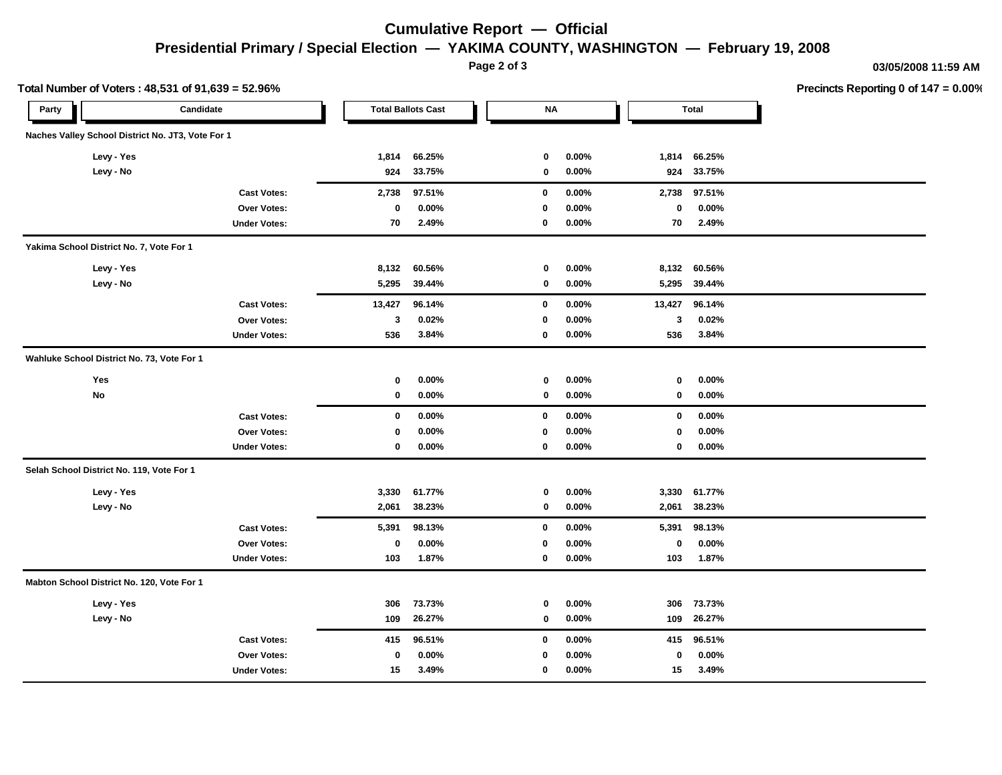## **Cumulative Report — Official Presidential Primary / Special Election — YAKIMA COUNTY, WASHINGTON — February 19, 2008**

**Page 2 of 3**

**03/05/2008 11:59 AM**

|       | Total Number of Voters: 48,531 of 91,639 = 52.96% |                     |             |                           |             |          |        |              | Precincts Reporting 0 of 147 = 0.00% |
|-------|---------------------------------------------------|---------------------|-------------|---------------------------|-------------|----------|--------|--------------|--------------------------------------|
| Party |                                                   | Candidate           |             | <b>Total Ballots Cast</b> | <b>NA</b>   |          |        | <b>Total</b> |                                      |
|       | Naches Valley School District No. JT3, Vote For 1 |                     |             |                           |             |          |        |              |                                      |
|       | Levy - Yes                                        |                     | 1,814       | 66.25%                    | 0           | $0.00\%$ |        | 1,814 66.25% |                                      |
|       | Levy - No                                         |                     | 924         | 33.75%                    | $\mathbf 0$ | $0.00\%$ | 924    | 33.75%       |                                      |
|       |                                                   | <b>Cast Votes:</b>  | 2,738       | 97.51%                    | 0           | $0.00\%$ | 2,738  | 97.51%       |                                      |
|       |                                                   | <b>Over Votes:</b>  | 0           | $0.00\%$                  | 0           | $0.00\%$ | 0      | $0.00\%$     |                                      |
|       |                                                   | <b>Under Votes:</b> | 70          | 2.49%                     | 0           | $0.00\%$ | 70     | 2.49%        |                                      |
|       | Yakima School District No. 7, Vote For 1          |                     |             |                           |             |          |        |              |                                      |
|       | Levy - Yes                                        |                     | 8,132       | 60.56%                    | $\mathbf 0$ | $0.00\%$ |        | 8,132 60.56% |                                      |
|       | Levy - No                                         |                     | 5,295       | 39.44%                    | 0           | $0.00\%$ |        | 5,295 39.44% |                                      |
|       |                                                   | <b>Cast Votes:</b>  | 13,427      | 96.14%                    | 0           | $0.00\%$ | 13,427 | 96.14%       |                                      |
|       |                                                   | Over Votes:         | 3           | 0.02%                     | $\mathbf 0$ | $0.00\%$ | 3      | 0.02%        |                                      |
|       |                                                   | <b>Under Votes:</b> | 536         | 3.84%                     | $\mathbf 0$ | $0.00\%$ | 536    | 3.84%        |                                      |
|       | Wahluke School District No. 73, Vote For 1        |                     |             |                           |             |          |        |              |                                      |
|       | Yes                                               |                     | 0           | $0.00\%$                  | 0           | $0.00\%$ | 0      | $0.00\%$     |                                      |
|       | No                                                |                     | 0           | $0.00\%$                  | 0           | $0.00\%$ | 0      | $0.00\%$     |                                      |
|       |                                                   | <b>Cast Votes:</b>  | 0           | 0.00%                     | 0           | $0.00\%$ | 0      | $0.00\%$     |                                      |
|       |                                                   | Over Votes:         | $\mathbf 0$ | $0.00\%$                  | $\mathbf 0$ | 0.00%    | 0      | $0.00\%$     |                                      |
|       |                                                   | <b>Under Votes:</b> | 0           | $0.00\%$                  | 0           | $0.00\%$ | 0      | $0.00\%$     |                                      |
|       | Selah School District No. 119, Vote For 1         |                     |             |                           |             |          |        |              |                                      |
|       | Levy - Yes                                        |                     | 3,330       | 61.77%                    | 0           | $0.00\%$ | 3,330  | 61.77%       |                                      |
|       | Levy - No                                         |                     | 2,061       | 38.23%                    | 0           | $0.00\%$ | 2,061  | 38.23%       |                                      |
|       |                                                   | <b>Cast Votes:</b>  | 5,391       | 98.13%                    | $\mathbf 0$ | $0.00\%$ | 5,391  | 98.13%       |                                      |
|       |                                                   | Over Votes:         | 0           | $0.00\%$                  | 0           | $0.00\%$ | 0      | $0.00\%$     |                                      |
|       |                                                   | <b>Under Votes:</b> | 103         | 1.87%                     | 0           | $0.00\%$ | 103    | 1.87%        |                                      |
|       | Mabton School District No. 120, Vote For 1        |                     |             |                           |             |          |        |              |                                      |
|       | Levy - Yes                                        |                     | 306         | 73.73%                    | 0           | $0.00\%$ | 306    | 73.73%       |                                      |
|       | Levy - No                                         |                     | 109         | 26.27%                    | 0           | $0.00\%$ | 109    | 26.27%       |                                      |
|       |                                                   | <b>Cast Votes:</b>  | 415         | 96.51%                    | 0           | $0.00\%$ |        | 415 96.51%   |                                      |
|       |                                                   | Over Votes:         | $\bf{0}$    | $0.00\%$                  | $\mathbf 0$ | $0.00\%$ | 0      | $0.00\%$     |                                      |
|       |                                                   | <b>Under Votes:</b> | 15          | 3.49%                     | 0           | $0.00\%$ | 15     | 3.49%        |                                      |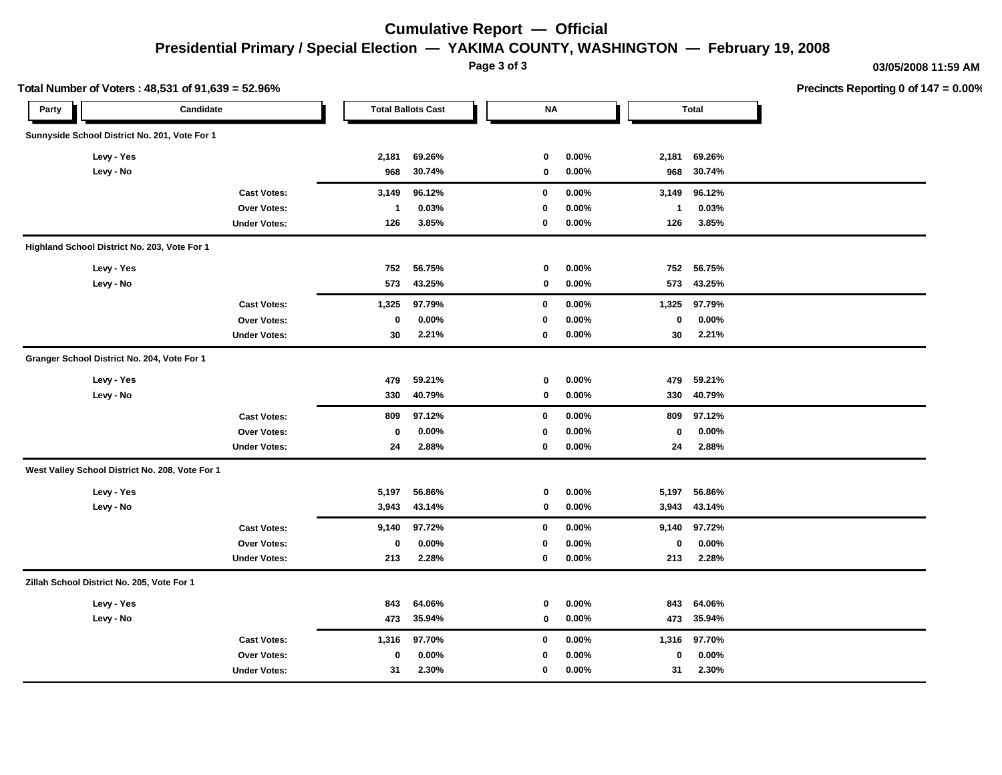## **Cumulative Report — Official Presidential Primary / Special Election — YAKIMA COUNTY, WASHINGTON — February 19, 2008**

**Page 3 of 3**

**03/05/2008 11:59 AM**

|       | Total Number of Voters: 48,531 of 91,639 = 52.96% |                     |              |                           |             |          |             |              | Precincts Reporting 0 of 147 = 0.00% |
|-------|---------------------------------------------------|---------------------|--------------|---------------------------|-------------|----------|-------------|--------------|--------------------------------------|
| Party |                                                   | Candidate           |              | <b>Total Ballots Cast</b> | $\sf NA$    |          |             | <b>Total</b> |                                      |
|       | Sunnyside School District No. 201, Vote For 1     |                     |              |                           |             |          |             |              |                                      |
|       | Levy - Yes                                        |                     | 2,181        | 69.26%                    | $\mathbf 0$ | 0.00%    | 2,181       | 69.26%       |                                      |
|       | Levy - No                                         |                     | 968          | 30.74%                    | 0           | $0.00\%$ | 968         | 30.74%       |                                      |
|       |                                                   | <b>Cast Votes:</b>  | 3,149        | 96.12%                    | $\mathbf 0$ | $0.00\%$ | 3,149       | 96.12%       |                                      |
|       |                                                   | <b>Over Votes:</b>  | $\mathbf{1}$ | 0.03%                     | 0           | $0.00\%$ | $\mathbf 1$ | 0.03%        |                                      |
|       |                                                   | <b>Under Votes:</b> | 126          | 3.85%                     | 0           | $0.00\%$ | 126         | 3.85%        |                                      |
|       | Highland School District No. 203, Vote For 1      |                     |              |                           |             |          |             |              |                                      |
|       | Levy - Yes                                        |                     | 752          | 56.75%                    | $\mathbf 0$ | $0.00\%$ | 752         | 56.75%       |                                      |
|       | Levy - No                                         |                     | 573          | 43.25%                    | $\mathbf 0$ | $0.00\%$ | 573         | 43.25%       |                                      |
|       |                                                   | <b>Cast Votes:</b>  | 1,325        | 97.79%                    | 0           | 0.00%    | 1,325       | 97.79%       |                                      |
|       |                                                   | Over Votes:         | $\mathbf 0$  | 0.00%                     | $\mathbf 0$ | $0.00\%$ | 0           | $0.00\%$     |                                      |
|       |                                                   | <b>Under Votes:</b> | 30           | 2.21%                     | 0           | $0.00\%$ | 30          | 2.21%        |                                      |
|       | Granger School District No. 204, Vote For 1       |                     |              |                           |             |          |             |              |                                      |
|       | Levy - Yes                                        |                     | 479          | 59.21%                    | $\mathbf 0$ | $0.00\%$ | 479         | 59.21%       |                                      |
|       | Levy - No                                         |                     | 330          | 40.79%                    | 0           | $0.00\%$ | 330         | 40.79%       |                                      |
|       |                                                   | <b>Cast Votes:</b>  | 809          | 97.12%                    | 0           | $0.00\%$ | 809         | 97.12%       |                                      |
|       |                                                   | Over Votes:         | 0            | $0.00\%$                  | $\mathbf 0$ | $0.00\%$ | 0           | $0.00\%$     |                                      |
|       |                                                   | <b>Under Votes:</b> | 24           | 2.88%                     | $\mathbf 0$ | $0.00\%$ | 24          | 2.88%        |                                      |
|       | West Valley School District No. 208, Vote For 1   |                     |              |                           |             |          |             |              |                                      |
|       | Levy - Yes                                        |                     | 5,197        | 56.86%                    | 0           | $0.00\%$ | 5,197       | 56.86%       |                                      |
|       | Levy - No                                         |                     | 3,943        | 43.14%                    | 0           | 0.00%    |             | 3,943 43.14% |                                      |
|       |                                                   | <b>Cast Votes:</b>  | 9,140        | 97.72%                    | 0           | 0.00%    | 9,140       | 97.72%       |                                      |
|       |                                                   | Over Votes:         | 0            | $0.00\%$                  | 0           | $0.00\%$ | 0           | $0.00\%$     |                                      |
|       |                                                   | <b>Under Votes:</b> | 213          | 2.28%                     | $\mathbf 0$ | $0.00\%$ | 213         | 2.28%        |                                      |
|       | Zillah School District No. 205, Vote For 1        |                     |              |                           |             |          |             |              |                                      |
|       | Levy - Yes                                        |                     | 843          | 64.06%                    | 0           | $0.00\%$ | 843         | 64.06%       |                                      |
|       | Levy - No                                         |                     | 473          | 35.94%                    | 0           | $0.00\%$ |             | 473 35.94%   |                                      |
|       |                                                   | <b>Cast Votes:</b>  | 1,316        | 97.70%                    | $\mathbf 0$ | $0.00\%$ | 1,316       | 97.70%       |                                      |
|       |                                                   | Over Votes:         | $\mathbf 0$  | $0.00\%$                  | 0           | $0.00\%$ | 0           | $0.00\%$     |                                      |
|       |                                                   | <b>Under Votes:</b> | 31           | 2.30%                     | 0           | $0.00\%$ | 31          | 2.30%        |                                      |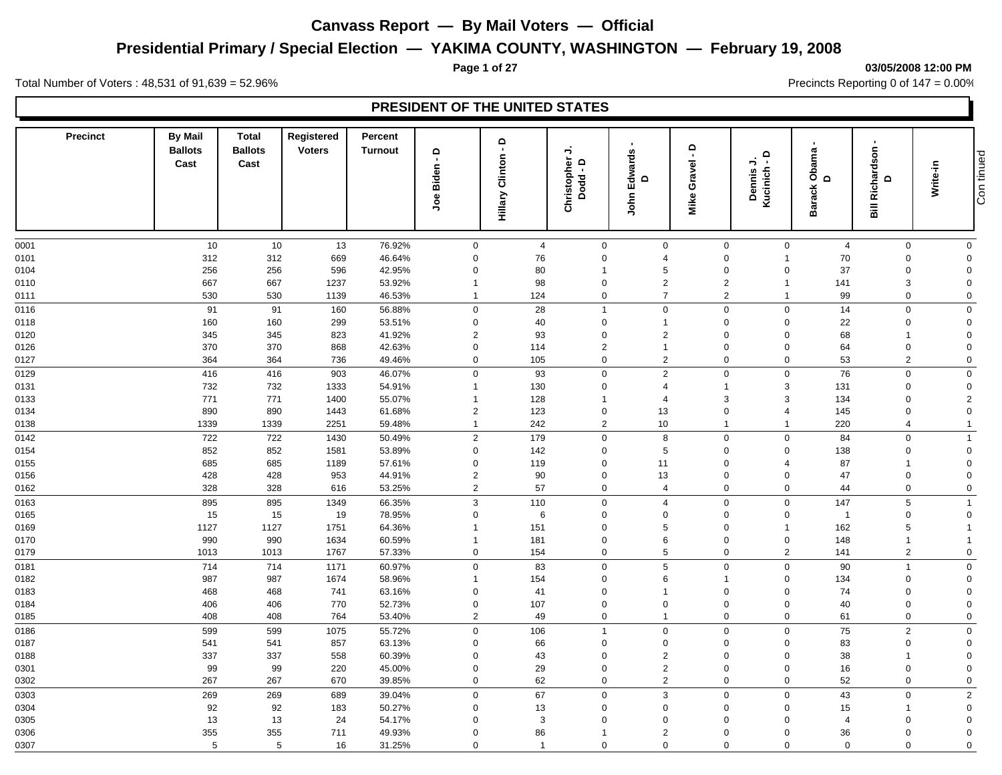# **Presidential Primary / Special Election — YAKIMA COUNTY, WASHINGTON — February 19, 2008**

#### **Page 1 of 27 03/05/2008 12:00 PM**

Total Number of Voters : 48,531 of 91,639 = 52.96% Precincts Reporting 0 of 147 = 0.00%

| <b>Precinct</b> | <b>By Mail</b><br><b>Ballots</b><br>Cast | <b>Total</b><br><b>Ballots</b><br>Cast | Registered<br><b>Voters</b> | Percent<br><b>Turnout</b> | $\mathsf{d}$<br>$\blacksquare$<br>Biden<br>ತಿಂ | $\mathbf \Omega$<br>$\mathbf{u}$<br>Clinton<br>Hillary | →<br>Christopher<br>Dodd - D  | $\mathbf{I}$<br>John Edwards<br>$\mathbf \Omega$ | $\Omega$<br>$\blacksquare$<br>Gravel<br>Mike | $\Omega$<br>ぅ<br>$\mathbf{r}$<br>Kucinich<br><b>Dennis</b> | Obama<br>$\Omega$<br><b>Barack</b> | п.<br>Richardson<br>$\Omega$  | Write-in                   | Con tinued |
|-----------------|------------------------------------------|----------------------------------------|-----------------------------|---------------------------|------------------------------------------------|--------------------------------------------------------|-------------------------------|--------------------------------------------------|----------------------------------------------|------------------------------------------------------------|------------------------------------|-------------------------------|----------------------------|------------|
|                 |                                          |                                        |                             |                           |                                                |                                                        |                               |                                                  |                                              |                                                            |                                    |                               |                            |            |
| 0001            | 10<br>312                                | 10<br>312                              | 13<br>669                   | 76.92%<br>46.64%          | $\mathsf{O}\xspace$<br>$\mathbf 0$             | $\overline{4}$<br>76                                   | $\mathbf 0$<br>$\mathbf 0$    | $\mathbf 0$<br>$\overline{4}$                    | $\mathbf 0$<br>$\mathbf 0$                   | $\mathbf 0$<br>$\overline{1}$                              | $\overline{4}$<br>70               | $\mathbf 0$<br>$\mathbf 0$    | $\mathbf 0$<br>$\Omega$    |            |
| 0101<br>0104    | 256                                      | 256                                    | 596                         | 42.95%                    | $\mathbf 0$                                    | 80                                                     | $\overline{1}$                | 5                                                | $\mathbf 0$                                  | $\mathbf 0$                                                | 37                                 | $\mathbf 0$                   | $\mathbf 0$                |            |
| 0110            | 667                                      | 667                                    | 1237                        | 53.92%                    | $\mathbf{1}$                                   | 98                                                     | $\mathbf 0$                   | $\overline{2}$                                   | $\overline{2}$                               | $\overline{1}$                                             | 141                                | 3                             | $\mathbf 0$                |            |
| 0111            | 530                                      | 530                                    | 1139                        | 46.53%                    | $\mathbf{1}$                                   | 124                                                    | $\mathbf 0$                   | $\overline{7}$                                   | $\overline{2}$                               | $\overline{1}$                                             | 99                                 | $\mathbf 0$                   | $\mathbf 0$                |            |
|                 |                                          |                                        |                             |                           |                                                |                                                        |                               |                                                  |                                              |                                                            |                                    |                               |                            |            |
| 0116            | 91                                       | 91                                     | 160                         | 56.88%                    | $\mathbf 0$                                    | 28                                                     | $\mathbf{1}$                  | $\mathbf 0$                                      | $\mathbf 0$                                  | $\mathbf 0$                                                | 14                                 | $\mathbf 0$                   | $\mathbf 0$                |            |
| 0118            | 160                                      | 160                                    | 299                         | 53.51%                    | $\mathbf 0$                                    | 40                                                     | $\mathbf 0$                   | $\mathbf{1}$                                     | $\mathbf 0$                                  | $\mathbf 0$                                                | 22                                 | $\mathbf 0$                   | $\Omega$                   |            |
| 0120            | 345                                      | 345                                    | 823                         | 41.92%                    | $\overline{2}$                                 | 93                                                     | $\mathbf 0$                   | $\overline{2}$<br>$\mathbf{1}$                   | $\mathbf 0$                                  | $\mathbf 0$                                                | 68                                 | $\overline{1}$                | $\mathbf 0$<br>$\Omega$    |            |
| 0126            | 370<br>364                               | 370<br>364                             | 868<br>736                  | 42.63%                    | $\mathsf{O}\xspace$<br>$\mathsf 0$             | 114<br>105                                             | $\overline{2}$<br>$\mathbf 0$ | $\overline{a}$                                   | $\mathbf 0$<br>$\mathbf 0$                   | $\Omega$<br>$\mathbf 0$                                    | 64<br>53                           | $\mathbf 0$<br>$\overline{2}$ | $\Omega$                   |            |
| 0127            |                                          |                                        |                             | 49.46%                    |                                                |                                                        |                               |                                                  |                                              |                                                            |                                    |                               |                            |            |
| 0129            | 416                                      | 416                                    | 903                         | 46.07%                    | $\mathbf 0$                                    | 93                                                     | $\mathbf 0$                   | $\overline{a}$                                   | $\mathbf 0$                                  | $\mathbf 0$                                                | 76                                 | $\mathbf 0$                   | $\mathbf 0$                |            |
| 0131            | 732                                      | 732                                    | 1333                        | 54.91%                    | $\mathbf{1}$                                   | 130                                                    | $\mathbf 0$                   | $\overline{4}$                                   | $\overline{1}$                               | 3                                                          | 131                                | $\mathbf 0$                   | $\mathbf 0$                |            |
| 0133            | 771                                      | 771                                    | 1400                        | 55.07%                    | $\mathbf{1}$                                   | 128                                                    | -1<br>$\mathbf 0$             | $\overline{4}$                                   | $\mathbf{3}$                                 | 3<br>$\overline{4}$                                        | 134                                | $\mathbf 0$<br>$\mathbf 0$    | $\overline{2}$<br>$\Omega$ |            |
| 0134            | 890<br>1339                              | 890<br>1339                            | 1443<br>2251                | 61.68%<br>59.48%          | $\overline{2}$<br>$\mathbf{1}$                 | 123<br>242                                             | 2                             | 13<br>10                                         | $\mathbf 0$<br>$\overline{1}$                | $\overline{1}$                                             | 145<br>220                         | $\overline{4}$                | $\overline{1}$             |            |
| 0138            |                                          |                                        |                             |                           |                                                |                                                        |                               |                                                  |                                              |                                                            |                                    |                               |                            |            |
| 0142            | 722                                      | 722                                    | 1430                        | 50.49%                    | 2                                              | 179                                                    | $\mathbf 0$                   | 8                                                | $\mathbf 0$                                  | $\mathbf 0$                                                | 84                                 | $\mathbf 0$                   | $\overline{1}$             |            |
| 0154            | 852                                      | 852                                    | 1581                        | 53.89%                    | $\mathbf 0$                                    | 142                                                    | 0                             | 5                                                | $\mathbf 0$                                  | $\mathbf 0$                                                | 138                                | $\mathbf 0$                   | $\mathbf 0$                |            |
| 0155            | 685                                      | 685                                    | 1189                        | 57.61%                    | $\mathbf 0$                                    | 119                                                    | $\Omega$                      | 11                                               | $\mathbf 0$                                  | $\overline{4}$                                             | 87                                 | $\overline{1}$                | $\mathbf 0$                |            |
| 0156            | 428                                      | 428                                    | 953                         | 44.91%                    | $\overline{2}$                                 | 90                                                     | 0                             | 13                                               | $\mathbf 0$                                  | $\mathbf 0$                                                | 47                                 | $\mathbf 0$                   | $\mathbf 0$                |            |
| 0162            | 328                                      | 328                                    | 616                         | 53.25%                    | 2                                              | 57                                                     | $\mathbf 0$                   | $\overline{4}$                                   | $\mathbf 0$                                  | $\mathbf 0$                                                | 44                                 | $\mathbf 0$                   | $\overline{0}$             |            |
| 0163            | 895                                      | 895                                    | 1349                        | 66.35%                    | $\mathbf{3}$                                   | 110                                                    | $\mathbf 0$                   | $\overline{4}$                                   | $\mathbf 0$                                  | $\mathbf 0$                                                | 147                                | 5                             | $\mathbf{1}$               |            |
| 0165            | 15                                       | 15                                     | 19                          | 78.95%                    | $\mathsf 0$                                    | $\,6\,$                                                | $\mathbf 0$                   | $\Omega$                                         | $\mathbf 0$                                  | $\Omega$                                                   | $\overline{1}$                     | $\mathbf 0$                   | $\Omega$                   |            |
| 0169            | 1127                                     | 1127                                   | 1751                        | 64.36%                    | $\overline{1}$                                 | 151                                                    | $\Omega$                      | 5                                                | $\mathbf 0$                                  | $\overline{1}$                                             | 162                                | 5                             | -1                         |            |
| 0170            | 990                                      | 990                                    | 1634                        | 60.59%                    | $\mathbf{1}$                                   | 181                                                    | $\Omega$                      | 6                                                | $\mathbf 0$                                  | $\mathbf 0$                                                | 148                                | $\overline{1}$                | $\overline{1}$             |            |
| 0179            | 1013                                     | 1013                                   | 1767                        | 57.33%                    | $\mathbf 0$                                    | 154                                                    | $\mathbf 0$                   | 5                                                | $\mathbf 0$                                  | $\overline{2}$                                             | 141                                | $\overline{2}$                | $\mathbf 0$                |            |
| 0181            | 714                                      | 714                                    | 1171                        | 60.97%                    | $\mathbf 0$                                    | 83                                                     | $\mathbf 0$                   | 5                                                | $\mathbf 0$                                  | $\mathbf 0$                                                | 90                                 | $\overline{1}$                | $\mathbf 0$                |            |
| 0182            | 987                                      | 987                                    | 1674                        | 58.96%                    | $\mathbf{1}$                                   | 154                                                    | $\mathbf 0$                   | 6                                                | $\overline{1}$                               | $\mathbf 0$                                                | 134                                | $\mathbf 0$                   | $\Omega$                   |            |
| 0183            | 468                                      | 468                                    | 741                         | 63.16%                    | $\mathbf 0$                                    | 41                                                     | $\mathbf 0$                   | $\overline{1}$                                   | $\mathbf 0$                                  | $\mathbf 0$                                                | 74                                 | $\mathbf 0$                   | $\mathbf 0$                |            |
| 0184            | 406                                      | 406                                    | 770                         | 52.73%                    | $\mathsf{O}\xspace$                            | 107                                                    | $\mathbf 0$                   | $\mathbf 0$                                      | $\mathbf 0$                                  | $\mathbf 0$                                                | 40                                 | $\mathbf 0$                   | $\mathbf 0$                |            |
| 0185            | 408                                      | 408                                    | 764                         | 53.40%                    | 2                                              | 49                                                     | $\mathbf 0$                   | $\mathbf{1}$                                     | $\mathbf 0$                                  | $\mathbf 0$                                                | 61                                 | $\mathbf 0$                   | $\mathbf 0$                |            |
| 0186            | 599                                      | 599                                    | 1075                        | 55.72%                    | $\mathbf 0$                                    | 106                                                    | $\mathbf{1}$                  | $\mathbf 0$                                      | $\mathbf 0$                                  | $\mathbf 0$                                                | 75                                 | $\overline{2}$                | $\Omega$                   |            |
| 0187            | 541                                      | 541                                    | 857                         | 63.13%                    | $\mathbf 0$                                    | 66                                                     | $\mathbf 0$                   | $\boldsymbol{0}$                                 | $\mathbf 0$                                  | $\Omega$                                                   | 83                                 | $\mathbf 0$                   | $\Omega$                   |            |
| 0188            | 337                                      | 337                                    | 558                         | 60.39%                    | $\mathbf 0$                                    | 43                                                     | $\Omega$                      | $\overline{2}$                                   | $\mathbf 0$                                  | $\mathbf 0$                                                | 38                                 | $\overline{1}$                | $\mathbf 0$                |            |
| 0301            | 99                                       | 99                                     | 220                         | 45.00%                    | $\mathbf 0$                                    | 29                                                     | $\mathbf 0$                   | $\overline{a}$                                   | $\mathbf 0$                                  | $\mathbf 0$                                                | 16                                 | $\mathbf 0$                   | $\mathbf 0$                |            |
| 0302            | 267                                      | 267                                    | 670                         | 39.85%                    | $\mathbf 0$                                    | 62                                                     | $\mathbf 0$                   | $\overline{a}$                                   | $\mathbf 0$                                  | $\mathbf 0$                                                | 52                                 | $\mathbf 0$                   | $\mathbf 0$                |            |
| 0303            | 269                                      | 269                                    | 689                         | 39.04%                    | $\mathbf 0$                                    | 67                                                     | $\mathbf 0$                   | 3                                                | $\mathbf 0$                                  | $\mathbf 0$                                                | 43                                 | $\mathbf 0$                   | $\overline{2}$             |            |
| 0304            | 92                                       | 92                                     | 183                         | 50.27%                    | $\mathbf 0$                                    | 13                                                     | $\mathbf 0$                   | $\mathbf 0$                                      | $\mathbf 0$                                  | $\mathbf 0$                                                | 15                                 | $\overline{1}$                | $\mathbf 0$                |            |
| 0305            | 13                                       | 13                                     | 24                          | 54.17%                    | $\mathbf 0$                                    | 3                                                      | $\Omega$                      | $\Omega$                                         | $\Omega$                                     | $\Omega$                                                   | $\overline{4}$                     | $\mathbf 0$                   | $\Omega$                   |            |
| 0306            | 355                                      | 355                                    | 711                         | 49.93%                    | $\mathbf 0$                                    | 86                                                     |                               | $\overline{2}$                                   | $\mathbf 0$                                  | $\mathbf 0$                                                | 36                                 | $\mathbf 0$                   | $\mathbf 0$                |            |
| 0307            | 5                                        | 5                                      | 16                          | 31.25%                    | $\Omega$                                       | $\overline{1}$                                         | $\Omega$                      | $\Omega$                                         | $\Omega$                                     | $\Omega$                                                   | $\mathbf 0$                        | $\mathbf 0$                   | $\Omega$                   |            |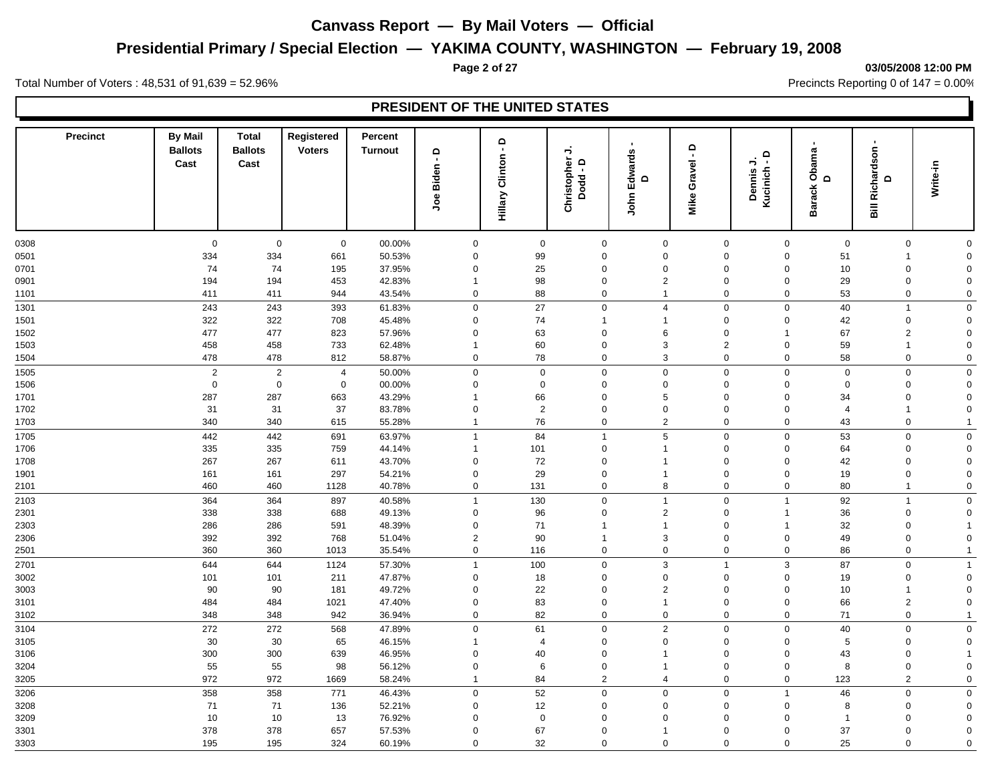# **Presidential Primary / Special Election — YAKIMA COUNTY, WASHINGTON — February 19, 2008**

#### **Page 2 of 27 03/05/2008 12:00 PM**

Total Number of Voters : 48,531 of 91,639 = 52.96% Precincts Reporting 0 of 147 = 0.00%

| <b>Precinct</b> | <b>By Mail</b><br><b>Ballots</b> | <b>Total</b><br><b>Ballots</b> | Registered<br><b>Voters</b> | Percent<br><b>Turnout</b> | $\mathbf \Omega$            | ؋                  | →                                                 |                                    | $\circ$<br>$\blacksquare$ |                                         |                             | ٠                                          |                     |  |
|-----------------|----------------------------------|--------------------------------|-----------------------------|---------------------------|-----------------------------|--------------------|---------------------------------------------------|------------------------------------|---------------------------|-----------------------------------------|-----------------------------|--------------------------------------------|---------------------|--|
|                 | Cast                             | Cast                           |                             |                           | $\blacksquare$<br>Joe Biden | Clinton<br>Hillary | Christopher<br>$\Omega$<br>$\blacksquare$<br>Dodd | <b>Edwards</b><br>$\Omega$<br>John | Gravel<br>Mike            | $\mathsf{P}$<br>⇒<br>Kucinich<br>Dennis | Obama<br>D<br><b>Barack</b> | <b>Bill Richardson</b><br>$\mathbf \Omega$ | Write-in            |  |
|                 |                                  |                                |                             |                           |                             |                    |                                                   |                                    |                           |                                         |                             |                                            |                     |  |
| 0308            | $\mathbf 0$                      | $\mathbf 0$                    | $\mathbf 0$                 | 00.00%                    | $\mathbf 0$                 | $\mathbf 0$        | $\mathsf{O}\xspace$                               | $\mathbf 0$                        | $\mathbf 0$               | $\mathbf 0$                             | $\mathsf{O}\xspace$         | $\mathbf 0$                                | $\mathbf 0$         |  |
| 0501            | 334                              | 334                            | 661                         | 50.53%                    | $\mathbf 0$                 | 99                 | $\mathbf 0$                                       | $\mathbf 0$                        | $\mathbf 0$               | $\mathbf 0$                             | 51                          | $\overline{1}$                             | $\mathbf 0$         |  |
| 0701            | 74                               | 74                             | 195                         | 37.95%                    | $\mathbf 0$                 | 25                 | $\mathbf 0$                                       | $\Omega$                           | $\mathbf 0$               | $\mathbf 0$                             | 10                          | $\mathsf{O}\xspace$                        | $\mathbf 0$         |  |
| 0901            | 194                              | 194                            | 453                         | 42.83%                    | $\mathbf 1$                 | 98                 | $\mathbf 0$                                       | 2                                  | $\mathbf 0$               | $\mathbf 0$                             | 29                          | $\mathbf 0$                                | $\mathbf 0$         |  |
| 1101            | 411                              | 411                            | 944                         | 43.54%                    | $\mathbf 0$                 | 88                 | $\mathsf{O}\xspace$                               | $\mathbf{1}$                       | $\mathbf 0$               | $\mathbf 0$                             | 53                          | $\mathbf 0$                                | $\mathsf{O}\xspace$ |  |
| 1301            | 243                              | 243                            | 393                         | 61.83%                    | $\mathbf 0$                 | 27                 | $\mathbf 0$                                       | $\overline{4}$                     | $\mathbf 0$               | $\mathbf 0$                             | 40                          | $\overline{1}$                             | $\mathsf{O}\xspace$ |  |
| 1501            | 322                              | 322                            | 708                         | 45.48%                    | $\mathbf 0$                 | 74                 | 1                                                 | $\mathbf 1$                        | $\mathbf 0$               | $\Omega$                                | 42                          | $\mathbf 0$                                | $\mathbf 0$         |  |
| 1502            | 477                              | 477                            | 823                         | 57.96%                    | $\mathbf 0$                 | 63                 | $\mathbf 0$                                       | 6                                  | $\mathbf 0$               | 1                                       | 67                          | $\sqrt{2}$                                 | $\mathbf 0$         |  |
| 1503            | 458                              | 458                            | 733                         | 62.48%                    | $\overline{\mathbf{1}}$     | 60                 | $\mathbf 0$                                       | 3                                  | $\overline{2}$            | $\mathbf 0$                             | 59                          | $\overline{1}$                             | $\mathbf 0$         |  |
| 1504            | 478                              | 478                            | 812                         | 58.87%                    | $\mathbf 0$                 | 78                 | 0                                                 | 3                                  | $\mathbf 0$               | $\mathbf 0$                             | 58                          | $\mathbf 0$                                | $\mathbf 0$         |  |
| 1505            | $\overline{c}$                   | $\overline{2}$                 | $\overline{4}$              | 50.00%                    | $\mathbf 0$                 | $\mathbf 0$        | $\mathbf 0$                                       | $\mathbf 0$                        | $\mathbf 0$               | $\mathsf 0$                             | $\boldsymbol{0}$            | $\boldsymbol{0}$                           | $\mathbf 0$         |  |
| 1506            | $\mathbf 0$                      | $\mathsf 0$                    | $\mathbf 0$                 | 00.00%                    | $\mathbf 0$                 | $\mathbf 0$        | $\mathbf 0$                                       | $\mathbf 0$                        | $\mathbf 0$               | $\mathbf 0$                             | $\mathbf 0$                 | $\mathbf 0$                                | $\mathbf 0$         |  |
| 1701            | 287                              | 287                            | 663                         | 43.29%                    | $\mathbf 1$                 | 66                 | $\Omega$                                          | 5                                  | $\mathbf 0$               | $\Omega$                                | 34                          | $\boldsymbol{0}$                           | $\mathbf 0$         |  |
| 1702            | 31                               | 31                             | 37                          | 83.78%                    | $\mathbf 0$                 | 2                  | $\mathbf 0$                                       | $\mathbf 0$                        | $\mathbf 0$               | $\mathbf 0$                             | $\overline{4}$              | $\overline{1}$                             | $\mathbf 0$         |  |
| 1703            | 340                              | 340                            | 615                         | 55.28%                    | $\overline{1}$              | 76                 | $\mathbf 0$                                       | 2                                  | $\mathbf 0$               | $\Omega$                                | 43                          | $\mathbf 0$                                |                     |  |
| 1705            | 442                              | 442                            | 691                         | 63.97%                    | $\mathbf{1}$                | 84                 | $\overline{1}$                                    | 5                                  | $\mathbf 0$               | $\mathbf 0$                             | 53                          | $\mathsf 0$                                | $\mathbf 0$         |  |
| 1706            | 335                              | 335                            | 759                         | 44.14%                    | $\overline{1}$              | 101                | $\mathbf 0$                                       | $\mathbf{1}$                       | $\mathbf 0$               | $\overline{0}$                          | 64                          | $\mathsf{O}\xspace$                        | $\mathbf 0$         |  |
| 1708            | 267                              | 267                            | 611                         | 43.70%                    | $\mathbf 0$                 | 72                 | $\mathbf 0$                                       | $\overline{1}$                     | $\mathbf 0$               | $\mathbf 0$                             | 42                          | $\mathbf 0$                                | $\mathbf 0$         |  |
| 1901            | 161                              | 161                            | 297                         | 54.21%                    | $\mathbf 0$                 | 29                 | $\mathbf 0$                                       | $\overline{1}$                     | $\mathsf 0$               | $\mathbf 0$                             | 19                          | $\mathsf{O}\xspace$                        | $\mathbf 0$         |  |
| 2101            | 460                              | 460                            | 1128                        | 40.78%                    | $\mathbf 0$                 | 131                | $\mathbf 0$                                       | 8                                  | $\mathbf 0$               | $\mathsf 0$                             | 80                          | $\mathbf{1}$                               | $\mathsf 0$         |  |
| 2103            | 364                              | 364                            | 897                         | 40.58%                    | $\overline{1}$              | 130                | $\mathsf 0$                                       | $\mathbf{1}$                       | $\mathbf 0$               | $\mathbf{1}$                            | 92                          | $\mathbf{1}$                               | $\mathbf 0$         |  |
| 2301            | 338                              | 338                            | 688                         | 49.13%                    | $\mathbf 0$                 | 96                 | $\mathbf 0$                                       | $\overline{2}$                     | $\mathbf 0$               | 1                                       | 36                          | $\boldsymbol{0}$                           | $\mathbf 0$         |  |
| 2303            | 286                              | 286                            | 591                         | 48.39%                    | 0                           | 71                 | $\mathbf 1$                                       | $\mathbf{1}$                       | $\mathbf 0$               | 1                                       | 32                          | $\mathbf 0$                                |                     |  |
| 2306            | 392                              | 392                            | 768                         | 51.04%                    | $\overline{2}$              | 90                 | 1                                                 | 3                                  | $\mathbf 0$               | $\Omega$                                | 49                          | $\mathbf 0$                                | $\mathbf 0$         |  |
| 2501            | 360                              | 360                            | 1013                        | 35.54%                    | $\mathbf 0$                 | 116                | $\mathbf 0$                                       | $\mathbf 0$                        | $\mathbf 0$               | $\mathbf 0$                             | 86                          | $\mathbf 0$                                | -1                  |  |
| 2701            | 644                              | 644                            | 1124                        | 57.30%                    | $\overline{1}$              | 100                | $\mathbf 0$                                       | 3                                  | $\overline{1}$            | $\mathbf{3}$                            | 87                          | $\mathsf 0$                                | $\overline{1}$      |  |
| 3002            | 101                              | 101                            | 211                         | 47.87%                    | $\mathbf 0$                 | 18                 | $\mathbf 0$                                       | $\mathbf 0$                        | $\mathbf 0$               | $\mathbf 0$                             | 19                          | $\mathbf 0$                                | $\mathbf 0$         |  |
| 3003            | 90                               | 90                             | 181                         | 49.72%                    | $\mathbf 0$                 | 22                 | $\mathbf 0$                                       | $\overline{2}$                     | $\mathbf 0$               | $\mathbf 0$                             | 10                          | $\mathbf{1}$                               | $\mathbf 0$         |  |
| 3101            | 484                              | 484                            | 1021                        | 47.40%                    | $\mathbf 0$                 | 83                 | $\mathbf 0$                                       | $\mathbf{1}$                       | $\mathbf 0$               | $\mathbf 0$                             | 66                          | $\overline{2}$                             | $\mathbf 0$         |  |
| 3102            | 348                              | 348                            | 942                         | 36.94%                    | $\mathbf 0$                 | 82                 | 0                                                 | $\mathbf 0$                        | $\mathbf 0$               | $\mathbf 0$                             | 71                          | $\mathsf{O}\xspace$                        |                     |  |
| 3104            | 272                              | 272                            | 568                         | 47.89%                    | $\mathbf 0$                 | 61                 | $\mathbf 0$                                       | $\sqrt{2}$                         | $\mathbf 0$               | $\Omega$                                | 40                          | $\mathbf 0$                                | $\mathsf{O}\xspace$ |  |
| 3105            | 30                               | 30                             | 65                          | 46.15%                    | $\overline{\mathbf{1}}$     | 4                  | 0                                                 | $\mathbf 0$                        | $\mathbf 0$               | 0                                       | 5                           | $\mathsf{O}\xspace$                        | $\mathbf 0$         |  |
| 3106            | 300                              | 300                            | 639                         | 46.95%                    | $\mathbf 0$                 | 40                 | $\mathbf 0$                                       | $\mathbf 1$                        | $\mathbf 0$               | $\mathbf 0$                             | 43                          | $\mathsf{O}\xspace$                        |                     |  |
| 3204            | 55                               | 55                             | 98                          | 56.12%                    | $\mathbf 0$                 | $\,6\,$            | $\mathsf{O}\xspace$                               | $\mathbf{1}$                       | $\mathbf 0$               | $\overline{0}$                          | 8                           | $\mathsf{O}\xspace$                        | $\mathbf 0$         |  |
| 3205            | 972                              | 972                            | 1669                        | 58.24%                    | $\overline{1}$              | 84                 | $\overline{2}$                                    | $\overline{4}$                     | $\mathsf{O}\xspace$       | $\mathsf 0$                             | 123                         | $\overline{2}$                             | $\mathsf 0$         |  |
| 3206            | 358                              | 358                            | 771                         | 46.43%                    | $\mathbf 0$                 | 52                 | $\mathbf 0$                                       | $\mathbf 0$                        | $\mathbf 0$               | $\mathbf{1}$                            | 46                          | $\mathbf 0$                                | $\mathbf 0$         |  |
| 3208            | 71                               | 71                             | 136                         | 52.21%                    | $\mathbf 0$                 | 12                 | $\mathbf 0$                                       | $\mathbf 0$                        | $\mathbf 0$               | $\mathbf 0$                             | 8                           | $\mathbf 0$                                | $\mathbf 0$         |  |
| 3209            | $10$                             | $10$                           | 13                          | 76.92%                    | $\Omega$                    | $\mathbf 0$        | $\mathbf 0$                                       | $\Omega$                           | $\Omega$                  | $\Omega$                                | $\overline{1}$              | $\mathbf 0$                                | $\mathbf 0$         |  |
| 3301            | 378                              | 378                            | 657                         | 57.53%                    | $\mathbf 0$                 | 67                 | $\mathbf 0$                                       | 1                                  | $\mathbf 0$               | $\mathbf 0$                             | 37                          | $\mathbf 0$                                | $\mathbf 0$         |  |
| 3303            | 195                              | 195                            | 324                         | 60.19%                    | $\Omega$                    | 32                 | $\Omega$                                          | $\Omega$                           | $\Omega$                  | $\Omega$                                | 25                          | $\mathbf 0$                                | $\Omega$            |  |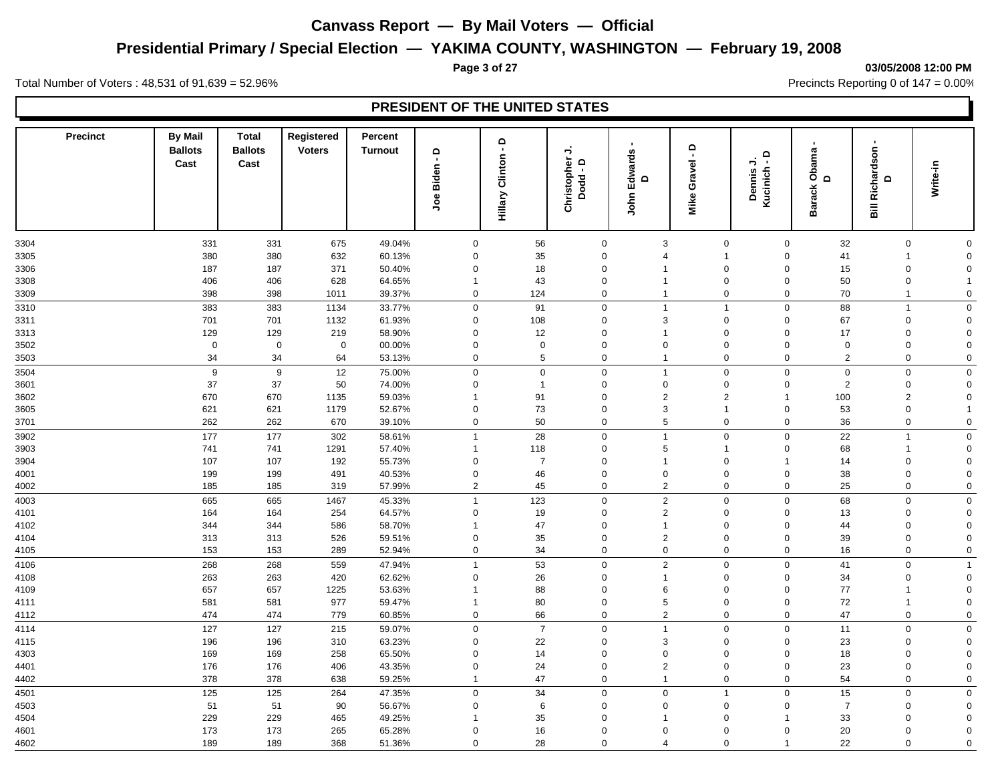# **Presidential Primary / Special Election — YAKIMA COUNTY, WASHINGTON — February 19, 2008**

#### **Page 3 of 27 03/05/2008 12:00 PM**

Total Number of Voters : 48,531 of 91,639 = 52.96% Precincts Reporting 0 of 147 = 0.00%

| <b>Precinct</b> | <b>By Mail</b><br><b>Ballots</b> | <b>Total</b><br><b>Ballots</b> | Registered<br><b>Voters</b> | Percent<br><b>Turnout</b> | $\mathbf \Omega$<br>$\blacksquare$ | ؋                  | →                                                 |                                    | $\circ$<br>$\blacksquare$ | $\mathsf{P}$            |                             | ٠                                          |                     |  |
|-----------------|----------------------------------|--------------------------------|-----------------------------|---------------------------|------------------------------------|--------------------|---------------------------------------------------|------------------------------------|---------------------------|-------------------------|-----------------------------|--------------------------------------------|---------------------|--|
|                 | Cast                             | Cast                           |                             |                           | Joe Biden                          | Clinton<br>Hillary | Christopher<br>$\Omega$<br>$\blacksquare$<br>Dodd | <b>Edwards</b><br>$\Omega$<br>John | Gravel<br>Mike            | ⇒<br>Kucinich<br>Dennis | Obama<br>D<br><b>Barack</b> | <b>Bill Richardson</b><br>$\mathbf \Omega$ | Write-in            |  |
| 3304            | 331                              | 331                            | 675                         | 49.04%                    | $\mathbf 0$                        | 56                 | $\mathsf{O}\xspace$                               | 3                                  | $\mathbf 0$               | $\mathbf 0$             | 32                          | $\mathbf 0$                                | $\mathbf 0$         |  |
| 3305            | 380                              | 380                            | 632                         | 60.13%                    | $\mathbf 0$                        | 35                 | $\mathbf 0$                                       | $\overline{4}$                     | $\overline{1}$            | $\mathbf 0$             | 41                          | $\overline{1}$                             | $\mathbf 0$         |  |
| 3306            | 187                              | 187                            | 371                         | 50.40%                    | $\mathbf 0$                        | 18                 | $\mathbf 0$                                       | -1                                 | $\mathbf 0$               | $\mathbf 0$             | 15                          | $\mathsf{O}\xspace$                        | $\mathbf 0$         |  |
| 3308            | 406                              | 406                            | 628                         | 64.65%                    | $\overline{\mathbf{1}}$            | 43                 | $\mathbf 0$                                       | $\overline{1}$                     | $\mathbf 0$               | $\mathbf 0$             | 50                          | $\mathbf 0$                                | $\mathbf{1}$        |  |
| 3309            | 398                              | 398                            | 1011                        | 39.37%                    | $\mathbf 0$                        | 124                | $\mathsf{O}\xspace$                               | $\mathbf{1}$                       | $\mathsf{O}\xspace$       | $\mathbf 0$             | 70                          | $\mathbf{1}$                               | $\mathsf{O}\xspace$ |  |
| 3310            | 383                              | 383                            | 1134                        | 33.77%                    | $\mathbf 0$                        | 91                 | $\mathbf 0$                                       | $\mathbf{1}$                       | $\overline{1}$            | $\mathbf 0$             | 88                          | $\mathbf{1}$                               | $\mathbf 0$         |  |
| 3311            | 701                              | 701                            | 1132                        | 61.93%                    | $\mathbf 0$                        | 108                | 0                                                 | 3                                  | $\mathbf 0$               | $\Omega$                | 67                          | $\mathbf 0$                                | $\mathbf 0$         |  |
| 3313            | 129                              | 129                            | 219                         | 58.90%                    | $\mathbf 0$                        | 12                 | $\mathbf 0$                                       | $\mathbf{1}$                       | $\mathbf 0$               | $\mathbf 0$             | 17                          | $\mathbf 0$                                | $\mathbf 0$         |  |
| 3502            | $\mathbf 0$                      | $\mathbf 0$                    | $\mathbf 0$                 | 00.00%                    | $\mathbf 0$                        | $\mathbf 0$        | $\mathbf 0$                                       | $\mathbf 0$                        | $\mathbf 0$               | $\mathbf 0$             | $\mathbf 0$                 | $\mathbf 0$                                | $\mathbf 0$         |  |
| 3503            | 34                               | 34                             | 64                          | 53.13%                    | $\mathbf 0$                        | $5\phantom{.0}$    | 0                                                 | $\mathbf{1}$                       | $\mathbf 0$               | $\mathbf 0$             | $\overline{2}$              | $\mathbf 0$                                | $\mathbf 0$         |  |
| 3504            | 9                                | 9                              | 12                          | 75.00%                    | $\mathbf 0$                        | $\mathbf 0$        | $\mathbf 0$                                       | $\mathbf{1}$                       | $\mathbf 0$               | $\mathsf 0$             | $\mathbf 0$                 | $\boldsymbol{0}$                           | $\mathbf 0$         |  |
| 3601            | 37                               | 37                             | 50                          | 74.00%                    | $\mathbf 0$                        | $\mathbf{1}$       | $\mathbf 0$                                       | $\mathbf 0$                        | $\mathbf 0$               | $\mathbf 0$             | $\overline{2}$              | $\mathbf 0$                                | $\mathbf 0$         |  |
| 3602            | 670                              | 670                            | 1135                        | 59.03%                    | $\overline{\mathbf{1}}$            | 91                 | $\Omega$                                          | 2                                  | $\overline{2}$            | $\overline{1}$          | 100                         | $\overline{2}$                             | $\mathbf 0$         |  |
| 3605            | 621                              | 621                            | 1179                        | 52.67%                    | $\mathbf 0$                        | 73                 | $\mathbf 0$                                       | 3                                  | $\overline{1}$            | $\mathbf 0$             | 53                          | $\mathbf 0$                                | $\mathbf 1$         |  |
| 3701            | 262                              | 262                            | 670                         | 39.10%                    | $\mathbf 0$                        | 50                 | $\mathbf 0$                                       | 5                                  | $\mathbf 0$               | $\Omega$                | 36                          | $\mathbf 0$                                | $\mathbf 0$         |  |
| 3902            | 177                              | 177                            | 302                         | 58.61%                    | $\mathbf{1}$                       | 28                 | $\mathbf 0$                                       | $\overline{1}$                     | $\mathbf 0$               | $\mathbf 0$             | 22                          | $\mathbf{1}$                               | $\mathbf 0$         |  |
| 3903            | 741                              | 741                            | 1291                        | 57.40%                    | $\overline{1}$                     | 118                | $\mathbf 0$                                       | 5                                  | $\overline{1}$            | $\mathbf 0$             | 68                          | $\mathbf{1}$                               | $\mathbf 0$         |  |
| 3904            | 107                              | 107                            | 192                         | 55.73%                    | $\mathbf 0$                        | $\overline{7}$     | $\mathbf 0$                                       | $\overline{1}$                     | $\mathbf 0$               | $\mathbf{1}$            | 14                          | $\mathbf 0$                                | $\mathbf 0$         |  |
| 4001            | 199                              | 199                            | 491                         | 40.53%                    | $\mathbf 0$                        | 46                 | $\mathbf 0$                                       | $\mathbf 0$                        | $\mathsf 0$               | $\mathbf 0$             | 38                          | $\mathsf{O}\xspace$                        | $\mathbf 0$         |  |
| 4002            | 185                              | 185                            | 319                         | 57.99%                    | $\overline{2}$                     | 45                 | $\mathbf 0$                                       | $\overline{2}$                     | $\mathbf 0$               | $\mathbf 0$             | 25                          | $\mathbf 0$                                | $\mathsf 0$         |  |
| 4003            | 665                              | 665                            | 1467                        | 45.33%                    | $\overline{1}$                     | 123                | $\mathbf 0$                                       | $\sqrt{2}$                         | $\mathbf 0$               | $\Omega$                | 68                          | $\mathbf 0$                                | $\mathbf 0$         |  |
| 4101            | 164                              | 164                            | 254                         | 64.57%                    | $\mathbf 0$                        | 19                 | $\mathbf 0$                                       | $\overline{2}$                     | $\mathbf 0$               | $\Omega$                | 13                          | $\mathbf 0$                                | $\mathsf 0$         |  |
| 4102            | 344                              | 344                            | 586                         | 58.70%                    | -1                                 | 47                 | $\mathbf 0$                                       | $\mathbf{1}$                       | $\mathbf 0$               | $\Omega$                | 44                          | $\mathbf 0$                                | $\mathbf 0$         |  |
| 4104            | 313                              | 313                            | 526                         | 59.51%                    | $\mathbf 0$                        | 35                 | $\Omega$                                          | 2                                  | $\mathbf 0$               | $\Omega$                | 39                          | $\mathbf 0$                                | $\mathbf 0$         |  |
| 4105            | 153                              | 153                            | 289                         | 52.94%                    | $\mathbf 0$                        | 34                 | 0                                                 | $\mathbf 0$                        | $\mathbf 0$               | $\mathbf 0$             | 16                          | $\mathbf 0$                                | $\mathbf 0$         |  |
| 4106            | 268                              | 268                            | 559                         | 47.94%                    | $\overline{1}$                     | 53                 | $\mathbf 0$                                       | $\overline{2}$                     | $\mathbf 0$               | $\mathbf 0$             | 41                          | $\mathsf{O}\xspace$                        | $\overline{1}$      |  |
| 4108            | 263                              | 263                            | 420                         | 62.62%                    | $\mathbf 0$                        | 26                 | $\mathbf 0$                                       | $\overline{1}$                     | $\mathbf 0$               | $\mathbf 0$             | 34                          | $\mathbf 0$                                | $\mathbf 0$         |  |
| 4109            | 657                              | 657                            | 1225                        | 53.63%                    | $\overline{1}$                     | 88                 | $\mathbf 0$                                       | 6                                  | $\mathbf 0$               | $\mathbf 0$             | 77                          | $\mathbf{1}$                               | $\mathbf 0$         |  |
| 4111            | 581                              | 581                            | 977                         | 59.47%                    | $\overline{\mathbf{1}}$            | 80                 | $\mathbf 0$                                       | 5                                  | $\mathbf 0$               | $\Omega$                | 72                          | $\mathbf{1}$                               | $\mathbf 0$         |  |
| 4112            | 474                              | 474                            | 779                         | 60.85%                    | $\mathbf 0$                        | 66                 | 0                                                 | $\overline{2}$                     | $\mathbf 0$               | $\mathbf 0$             | 47                          | $\mathsf{O}\xspace$                        | $\mathbf 0$         |  |
| 4114            | 127                              | 127                            | 215                         | 59.07%                    | $\mathbf 0$                        | $\overline{7}$     | $\mathsf 0$                                       | $\overline{1}$                     | $\mathbf 0$               | $\mathbf 0$             | 11                          | $\mathbf 0$                                | $\mathsf{O}\xspace$ |  |
| 4115            | 196                              | 196                            | 310                         | 63.23%                    | $\mathbf 0$                        | 22                 | 0                                                 | 3                                  | $\mathbf 0$               | $\mathbf 0$             | 23                          | $\mathsf{O}\xspace$                        | $\mathbf 0$         |  |
| 4303            | 169                              | 169                            | 258                         | 65.50%                    | $\mathbf 0$                        | 14                 | $\mathbf 0$                                       | $\Omega$                           | $\Omega$                  | $\mathbf 0$             | 18                          | $\mathsf{O}\xspace$                        | $\Omega$            |  |
| 4401            | 176                              | 176                            | 406                         | 43.35%                    | $\mathbf 0$                        | 24                 | $\mathbf 0$                                       | $\sqrt{2}$                         | $\mathbf 0$               | $\mathbf 0$             | 23                          | $\mathsf{O}\xspace$                        | $\mathbf 0$         |  |
| 4402            | 378                              | 378                            | 638                         | 59.25%                    | $\overline{1}$                     | 47                 | $\mathbf 0$                                       | $\mathbf{1}$                       | $\mathsf{O}\xspace$       | $\mathsf 0$             | 54                          | $\mathbf 0$                                | $\mathsf 0$         |  |
| 4501            | 125                              | 125                            | 264                         | 47.35%                    | $\mathbf 0$                        | 34                 | $\mathbf 0$                                       | $\mathbf 0$                        | $\overline{1}$            | $\Omega$                | 15                          | $\mathbf 0$                                | $\mathbf 0$         |  |
| 4503            | 51                               | 51                             | 90                          | 56.67%                    | $\mathbf 0$                        | 6                  | $\mathbf 0$                                       | $\mathbf 0$                        | $\mathbf 0$               | $\mathbf 0$             | $\overline{7}$              | $\mathbf 0$                                | $\mathbf 0$         |  |
| 4504            | 229                              | 229                            | 465                         | 49.25%                    |                                    | 35                 | $\mathbf 0$                                       | $\mathbf 1$                        | $\Omega$                  |                         | 33                          | $\mathbf 0$                                | $\mathbf 0$         |  |
| 4601            | 173                              | 173                            | 265                         | 65.28%                    | $\mathbf 0$                        | 16                 | $\mathbf 0$                                       | $\Omega$                           | $\mathbf 0$               | $\overline{0}$          | 20                          | $\mathbf 0$                                | $\mathbf 0$         |  |
| 4602            | 189                              | 189                            | 368                         | 51.36%                    | $\Omega$                           | 28                 | $\Omega$                                          | 4                                  | $\Omega$                  | $\mathbf{1}$            | 22                          | $\mathbf 0$                                | $\Omega$            |  |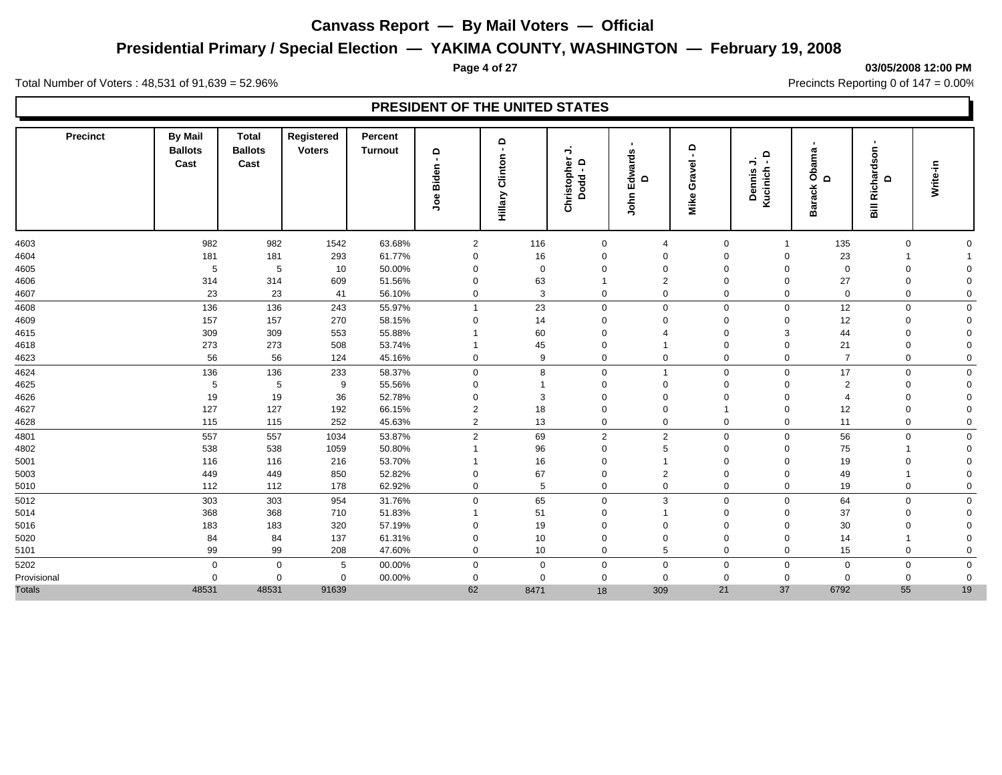## **Presidential Primary / Special Election — YAKIMA COUNTY, WASHINGTON — February 19, 2008**

#### **Page 4 of 27 03/05/2008 12:00 PM**

Total Number of Voters : 48,531 of 91,639 = 52.96% Precincts Reporting 0 of 147 = 0.00%

| <b>Precinct</b> | <b>By Mail</b><br><b>Ballots</b><br>Cast | <b>Total</b><br><b>Ballots</b><br>Cast | Registered<br><b>Voters</b> | Percent<br><b>Turnout</b> | $\mathbf{\Omega}$<br>$\blacksquare$<br>Biden<br>9oc | ٩<br>Clinton<br>Hillary | →<br>Christopher<br>Δ<br>п.<br>Dodd | Edwards<br>$\mathbf{\Omega}$<br>John | $\circ$<br>$\overline{\phantom{a}}$<br>Gravel<br>Mike | $\circ$<br>→<br>$\sim$<br>Kucinich<br><b>Dennis</b> | ama<br>රී<br>$\Omega$<br><b>Barack</b> | Richardson<br>$\mathbf \Omega$ | Write-in    |
|-----------------|------------------------------------------|----------------------------------------|-----------------------------|---------------------------|-----------------------------------------------------|-------------------------|-------------------------------------|--------------------------------------|-------------------------------------------------------|-----------------------------------------------------|----------------------------------------|--------------------------------|-------------|
| 4603            | 982                                      | 982                                    | 1542                        | 63.68%                    | $\overline{2}$                                      | 116                     | $\mathbf 0$                         | $\overline{4}$                       | $\mathbf 0$                                           |                                                     | 135                                    | 0                              |             |
| 4604            | 181                                      | 181                                    | 293                         | 61.77%                    | $\mathbf 0$                                         | 16                      | 0                                   | 0                                    | $\Omega$                                              | $\Omega$                                            | 23                                     |                                |             |
| 4605            | 5                                        | 5                                      | 10                          | 50.00%                    | 0                                                   | $\mathbf 0$             | $\Omega$                            | $\Omega$                             | $\Omega$                                              | $\Omega$                                            | $\mathbf 0$                            | $\mathbf 0$                    | $\Omega$    |
| 4606            | 314                                      | 314                                    | 609                         | 51.56%                    | $\mathbf 0$                                         | 63                      |                                     | $\overline{2}$                       | $\mathbf 0$                                           | $\Omega$                                            | 27                                     | $\mathbf 0$                    | $\Omega$    |
| 4607            | 23                                       | 23                                     | 41                          | 56.10%                    | $\mathbf 0$                                         | 3                       | $\overline{0}$                      | 0                                    | $\mathbf 0$                                           | $\mathbf 0$                                         | $\mathbf 0$                            | 0                              | $\mathbf 0$ |
| 4608            | 136                                      | 136                                    | 243                         | 55.97%                    | $\overline{1}$                                      | 23                      | $\mathbf 0$                         | 0                                    | $\mathbf 0$                                           | $\mathbf 0$                                         | 12                                     | $\mathbf 0$                    | $\mathbf 0$ |
| 4609            | 157                                      | 157                                    | 270                         | 58.15%                    | $\Omega$                                            | 14                      | 0                                   | $\Omega$                             | $\Omega$                                              | $\Omega$                                            | 12                                     | $\mathbf 0$                    | $\Omega$    |
| 4615            | 309                                      | 309                                    | 553                         | 55.88%                    | -1                                                  | 60                      | $\Omega$                            | 4                                    | $\Omega$                                              | 3                                                   | 44                                     | $\mathbf 0$                    | $\Omega$    |
| 4618            | 273                                      | 273                                    | 508                         | 53.74%                    | -1                                                  | 45                      | 0                                   | $\overline{1}$                       | $\mathbf 0$                                           | $\Omega$                                            | 21                                     | 0                              | $\Omega$    |
| 4623            | 56                                       | 56                                     | 124                         | 45.16%                    | $\mathbf 0$                                         | 9                       | 0                                   | 0                                    | $\mathbf 0$                                           | $\mathbf 0$                                         | $\overline{7}$                         | 0                              | $\mathbf 0$ |
| 4624            | 136                                      | 136                                    | 233                         | 58.37%                    | $\mathbf 0$                                         | 8                       | $\Omega$                            | $\mathbf{1}$                         | $\mathbf 0$                                           | $\Omega$                                            | 17                                     | $\mathbf 0$                    | $\mathbf 0$ |
| 4625            | 5                                        | 5                                      | 9                           | 55.56%                    | 0                                                   | -1                      | $\Omega$                            | $\Omega$                             | $\Omega$                                              | $\Omega$                                            | $\overline{2}$                         | $\Omega$                       | $\Omega$    |
| 4626            | 19                                       | 19                                     | 36                          | 52.78%                    | $\Omega$                                            | 3                       | $\Omega$                            | $\Omega$                             | $\Omega$                                              | $\Omega$                                            | $\overline{4}$                         | $\Omega$                       | $\mathbf 0$ |
| 4627            | 127                                      | 127                                    | 192                         | 66.15%                    | $\overline{2}$                                      | 18                      | 0                                   | 0                                    |                                                       | $\Omega$                                            | 12                                     | $\Omega$                       | $\Omega$    |
| 4628            | 115                                      | 115                                    | 252                         | 45.63%                    | 2                                                   | 13                      | 0                                   | 0                                    | $\mathbf 0$                                           | $\Omega$                                            | 11                                     | $\mathbf 0$                    | $\Omega$    |
| 4801            | 557                                      | 557                                    | 1034                        | 53.87%                    | $\overline{2}$                                      | 69                      | $\overline{2}$                      | $\overline{2}$                       | $\mathbf 0$                                           | $\mathbf 0$                                         | 56                                     | $\mathbf 0$                    | $\mathbf 0$ |
| 4802            | 538                                      | 538                                    | 1059                        | 50.80%                    | $\overline{\mathbf{1}}$                             | 96                      | $\overline{0}$                      | 5                                    | $\mathbf 0$                                           | $\Omega$                                            | 75                                     |                                | $\mathbf 0$ |
| 5001            | 116                                      | 116                                    | 216                         | 53.70%                    | 1                                                   | 16                      | 0                                   | $\overline{1}$                       | $\Omega$                                              | $\Omega$                                            | 19                                     | 0                              | $\Omega$    |
| 5003            | 449                                      | 449                                    | 850                         | 52.82%                    | $\mathbf 0$                                         | 67                      | 0                                   | $\overline{2}$                       | $\Omega$                                              | $\Omega$                                            | 49                                     |                                | $\Omega$    |
| 5010            | 112                                      | 112                                    | 178                         | 62.92%                    | $\mathbf 0$                                         | 5                       | $\mathbf 0$                         | 0                                    | $\mathbf 0$                                           | $\Omega$                                            | 19                                     | 0                              | $\Omega$    |
| 5012            | 303                                      | 303                                    | 954                         | 31.76%                    | $\mathbf 0$                                         | 65                      | $\mathbf 0$                         | 3                                    | $\mathbf 0$                                           | $\mathbf 0$                                         | 64                                     | $\mathbf 0$                    | $\mathbf 0$ |
| 5014            | 368                                      | 368                                    | 710                         | 51.83%                    | $\overline{1}$                                      | 51                      | 0                                   | $\overline{1}$                       | $\Omega$                                              | $\Omega$                                            | 37                                     | $\mathbf 0$                    | $\Omega$    |
| 5016            | 183                                      | 183                                    | 320                         | 57.19%                    | $\Omega$                                            | 19                      | $\Omega$                            | $\Omega$                             | $\Omega$                                              | $\Omega$                                            | 30                                     | $\Omega$                       | $\Omega$    |
| 5020            | 84                                       | 84                                     | 137                         | 61.31%                    | $\Omega$                                            | 10                      | $\Omega$                            | $\Omega$                             | $\Omega$                                              | $\Omega$                                            | 14                                     |                                | $\Omega$    |
| 5101            | 99                                       | 99                                     | 208                         | 47.60%                    | $\mathbf 0$                                         | 10                      | $\mathbf 0$                         | 5                                    | $\mathbf 0$                                           | $\Omega$                                            | 15                                     | 0                              | $\Omega$    |
| 5202            | $\mathbf 0$                              | $\mathbf 0$                            | 5                           | 00.00%                    | $\mathbf 0$                                         | $\mathbf 0$             | $\Omega$                            | 0                                    | $\mathbf 0$                                           | $\Omega$                                            | $\mathbf 0$                            | 0                              | $\mathbf 0$ |
| Provisional     | $\mathbf 0$                              | $\Omega$                               | $\mathbf 0$                 | 00.00%                    | 0                                                   | $\mathbf 0$             | $\mathbf 0$                         | $\mathbf 0$                          | $\mathbf 0$                                           | $\mathbf{0}$                                        | $\mathbf 0$                            | $\mathbf 0$                    | $\mathbf 0$ |
| <b>Totals</b>   | 48531                                    | 48531                                  | 91639                       |                           | 62                                                  | 8471                    | 18                                  | 309                                  | 21                                                    | 37                                                  | 6792                                   | 55                             | 19          |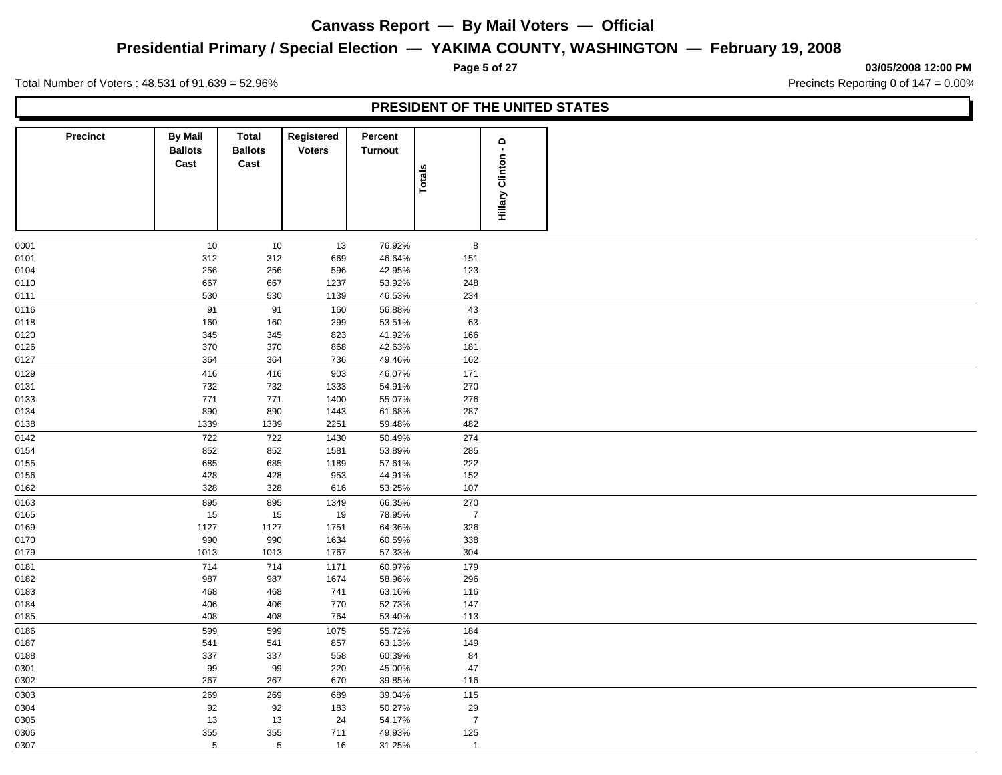## **Presidential Primary / Special Election — YAKIMA COUNTY, WASHINGTON — February 19, 2008**

**Page 5 of 27 03/05/2008 12:00 PM**

Total Number of Voters : 48,531 of 91,639 = 52.96% Precincts Reporting 0 of 147 = 0.00%

L

|                 |                                          |                                 |                             |                           | PRESIDENT OF THE UNITED STATES |                                |  |
|-----------------|------------------------------------------|---------------------------------|-----------------------------|---------------------------|--------------------------------|--------------------------------|--|
| <b>Precinct</b> | <b>By Mail</b><br><b>Ballots</b><br>Cast | Total<br><b>Ballots</b><br>Cast | Registered<br><b>Voters</b> | Percent<br><b>Turnout</b> | Totals                         | $\Omega$<br>Clinton<br>Hillary |  |
| 0001            | 10                                       | 10                              | 13                          | 76.92%                    | 8                              |                                |  |
| 0101            | 312                                      | 312                             | 669                         | 46.64%                    | 151                            |                                |  |
| 0104            | 256                                      | 256                             | 596                         | 42.95%                    | 123                            |                                |  |
| 0110            | 667                                      | 667                             | 1237                        | 53.92%                    | 248                            |                                |  |
| 0111            | 530                                      | 530                             | 1139                        | 46.53%                    | 234                            |                                |  |
| 0116            | 91                                       | 91                              | 160                         | 56.88%                    | 43                             |                                |  |
| 0118            | 160                                      | 160                             | 299                         | 53.51%                    | 63                             |                                |  |
| 0120            | 345                                      | 345                             | 823                         | 41.92%                    | 166                            |                                |  |
| 0126            | 370                                      | 370                             | 868                         | 42.63%                    | 181                            |                                |  |
| 0127            | 364                                      | 364                             | 736                         | 49.46%                    | 162                            |                                |  |
| 0129            | 416                                      | 416                             | 903                         | 46.07%                    | 171                            |                                |  |
| 0131            | 732                                      | 732                             | 1333                        | 54.91%                    | 270                            |                                |  |
| 0133            | 771                                      | 771                             | 1400                        | 55.07%                    | 276                            |                                |  |
| 0134            | 890                                      | 890                             | 1443                        | 61.68%                    | 287                            |                                |  |
| 0138            | 1339                                     | 1339                            | 2251                        | 59.48%                    | 482                            |                                |  |
| 0142            | 722                                      | 722                             | 1430                        | 50.49%                    | 274                            |                                |  |
| 0154            | 852                                      | 852                             | 1581                        | 53.89%                    | 285                            |                                |  |
| 0155            | 685                                      | 685                             | 1189                        | 57.61%                    | 222                            |                                |  |
| 0156            | 428                                      | 428                             | 953                         | 44.91%                    | 152                            |                                |  |
| 0162            | 328                                      | 328                             | 616                         | 53.25%                    | 107                            |                                |  |
| 0163            | 895                                      | 895                             | 1349                        | 66.35%                    | 270                            |                                |  |
| 0165            | 15                                       | 15                              | 19                          | 78.95%                    | $\overline{7}$                 |                                |  |
| 0169            | 1127                                     | 1127                            | 1751                        | 64.36%                    | 326                            |                                |  |
| 0170            | 990                                      | 990                             | 1634                        | 60.59%                    | 338                            |                                |  |
| 0179            | 1013                                     | 1013                            | 1767                        | 57.33%                    | 304                            |                                |  |
| 0181            | 714                                      | 714                             | 1171                        | 60.97%                    | 179                            |                                |  |
| 0182            | 987                                      | 987                             | 1674                        | 58.96%                    | 296                            |                                |  |
| 0183            | 468                                      | 468                             | 741                         | 63.16%                    | 116                            |                                |  |
| 0184            | 406                                      | 406                             | 770                         | 52.73%                    | 147                            |                                |  |
| 0185            | 408                                      | 408                             | 764                         | 53.40%                    | 113                            |                                |  |
| 0186            | 599                                      | 599                             | 1075                        | 55.72%                    | 184                            |                                |  |
| 0187            | 541                                      | 541                             | 857                         | 63.13%                    | 149                            |                                |  |
| 0188            | 337                                      | 337                             | 558                         | 60.39%                    | 84                             |                                |  |
| 0301            | 99                                       | 99                              | 220                         | 45.00%                    | 47                             |                                |  |
| 0302            | 267                                      | 267                             | 670                         | 39.85%                    | 116                            |                                |  |
| 0303            | 269                                      | 269                             | 689                         | 39.04%                    | 115                            |                                |  |
| 0304            | 92                                       | 92                              | 183                         | 50.27%                    | 29                             |                                |  |
| 0305            | 13                                       | 13                              | 24                          | 54.17%                    | $\overline{7}$                 |                                |  |
| 0306            | 355                                      | 355                             | 711                         | 49.93%                    | 125                            |                                |  |
| 0307            | $5\phantom{.0}$                          | $5\phantom{.0}$                 | 16                          | 31.25%                    | $\overline{1}$                 |                                |  |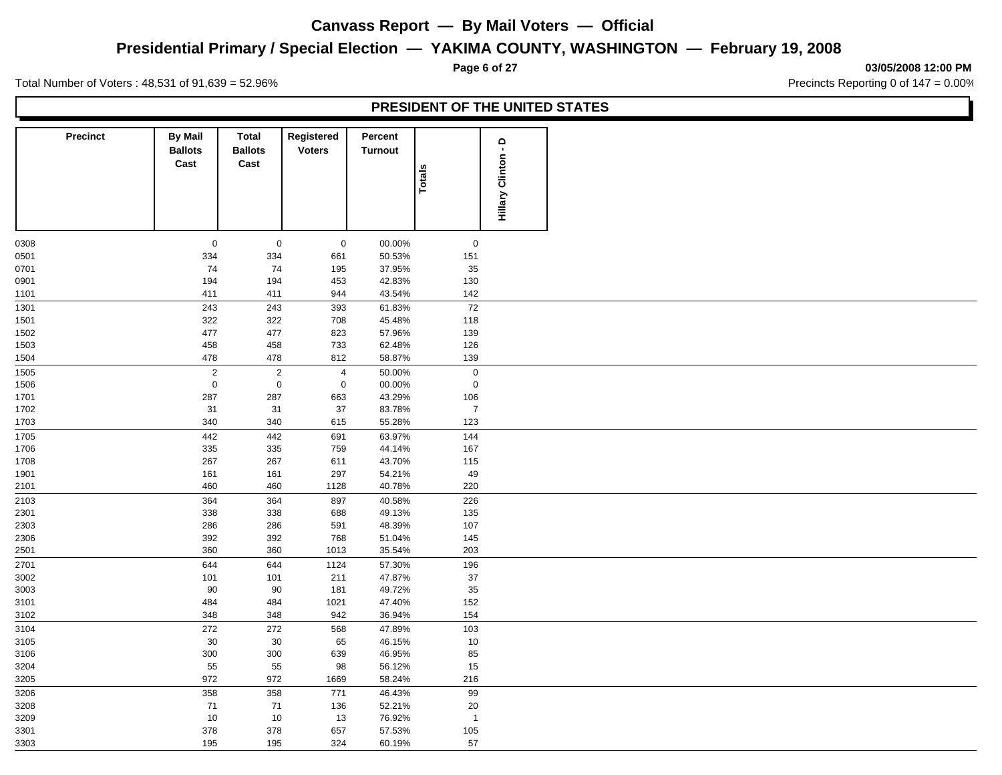## **Presidential Primary / Special Election — YAKIMA COUNTY, WASHINGTON — February 19, 2008**

**Page 6 of 27 03/05/2008 12:00 PM**

Total Number of Voters : 48,531 of 91,639 = 52.96% Precincts Reporting 0 of 147 = 0.00%

| <b>Precinct</b>     | <b>By Mail</b><br><b>Ballots</b><br>Cast | Total<br><b>Ballots</b><br>Cast | Registered<br><b>Voters</b> | Percent<br><b>Turnout</b> | Totals                | ٩<br><b>Hillary Clinton</b> |
|---------------------|------------------------------------------|---------------------------------|-----------------------------|---------------------------|-----------------------|-----------------------------|
|                     |                                          |                                 |                             |                           |                       |                             |
| 0308                | $\mathbf 0$                              | $\mathbf 0$                     | $\mathbf 0$                 | 00.00%                    | $\mathsf 0$           |                             |
| 0501                | 334                                      | 334                             | 661                         | 50.53%                    | 151                   |                             |
| 0701                | 74                                       | 74                              | 195                         | 37.95%                    | 35                    |                             |
| 0901                | 194                                      | 194                             | 453                         | 42.83%                    | 130                   |                             |
| 1101                | 411                                      | 411                             | 944                         | 43.54%                    | 142                   |                             |
| 1301                | 243                                      | 243                             | 393                         | 61.83%                    | 72                    |                             |
| 1501                | 322                                      | 322                             | 708                         | 45.48%                    | 118                   |                             |
| 1502                | 477                                      | 477                             | 823                         | 57.96%                    | 139                   |                             |
| 1503                | 458<br>478                               | 458                             | 733                         | 62.48%                    | 126                   |                             |
| 1504                |                                          | 478                             | 812                         | 58.87%                    | 139                   |                             |
| $\frac{1505}{1505}$ | $\sqrt{2}$                               | $\sqrt{2}$                      | $\overline{4}$              | 50.00%                    | $\mathsf 0$           |                             |
| 1506                | $\mathbf 0$                              | $\mathbf 0$                     | $\mathbf 0$                 | 00.00%                    | $\mathbf 0$           |                             |
| 1701                | 287                                      | 287                             | 663                         | 43.29%                    | 106                   |                             |
| 1702<br>1703        | 31<br>340                                | 31<br>340                       | 37<br>615                   | 83.78%<br>55.28%          | $\overline{7}$<br>123 |                             |
|                     |                                          |                                 |                             |                           |                       |                             |
| 1705                | 442                                      | 442                             | 691                         | 63.97%                    | 144                   |                             |
| 1706                | 335                                      | 335                             | 759<br>611                  | 44.14%<br>43.70%          | 167                   |                             |
| 1708<br>1901        | 267<br>161                               | 267<br>161                      | 297                         | 54.21%                    | 115<br>49             |                             |
| 2101                | 460                                      | 460                             | 1128                        | 40.78%                    | 220                   |                             |
|                     |                                          |                                 |                             |                           |                       |                             |
| 2103                | 364                                      | 364                             | 897                         | 40.58%                    | 226                   |                             |
| 2301                | 338                                      | 338                             | 688                         | 49.13%                    | 135                   |                             |
| 2303                | 286                                      | 286                             | 591                         | 48.39%                    | 107                   |                             |
| 2306<br>2501        | 392<br>360                               | 392<br>360                      | 768<br>1013                 | 51.04%<br>35.54%          | 145<br>203            |                             |
| 2701                |                                          |                                 |                             |                           |                       |                             |
|                     | 644                                      | 644                             | 1124                        | 57.30%                    | 196                   |                             |
| 3002                | 101<br>$90\,$                            | 101<br>90                       | 211<br>181                  | 47.87%<br>49.72%          | 37<br>35              |                             |
| 3003<br>3101        | 484                                      | 484                             | 1021                        | 47.40%                    | 152                   |                             |
| 3102                | 348                                      | 348                             | 942                         | 36.94%                    | 154                   |                             |
|                     |                                          |                                 |                             |                           |                       |                             |
| 3104                | 272                                      | 272                             | 568                         | 47.89%                    | 103                   |                             |
| 3105<br>3106        | $30\,$<br>300                            | 30<br>300                       | 65<br>639                   | 46.15%<br>46.95%          | $10\,$<br>85          |                             |
| 3204                | 55                                       | 55                              | 98                          | 56.12%                    | 15                    |                             |
| 3205                | 972                                      | 972                             | 1669                        | 58.24%                    | 216                   |                             |
|                     |                                          |                                 |                             |                           |                       |                             |
| 3206<br>3208        | 358<br>$71$                              | 358                             | 771                         | 46.43%<br>52.21%          | 99<br>$20\,$          |                             |
|                     | $10$                                     | 71                              | 136                         |                           | $\overline{1}$        |                             |
| 3209<br>3301        | 378                                      | $10$<br>378                     | 13                          | 76.92%                    |                       |                             |
|                     |                                          |                                 | 657                         | 57.53%                    | 105                   |                             |
| 3303                | 195                                      | 195                             | 324                         | 60.19%                    | 57                    |                             |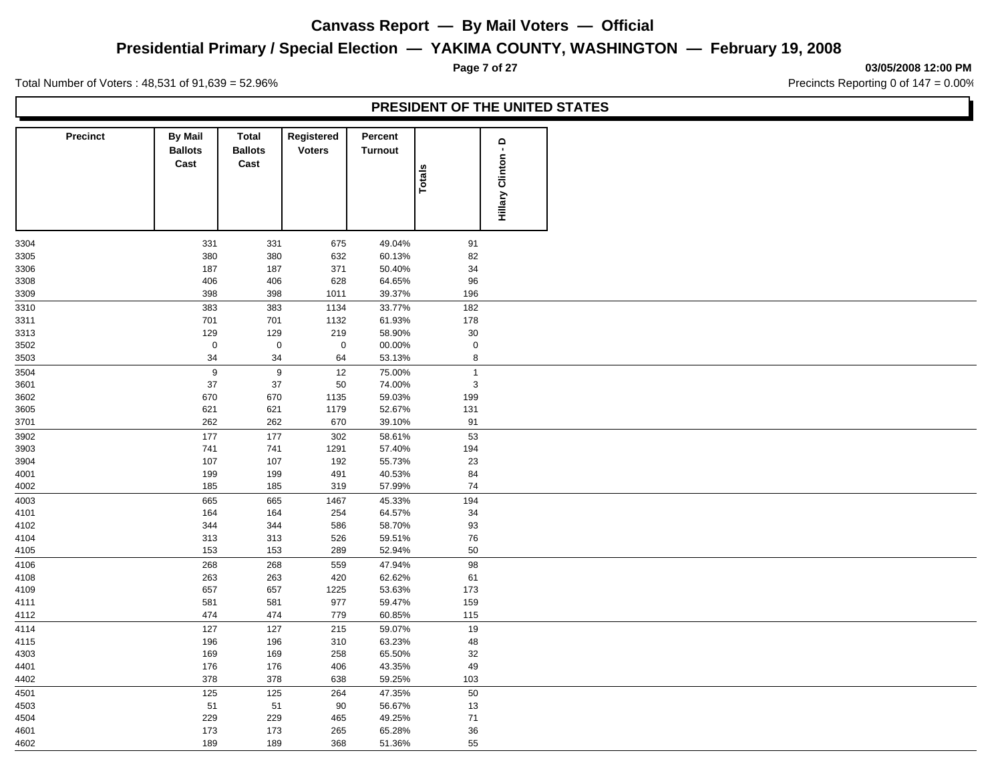## **Presidential Primary / Special Election — YAKIMA COUNTY, WASHINGTON — February 19, 2008**

**Page 7 of 27 03/05/2008 12:00 PM**

Total Number of Voters : 48,531 of 91,639 = 52.96% Precincts Reporting 0 of 147 = 0.00%

| <b>Precinct</b> | <b>By Mail</b><br><b>Ballots</b><br>Cast | Total<br><b>Ballots</b><br>Cast | Registered<br><b>Voters</b> | Percent<br><b>Turnout</b> | Totals                | Hillary Clinton - D |
|-----------------|------------------------------------------|---------------------------------|-----------------------------|---------------------------|-----------------------|---------------------|
|                 |                                          |                                 |                             |                           |                       |                     |
| 3304            | 331                                      | 331                             | 675                         | 49.04%                    | 91                    |                     |
| 3305            | 380                                      | 380                             | 632                         | 60.13%                    | 82                    |                     |
| 3306            | 187                                      | 187                             | 371                         | 50.40%                    | 34                    |                     |
| 3308            | 406                                      | 406                             | 628                         | 64.65%                    | 96                    |                     |
| 3309            | 398                                      | 398                             | 1011                        | 39.37%                    | 196                   |                     |
| 3310            | 383                                      | 383                             | 1134                        | 33.77%                    | 182                   |                     |
| 3311            | 701                                      | 701                             | 1132                        | 61.93%                    | 178                   |                     |
| 3313            | 129<br>$\mathbf 0$                       | 129<br>$\mathbf 0$              | 219<br>$\mathbf 0$          | 58.90%                    | $30\,$                |                     |
| 3502<br>3503    | 34                                       | 34                              | 64                          | 00.00%<br>53.13%          | $\mathbf 0$<br>$\bf8$ |                     |
| 3504            | $\boldsymbol{9}$                         | 9                               | 12                          | 75.00%                    | $\mathbf{1}$          |                     |
| 3601            | 37                                       | 37                              | 50                          | 74.00%                    | $\mathbf{3}$          |                     |
| 3602            | 670                                      | 670                             | 1135                        | 59.03%                    | 199                   |                     |
| 3605            | 621                                      | 621                             | 1179                        | 52.67%                    | 131                   |                     |
| 3701            | 262                                      | 262                             | 670                         | 39.10%                    | 91                    |                     |
| 3902            | 177                                      | 177                             | 302                         | 58.61%                    | 53                    |                     |
| 3903            | 741                                      | 741                             | 1291                        | 57.40%                    | 194                   |                     |
| 3904            | 107                                      | 107                             | 192                         | 55.73%                    | 23                    |                     |
| 4001            | 199                                      | 199                             | 491                         | 40.53%                    | 84                    |                     |
| 4002            | 185                                      | 185                             | 319                         | 57.99%                    | 74                    |                     |
| 4003            | 665                                      | 665                             | 1467                        | 45.33%                    | 194                   |                     |
| 4101            | 164                                      | 164                             | 254                         | 64.57%                    | 34                    |                     |
| 4102            | 344                                      | 344                             | 586                         | 58.70%                    | 93                    |                     |
| 4104            | 313                                      | 313                             | 526                         | 59.51%                    | ${\bf 76}$            |                     |
| 4105            | 153                                      | 153                             | 289                         | 52.94%                    | 50                    |                     |
| 4106            | 268                                      | 268                             | 559                         | 47.94%                    | 98                    |                     |
| 4108            | 263                                      | 263                             | 420                         | 62.62%                    | 61                    |                     |
| 4109<br>4111    | 657<br>581                               | 657<br>581                      | 1225<br>977                 | 53.63%<br>59.47%          | 173<br>159            |                     |
| 4112            | 474                                      | 474                             | 779                         | 60.85%                    | 115                   |                     |
| 4114            | 127                                      | 127                             | 215                         | 59.07%                    | 19                    |                     |
| 4115            | 196                                      | 196                             | 310                         | 63.23%                    | 48                    |                     |
| 4303            | 169                                      | 169                             | 258                         | 65.50%                    | $32\,$                |                     |
| 4401            | 176                                      | 176                             | 406                         | 43.35%                    | 49                    |                     |
| 4402            | 378                                      | 378                             | 638                         | 59.25%                    | 103                   |                     |
| 4501            | 125                                      | 125                             | 264                         | 47.35%                    | 50                    |                     |
| 4503            | 51                                       | 51                              | $90\,$                      | 56.67%                    | $13$                  |                     |
| 4504            | 229                                      | 229                             | 465                         | 49.25%                    | 71                    |                     |
| 4601            | 173                                      | 173                             | 265                         | 65.28%                    | 36                    |                     |
| 4602            | 189                                      | 189                             | 368                         | 51.36%                    | 55                    |                     |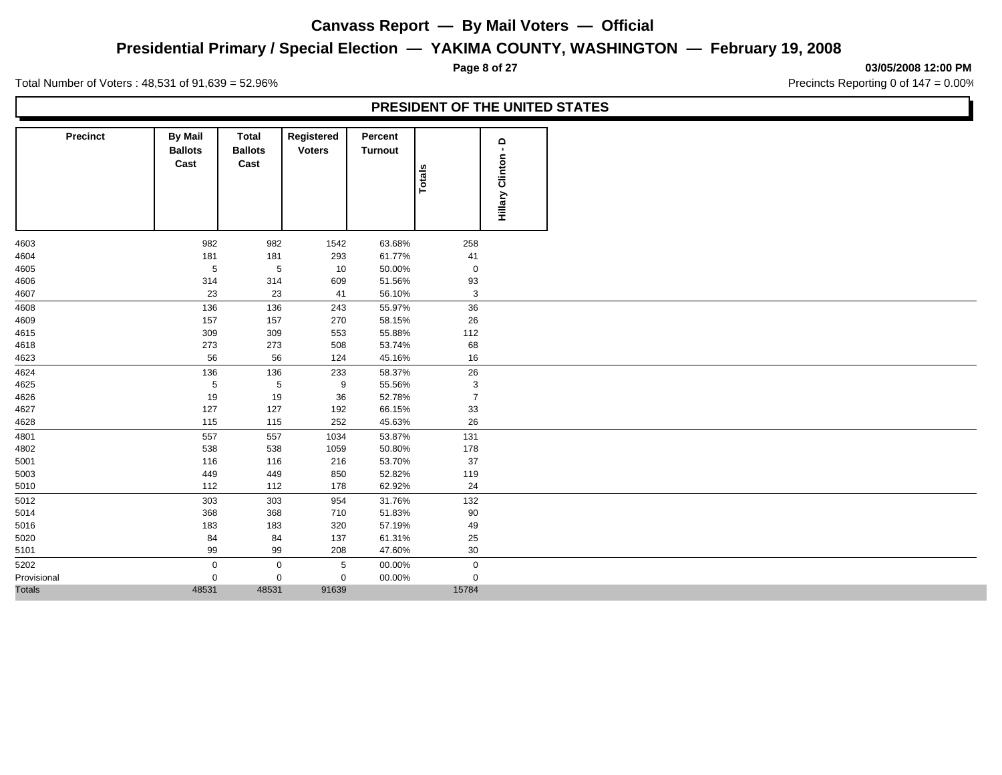## **Presidential Primary / Special Election — YAKIMA COUNTY, WASHINGTON — February 19, 2008**

**Page 8 of 27 03/05/2008 12:00 PM**

Total Number of Voters : 48,531 of 91,639 = 52.96% Precincts Reporting 0 of 147 = 0.00%

| <b>Precinct</b> | <b>By Mail</b><br><b>Ballots</b><br>Cast | Total<br><b>Ballots</b><br>Cast | Registered<br><b>Voters</b> | Percent<br>Turnout | <b>Totals</b>  | $\circ$<br>$\blacksquare$<br><b>Hillary Clinton</b> |  |  |
|-----------------|------------------------------------------|---------------------------------|-----------------------------|--------------------|----------------|-----------------------------------------------------|--|--|
| 4603            | 982                                      | 982                             | 1542                        | 63.68%             | 258            |                                                     |  |  |
| 4604            | 181                                      | 181                             | 293                         | 61.77%             | 41             |                                                     |  |  |
| 4605            | $\,$ 5 $\,$                              | $\,$ 5 $\,$                     | 10                          | 50.00%             | $\mathbf 0$    |                                                     |  |  |
| 4606            | 314                                      | 314                             | 609                         | 51.56%             | 93             |                                                     |  |  |
| 4607            | 23                                       | 23                              | 41                          | 56.10%             | $\mathbf{3}$   |                                                     |  |  |
| 4608            | 136                                      | 136                             | 243                         | 55.97%             | $36\,$         |                                                     |  |  |
| 4609            | 157                                      | 157                             | 270                         | 58.15%             | 26             |                                                     |  |  |
| 4615            | 309                                      | 309                             | 553                         | 55.88%             | 112            |                                                     |  |  |
| 4618            | 273                                      | 273                             | 508                         | 53.74%             | 68             |                                                     |  |  |
| 4623            | 56                                       | 56                              | 124                         | 45.16%             | 16             |                                                     |  |  |
| 4624            | 136                                      | 136                             | 233                         | 58.37%             | 26             |                                                     |  |  |
| 4625            | 5                                        | $5\phantom{.0}$                 | 9                           | 55.56%             | 3              |                                                     |  |  |
| 4626            | 19                                       | 19                              | 36                          | 52.78%             | $\overline{7}$ |                                                     |  |  |
| 4627            | 127                                      | 127                             | 192                         | 66.15%             | 33             |                                                     |  |  |
| 4628            | 115                                      | 115                             | 252                         | 45.63%             | 26             |                                                     |  |  |
| 4801            | 557                                      | 557                             | 1034                        | 53.87%             | 131            |                                                     |  |  |
| 4802            | 538                                      | 538                             | 1059                        | 50.80%             | 178            |                                                     |  |  |
| 5001            | 116                                      | 116                             | 216                         | 53.70%             | 37             |                                                     |  |  |
| 5003            | 449                                      | 449                             | 850                         | 52.82%             | 119            |                                                     |  |  |
| 5010            | 112                                      | 112                             | 178                         | 62.92%             | 24             |                                                     |  |  |
| 5012            | 303                                      | 303                             | 954                         | 31.76%             | 132            |                                                     |  |  |
| 5014            | 368                                      | 368                             | 710                         | 51.83%             | 90             |                                                     |  |  |
| 5016            | 183                                      | 183                             | 320                         | 57.19%             | 49             |                                                     |  |  |
| 5020            | 84                                       | 84                              | 137                         | 61.31%             | 25             |                                                     |  |  |
| 5101            | 99                                       | 99                              | 208                         | 47.60%             | 30             |                                                     |  |  |
| 5202            | $\mathbf 0$                              | $\mathbf 0$                     | 5                           | 00.00%             | $\mathbf 0$    |                                                     |  |  |
| Provisional     | $\Omega$                                 | 0                               | $\mathbf{0}$                | 00.00%             | $\mathbf 0$    |                                                     |  |  |
| <b>Totals</b>   | 48531                                    | 48531                           | 91639                       |                    | 15784          |                                                     |  |  |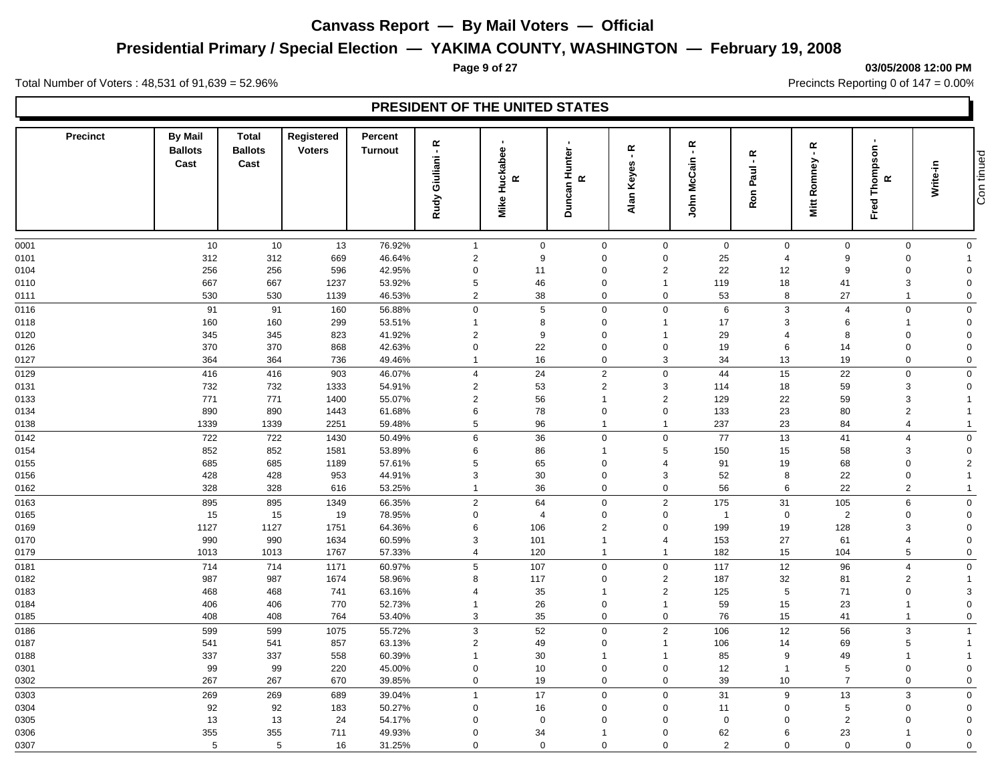# **Presidential Primary / Special Election — YAKIMA COUNTY, WASHINGTON — February 19, 2008**

**PRESIDENT OF THE UNITED STATES**

**Page 9 of 27 03/05/2008 12:00 PM**

Con tinued

Total Number of Voters : 48,531 of 91,639 = 52.96% Precincts Reporting 0 of 147 = 0.00%

| <b>Precinct</b> | <b>By Mail</b><br><b>Ballots</b><br>Cast | <b>Total</b><br><b>Ballots</b><br>Cast | Registered<br><b>Voters</b> | Percent<br><b>Turnout</b> | œ<br>$\blacksquare$<br>Giuliani<br>Rudy | $\mathbf{r}$<br>Huckabee<br>$\propto$<br>Mike | $\blacksquare$<br>Duncan Hunter<br>$\boldsymbol{\alpha}$ | $\propto$<br>$\blacksquare$<br>Keyes<br>Alan | ۴.<br>John McCain                |                | $\propto$<br>$\blacksquare$<br>Paul<br>Ron | $\propto$<br>Romney<br>Mitt | п.<br>Thompson<br>$\propto$<br>Fred | Write-in                   | Con tinued |
|-----------------|------------------------------------------|----------------------------------------|-----------------------------|---------------------------|-----------------------------------------|-----------------------------------------------|----------------------------------------------------------|----------------------------------------------|----------------------------------|----------------|--------------------------------------------|-----------------------------|-------------------------------------|----------------------------|------------|
| 0001            | 10                                       | 10                                     | 13                          | 76.92%                    | $\overline{1}$                          | $\mathbf 0$                                   | $\mathbf 0$                                              |                                              | $\mathbf 0$                      | $\mathbf 0$    | $\mathbf 0$                                | $\mathbf 0$                 | $\mathbf 0$                         | $\mathbf 0$                |            |
| 0101            | 312                                      | 312                                    | 669                         | 46.64%                    | $\overline{2}$                          | 9                                             | $\mathbf 0$                                              |                                              | $\mathbf 0$                      | 25             | $\overline{4}$                             | 9                           | 0                                   | -1                         |            |
| 0104            | 256                                      | 256                                    | 596                         | 42.95%                    | $\mathbf 0$                             | 11                                            | $\mathbf 0$                                              |                                              | $\overline{2}$                   | 22             | 12                                         | 9                           | $\Omega$                            | $\Omega$                   |            |
| 0110            | 667                                      | 667                                    | 1237                        | 53.92%                    | $\sqrt{5}$                              | 46                                            | 0                                                        |                                              | $\overline{1}$                   | 119            | 18                                         | 41                          | 3                                   | $\mathbf 0$                |            |
| 0111            | 530                                      | 530                                    | 1139                        | 46.53%                    | 2                                       | 38                                            | $\mathbf 0$                                              |                                              | $\mathbf 0$                      | 53             | 8                                          | 27                          | $\mathbf{1}$                        | $\mathbf 0$                |            |
| 0116            | 91                                       | 91                                     | 160                         | 56.88%                    | $\mathbf 0$                             | $5\phantom{.0}$                               | $\mathbf 0$                                              |                                              | $\mathbf 0$                      | 6              | 3                                          | $\overline{4}$              | 0                                   | $\mathbf 0$                |            |
| 0118            | 160                                      | 160                                    | 299                         | 53.51%                    | $\overline{1}$                          | 8                                             | $\mathbf 0$                                              |                                              | $\overline{1}$                   | 17             | 3                                          | 6                           | $\mathbf{1}$                        | $\mathbf 0$                |            |
| 0120            | 345                                      | 345                                    | 823                         | 41.92%                    | $\overline{2}$                          | 9                                             | $\mathbf 0$                                              |                                              | $\overline{1}$                   | 29             | 4                                          | 8                           | 0                                   | $\mathbf 0$                |            |
| 0126<br>0127    | 370<br>364                               | 370<br>364                             | 868<br>736                  | 42.63%<br>49.46%          | $\mathbf 0$<br>$\mathbf{1}$             | 22<br>16                                      | $\mathbf 0$<br>$\mathbf 0$                               |                                              | $\mathbf 0$<br>3                 | 19<br>34       | 6<br>13                                    | 14<br>19                    | 0<br>0                              | $\mathbf 0$<br>$\mathbf 0$ |            |
| 0129            | 416                                      | 416                                    | 903                         | 46.07%                    | $\overline{4}$                          | 24                                            | 2                                                        |                                              | $\mathbf 0$                      | 44             | 15                                         | 22                          | 0                                   | $\mathbf 0$                |            |
| 0131            | 732                                      | 732                                    | 1333                        | 54.91%                    | $\overline{2}$                          | 53                                            | $\overline{2}$                                           |                                              | 3                                | 114            | 18                                         | 59                          | 3                                   | $\mathbf 0$                |            |
| 0133            | 771                                      | 771                                    | 1400                        | 55.07%                    | $\overline{2}$                          | 56                                            | $\overline{1}$                                           |                                              | $\overline{2}$                   | 129            | 22                                         | 59                          | 3                                   |                            |            |
| 0134            | 890                                      | 890                                    | 1443                        | 61.68%                    | 6                                       | 78                                            | $\mathbf 0$                                              |                                              | $\mathbf 0$                      | 133            | 23                                         | 80                          | $\overline{2}$                      |                            |            |
| 0138            | 1339                                     | 1339                                   | 2251                        | 59.48%                    | 5                                       | 96                                            | $\overline{1}$                                           |                                              | $\overline{1}$                   | 237            | 23                                         | 84                          | $\overline{4}$                      | -1                         |            |
| 0142            | 722                                      | 722                                    | 1430                        | 50.49%                    | $\,6\,$                                 | 36                                            | $\mathbf 0$                                              |                                              | $\mathbf 0$                      | 77             | 13                                         | 41                          | $\overline{4}$                      | $\mathbf 0$                |            |
| 0154            | 852                                      | 852                                    | 1581                        | 53.89%                    | 6                                       | 86                                            | -1                                                       |                                              | 5                                | 150            | 15                                         | 58                          | 3                                   | $\mathbf 0$                |            |
| 0155            | 685                                      | 685                                    | 1189                        | 57.61%                    | $\sqrt{5}$                              | 65                                            | $\mathbf 0$                                              |                                              | $\overline{4}$                   | 91             | 19                                         | 68                          | $\mathbf 0$                         | $\overline{2}$             |            |
| 0156            | 428                                      | 428                                    | 953                         | 44.91%                    | 3                                       | 30                                            | $\mathbf 0$                                              |                                              | 3                                | 52             | 8                                          | 22                          | 0                                   |                            |            |
| 0162            | 328                                      | 328                                    | 616                         | 53.25%                    | $\mathbf{1}$                            | 36                                            | $\mathbf 0$                                              |                                              | $\mathbf 0$                      | 56             | 6                                          | 22                          | $\overline{2}$                      | -1                         |            |
| 0163            | 895                                      | 895                                    | 1349                        | 66.35%                    | 2                                       | 64                                            | $\mathbf 0$                                              |                                              | $\overline{2}$                   | 175            | 31                                         | 105                         | 6                                   | $\mathbf 0$                |            |
| 0165            | 15                                       | 15                                     | 19                          | 78.95%                    | $\mathbf 0$                             | $\overline{4}$                                | $\mathbf 0$                                              |                                              | $\mathbf 0$                      | $\overline{1}$ | $\mathbf 0$                                | $\overline{c}$              | 0                                   | $\mathbf 0$                |            |
| 0169            | 1127                                     | 1127                                   | 1751                        | 64.36%                    | 6                                       | 106                                           | $\overline{2}$                                           |                                              | $\mathbf 0$                      | 199            | 19                                         | 128                         | 3                                   | 0                          |            |
| 0170            | 990                                      | 990                                    | 1634                        | 60.59%                    | 3                                       | 101                                           | $\overline{\mathbf{1}}$                                  |                                              | $\overline{4}$                   | 153            | 27                                         | 61                          | $\overline{4}$                      | $\mathbf 0$                |            |
| 0179            | 1013                                     | 1013                                   | 1767                        | 57.33%                    | $\overline{4}$                          | 120                                           | $\overline{1}$                                           |                                              | $\overline{1}$                   | 182            | 15                                         | 104                         | 5                                   | $\mathbf 0$                |            |
| 0181            | 714                                      | 714                                    | 1171                        | 60.97%                    | 5                                       | 107                                           | $\mathbf 0$                                              |                                              | $\mathbf 0$                      | 117            | 12                                         | 96                          | $\overline{4}$                      | $\mathbf 0$                |            |
| 0182            | 987                                      | 987                                    | 1674                        | 58.96%                    | 8                                       | 117                                           | 0                                                        |                                              | $\overline{2}$                   | 187            | 32                                         | 81                          | $\overline{2}$                      | -1                         |            |
| 0183            | 468                                      | 468                                    | 741                         | 63.16%                    | $\overline{4}$                          | 35                                            | $\overline{1}$                                           |                                              | $\overline{2}$                   | 125            | $\sqrt{5}$                                 | 71                          | 0                                   | 3                          |            |
| 0184<br>0185    | 406<br>408                               | 406<br>408                             | 770<br>764                  | 52.73%<br>53.40%          | 3                                       | 26<br>35                                      | $\mathbf 0$<br>$\mathbf 0$                               |                                              | $\overline{1}$<br>$\mathbf 0$    | 59<br>76       | 15<br>15                                   | 23<br>41                    | 1<br>$\mathbf{1}$                   | $\mathbf 0$<br>$\mathbf 0$ |            |
|                 |                                          |                                        |                             |                           |                                         |                                               |                                                          |                                              |                                  |                |                                            |                             |                                     |                            |            |
| 0186<br>0187    | 599<br>541                               | 599<br>541                             | 1075<br>857                 | 55.72%<br>63.13%          | $\mathbf{3}$<br>$\overline{2}$          | 52<br>49                                      | $\mathbf 0$<br>$\mathbf 0$                               |                                              | $\overline{2}$<br>$\overline{1}$ | 106            | 12<br>14                                   | 56<br>69                    | 3<br>5                              | $\overline{1}$             |            |
| 0188            | 337                                      | 337                                    | 558                         | 60.39%                    | -1                                      | 30                                            | -1                                                       |                                              | $\mathbf{1}$                     | 106<br>85      | 9                                          | 49                          | $\mathbf{1}$                        |                            |            |
| 0301            | 99                                       | 99                                     | 220                         | 45.00%                    | $\mathbf 0$                             | 10                                            | $\mathbf 0$                                              |                                              | $\mathbf 0$                      | 12             | $\overline{1}$                             | 5                           | $\Omega$                            | $\Omega$                   |            |
| 0302            | 267                                      | 267                                    | 670                         | 39.85%                    | $\mathbf 0$                             | 19                                            | 0                                                        |                                              | $\mathbf 0$                      | 39             | 10                                         | $\overline{7}$              | 0                                   | 0                          |            |
| 0303            | 269                                      | 269                                    | 689                         | 39.04%                    | $\mathbf{1}$                            | 17                                            | $\Omega$                                                 |                                              | $\Omega$                         | 31             | 9                                          | 13                          | 3                                   | $\mathbf 0$                |            |
|                 |                                          |                                        |                             |                           |                                         |                                               |                                                          |                                              |                                  |                |                                            |                             |                                     |                            |            |

 92 92 183 50.27% 0 16 0 0 11 0 5 0 0 13 13 24 54.17% 0 0 0 0 0 0 2 0 0 355 355 711 49.93% 0 34 1 0 62 6 23 1 0

5 5 16 31.25% 0 0 0 0 2 0 0 0 0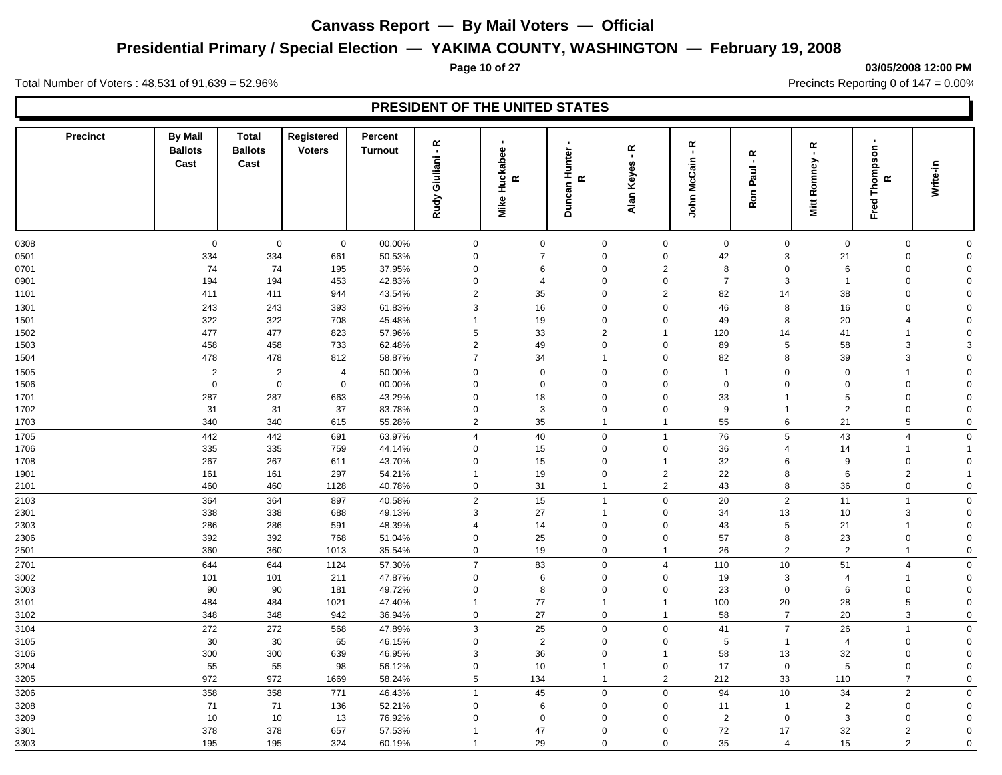## **Presidential Primary / Special Election — YAKIMA COUNTY, WASHINGTON — February 19, 2008**

#### **Page 10 of 27 03/05/2008 12:00 PM**

Total Number of Voters : 48,531 of 91,639 = 52.96% Precincts Reporting 0 of 147 = 0.00%

| <b>Precinct</b> | <b>By Mail</b><br><b>Ballots</b><br>Cast | <b>Total</b><br><b>Ballots</b><br>Cast | Registered<br><b>Voters</b> | Percent<br><b>Turnout</b> | Giuliani - R<br><b>Rudy</b> | Huckabee<br>$\boldsymbol{\alpha}$<br>Mike | $\cdot$<br>Duncan Hunter<br>$\propto$ | $\propto$<br>$\blacksquare$<br>Alan Keyes | $\propto$<br>$\mathbf{r}$<br>John McCain | Ron Paul - R     | ۴<br>Romney<br>Mitt | $\blacksquare$<br>Fred Thompson<br>œ | Write-in                   |  |
|-----------------|------------------------------------------|----------------------------------------|-----------------------------|---------------------------|-----------------------------|-------------------------------------------|---------------------------------------|-------------------------------------------|------------------------------------------|------------------|---------------------|--------------------------------------|----------------------------|--|
|                 |                                          |                                        |                             |                           |                             |                                           |                                       |                                           |                                          |                  |                     |                                      |                            |  |
| 0308            | $\mathbf 0$                              | $\mathbf 0$                            | $\mathbf 0$                 | 00.00%                    | $\mathbf 0$                 | $\mathbf 0$                               | 0                                     | $\mathbf 0$                               | $\mathbf 0$                              | $\mathbf 0$      | $\mathbf 0$         | $\mathbf 0$                          | $\mathbf 0$                |  |
| 0501            | 334<br>74                                | 334                                    | 661                         | 50.53%                    | $\mathbf 0$                 | $\overline{7}$                            | $\mathbf 0$                           | $\mathbf 0$                               | 42                                       | 3                | 21                  | $\boldsymbol{0}$                     | $\mathbf 0$                |  |
| 0701            | 194                                      | 74<br>194                              | 195                         | 37.95%                    | $\mathbf 0$<br>0            | 6<br>$\overline{4}$                       | $\mathbf 0$<br>$\mathbf 0$            | $\overline{2}$                            | 8<br>$\overline{7}$                      | $\mathbf 0$<br>3 | 6<br>$\overline{1}$ | $\mathbf 0$<br>$\boldsymbol{0}$      | $\mathbf 0$<br>$\mathbf 0$ |  |
| 0901<br>1101    | 411                                      | 411                                    | 453<br>944                  | 42.83%<br>43.54%          | $\overline{2}$              | 35                                        | $\mathbf 0$                           | $\mathbf 0$<br>$\overline{2}$             | 82                                       | 14               | 38                  | $\mathbf 0$                          | $\mathbf 0$                |  |
|                 |                                          |                                        |                             |                           |                             |                                           |                                       |                                           |                                          |                  |                     |                                      |                            |  |
| 1301            | 243<br>322                               | 243<br>322                             | 393<br>708                  | 61.83%<br>45.48%          | 3<br>$\mathbf{1}$           | 16<br>19                                  | $\mathbf 0$<br>$\Omega$               | $\mathbf 0$<br>$\mathbf 0$                | 46<br>49                                 | $\bf8$<br>8      | 16<br>20            | $\mathbf 0$<br>4                     | $\mathbf 0$<br>$\mathbf 0$ |  |
| 1501            | 477                                      | 477                                    |                             |                           | 5                           | 33                                        | $\overline{2}$                        | $\mathbf{1}$                              | 120                                      | 14               | 41                  | $\overline{1}$                       | $\mathbf 0$                |  |
| 1502<br>1503    | 458                                      | 458                                    | 823<br>733                  | 57.96%<br>62.48%          | $\overline{2}$              | 49                                        | $\Omega$                              | $\mathbf 0$                               | 89                                       | 5                | 58                  | $\mathbf{3}$                         | 3                          |  |
| 1504            | 478                                      | 478                                    | 812                         | 58.87%                    | $\overline{7}$              | 34                                        | $\mathbf{1}$                          | $\mathbf 0$                               | 82                                       | 8                | 39                  | 3                                    | $\mathbf 0$                |  |
| 1505            | $\overline{2}$                           | $\overline{2}$                         | $\overline{4}$              | 50.00%                    | $\mathsf 0$                 | $\mathbf 0$                               | $\mathbf 0$                           | $\mathbf 0$                               | $\mathbf{1}$                             | $\mathbf 0$      | $\mathbf 0$         | $\mathbf{1}$                         | $\mathbf 0$                |  |
| 1506            | $\mathbf 0$                              | $\pmb{0}$                              | $\mathbf 0$                 | 00.00%                    | $\mathbf 0$                 | $\pmb{0}$                                 | $\mathbf 0$                           | $\mathbf 0$                               | $\mathbf 0$                              | $\Omega$         | $\Omega$            | $\boldsymbol{0}$                     | $\mathbf 0$                |  |
| 1701            | 287                                      | 287                                    | 663                         | 43.29%                    | $\mathbf 0$                 | 18                                        | $\mathbf 0$                           | $\mathbf 0$                               | 33                                       | $\mathbf{1}$     | 5                   | $\mathbf 0$                          | $\mathbf 0$                |  |
| 1702            | 31                                       | 31                                     | 37                          | 83.78%                    | 0                           | 3                                         | $\mathbf 0$                           | $\mathbf 0$                               | 9                                        | $\overline{1}$   | $\overline{2}$      | $\boldsymbol{0}$                     | $\Omega$                   |  |
| 1703            | 340                                      | 340                                    | 615                         | 55.28%                    | $\overline{2}$              | 35                                        | $\mathbf{1}$                          | $\mathbf{1}$                              | 55                                       | 6                | 21                  | $\overline{5}$                       | $\mathbf 0$                |  |
| 1705            | 442                                      | 442                                    | 691                         | 63.97%                    | $\overline{4}$              | 40                                        | $\mathbf 0$                           | $\mathbf{1}$                              | 76                                       | $\overline{5}$   | 43                  | $\overline{4}$                       | $\mathbf 0$                |  |
| 1706            | 335                                      | 335                                    | 759                         | 44.14%                    | 0                           | 15                                        | $\mathbf 0$                           | $\mathbf 0$                               | 36                                       | 4                | 14                  | $\mathbf{1}$                         |                            |  |
| 1708            | 267                                      | 267                                    | 611                         | 43.70%                    | $\mathbf 0$                 | 15                                        | $\mathbf 0$                           | $\overline{1}$                            | 32                                       | 6                | 9                   | $\mathbf 0$                          | $\mathbf 0$                |  |
| 1901            | 161                                      | 161                                    | 297                         | 54.21%                    | $\mathbf{1}$                | 19                                        | $\mathbf 0$                           | $\overline{2}$                            | 22                                       | 8                | 6                   | $\overline{2}$                       | $\mathbf{1}$               |  |
| 2101            | 460                                      | 460                                    | 1128                        | 40.78%                    | $\mathbf 0$                 | 31                                        | $\mathbf{1}$                          | $\overline{2}$                            | 43                                       | 8                | 36                  | $\mathbf 0$                          | $\mathsf{O}\xspace$        |  |
| 2103            | 364                                      | 364                                    | 897                         | 40.58%                    | $\overline{2}$              | 15                                        | $\overline{1}$                        | $\mathbf 0$                               | 20                                       | $\overline{2}$   | 11                  | $\overline{1}$                       | $\mathbf 0$                |  |
| 2301            | 338                                      | 338                                    | 688                         | 49.13%                    | 3                           | 27                                        | $\overline{1}$                        | $\mathbf 0$                               | 34                                       | 13               | 10                  | 3                                    | $\mathbf 0$                |  |
| 2303            | 286                                      | 286                                    | 591                         | 48.39%                    | $\overline{4}$              | 14                                        | $\mathbf 0$                           | $\mathbf 0$                               | 43                                       | 5                | 21                  | $\mathbf{1}$                         | $\mathbf 0$                |  |
| 2306            | 392                                      | 392                                    | 768                         | 51.04%                    | $\Omega$                    | 25                                        | $\Omega$                              | $\Omega$                                  | 57                                       | 8                | 23                  | $\mathbf 0$                          | $\mathbf 0$                |  |
| 2501            | 360                                      | 360                                    | 1013                        | 35.54%                    | $\mathbf 0$                 | 19                                        | $\mathbf 0$                           | $\mathbf{1}$                              | 26                                       | $\overline{2}$   | $\overline{2}$      | $\overline{1}$                       | $\mathbf 0$                |  |
| 2701            | 644                                      | 644                                    | 1124                        | 57.30%                    | $\overline{7}$              | 83                                        | $\Omega$                              | $\overline{4}$                            | 110                                      | 10               | 51                  | $\overline{4}$                       | $\mathbf 0$                |  |
| 3002            | 101                                      | 101                                    | 211                         | 47.87%                    | $\mathbf 0$                 | 6                                         | $\mathbf 0$                           | $\mathbf 0$                               | 19                                       | 3                | $\overline{4}$      | $\mathbf{1}$                         | $\mathbf 0$                |  |
| 3003            | 90                                       | 90                                     | 181                         | 49.72%                    | $\mathbf 0$                 | 8                                         | $\Omega$                              | $\mathbf 0$                               | 23                                       | $\mathbf 0$      | $6\phantom{1}6$     | $\mathbf 0$                          | $\Omega$                   |  |
| 3101            | 484                                      | 484                                    | 1021                        | 47.40%                    | -1                          | 77                                        | $\mathbf{1}$                          | $\mathbf{1}$                              | 100                                      | 20               | 28                  | $\overline{5}$                       | $\mathbf 0$                |  |
| 3102            | 348                                      | 348                                    | 942                         | 36.94%                    | $\mathbf 0$                 | 27                                        | $\mathbf 0$                           | $\mathbf{1}$                              | 58                                       | $\overline{7}$   | 20                  | 3                                    | $\Omega$                   |  |
| 3104            | 272                                      | 272                                    | 568                         | 47.89%                    | $\mathbf{3}$                | 25                                        | $\mathbf 0$                           | $\mathbf 0$                               | 41                                       | $\overline{7}$   | 26                  | $\mathbf{1}$                         | $\mathsf{O}\xspace$        |  |
| 3105            | 30                                       | 30                                     | 65                          | 46.15%                    | $\mathbf 0$                 | $\overline{2}$                            | $\mathbf 0$                           | $\mathbf 0$                               | $\sqrt{5}$                               | $\overline{1}$   | $\overline{4}$      | $\mathsf{O}\xspace$                  | $\mathbf 0$                |  |
| 3106            | 300                                      | 300                                    | 639                         | 46.95%                    | 3                           | 36                                        | $\mathbf 0$                           | $\overline{1}$                            | 58                                       | 13               | 32                  | $\mathbf 0$                          | $\mathbf 0$                |  |
| 3204            | 55                                       | 55                                     | 98                          | 56.12%                    | $\mathbf 0$                 | 10                                        | $\overline{1}$                        | $\mathbf 0$                               | 17                                       | $\mathsf 0$      | $\sqrt{5}$          | $\mathsf{O}\xspace$                  | $\mathbf 0$                |  |
| 3205            | 972                                      | 972                                    | 1669                        | 58.24%                    | 5                           | 134                                       | $\mathbf{1}$                          | $\overline{2}$                            | 212                                      | 33               | 110                 | $\overline{7}$                       | $\mathbf 0$                |  |
| 3206            | 358                                      | 358                                    | 771                         | 46.43%                    | $\overline{1}$              | 45                                        | $\mathbf 0$                           | $\mathbf 0$                               | 94                                       | 10               | 34                  | $\overline{2}$                       | $\mathbf 0$                |  |
| 3208            | 71                                       | 71                                     | 136                         | 52.21%                    | 0                           | 6                                         | $\mathbf 0$                           | $\mathbf 0$                               | 11                                       | $\overline{1}$   | $\overline{c}$      | $\mathbf 0$                          | $\mathbf 0$                |  |
| 3209            | 10                                       | 10                                     | 13                          | 76.92%                    | $\Omega$                    | $\mathbf 0$                               | $\Omega$                              | $\Omega$                                  | $\overline{2}$                           | $\Omega$         | 3                   | $\mathbf 0$                          | $\mathbf 0$                |  |
| 3301            | 378                                      | 378                                    | 657                         | 57.53%                    |                             | 47                                        | $\mathbf 0$                           | $\Omega$                                  | 72                                       | 17               | 32                  | $\overline{2}$                       | $\mathbf 0$                |  |
| 3303            | 195                                      | 195                                    | 324                         | 60.19%                    |                             | 29                                        | $\Omega$                              | $\Omega$                                  | 35                                       | $\overline{4}$   | 15                  | 2                                    | $\Omega$                   |  |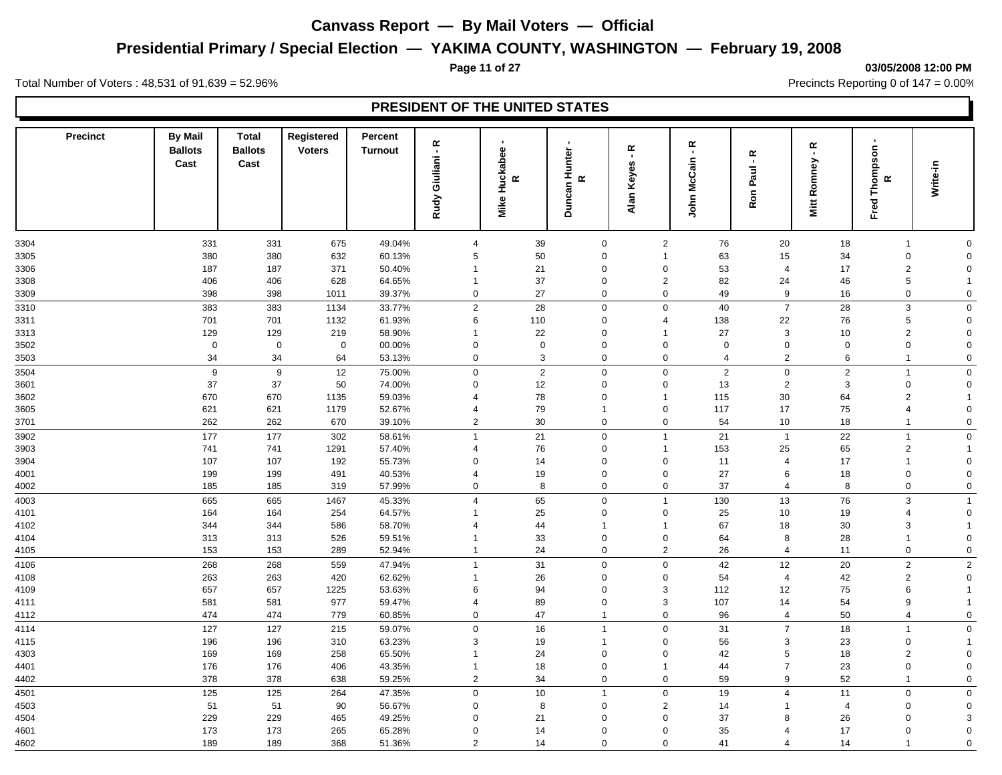## **Presidential Primary / Special Election — YAKIMA COUNTY, WASHINGTON — February 19, 2008**

#### **Page 11 of 27 03/05/2008 12:00 PM**

Total Number of Voters : 48,531 of 91,639 = 52.96% Precincts Reporting 0 of 147 = 0.00%

| <b>Precinct</b> | <b>By Mail</b><br><b>Ballots</b><br>Cast | <b>Total</b><br><b>Ballots</b><br>Cast | Registered<br><b>Voters</b> | Percent<br><b>Turnout</b> | Giuliani - R<br>Rudy    | <b>Mike Huckabee</b><br>$\propto$ | $\blacksquare$<br>Duncan Hunter<br>$\mathbf{\underline{\alpha}}$ | $\propto$<br>$\blacksquare$<br>Alan Keyes | $\propto$<br>$\blacksquare$<br>John McCain | Ron Paul - R   | ۴<br>Romney<br>Mitt | Fred Thompson<br>œ        | Write-in       |
|-----------------|------------------------------------------|----------------------------------------|-----------------------------|---------------------------|-------------------------|-----------------------------------|------------------------------------------------------------------|-------------------------------------------|--------------------------------------------|----------------|---------------------|---------------------------|----------------|
|                 |                                          |                                        |                             |                           |                         |                                   |                                                                  |                                           |                                            |                |                     |                           |                |
| 3304            | 331                                      | 331                                    | 675                         | 49.04%                    | $\overline{4}$          | 39                                | $\mathbf 0$                                                      | 2                                         | 76                                         | 20             | 18                  | $\overline{1}$            | $\mathbf 0$    |
| 3305            | 380                                      | 380                                    | 632                         | 60.13%                    | $\sqrt{5}$              | 50                                | $\mathbf 0$                                                      | $\mathbf{1}$                              | 63                                         | 15             | 34                  | $\boldsymbol{0}$          | $\mathbf 0$    |
| 3306            | 187                                      | 187                                    | 371                         | 50.40%                    | $\overline{\mathbf{1}}$ | 21                                | $\mathbf 0$                                                      | $\mathbf 0$                               | 53                                         | $\overline{4}$ | 17                  | $\sqrt{2}$                | $\mathbf 0$    |
| 3308            | 406                                      | 406                                    | 628                         | 64.65%                    | $\overline{1}$          | 37                                | $\mathbf 0$                                                      | $\overline{2}$                            | 82                                         | 24             | 46                  | 5                         |                |
| 3309            | 398                                      | 398                                    | 1011                        | 39.37%                    | $\mathbf 0$             | 27                                | $\mathbf 0$                                                      | $\mathbf 0$                               | 49                                         | 9              | 16                  | $\mathbf 0$               | $\mathbf 0$    |
| 3310            | 383                                      | 383                                    | 1134                        | 33.77%                    | $\overline{2}$          | 28                                | $\mathsf 0$                                                      | $\mathbf 0$                               | 40                                         | $\overline{7}$ | 28                  | $\ensuremath{\mathsf{3}}$ | $\mathbf 0$    |
| 3311            | 701                                      | 701                                    | 1132                        | 61.93%                    | 6                       | 110                               | $\mathbf 0$                                                      | $\overline{\mathcal{A}}$                  | 138                                        | 22             | 76                  | $\,$ 5 $\,$               | $\mathbf 0$    |
| 3313            | 129                                      | 129                                    | 219                         | 58.90%                    | $\overline{\mathbf{1}}$ | 22                                | $\mathbf 0$                                                      | $\overline{1}$                            | 27                                         | 3              | 10                  | $\sqrt{2}$                | $\mathbf 0$    |
| 3502            | $\mathbf 0$                              | $\mathbf 0$                            | $\mathbf 0$                 | 00.00%                    | $\mathbf 0$             | $\mathsf{O}\xspace$               | $\Omega$                                                         | $\Omega$                                  | $\mathbf 0$                                | $\Omega$       | $\mathbf 0$         | $\mathbf 0$               | $\mathbf 0$    |
| 3503            | 34                                       | 34                                     | 64                          | 53.13%                    | $\mathbf 0$             | $\mathbf{3}$                      | 0                                                                | $\mathbf 0$                               | $\overline{4}$                             | $\overline{2}$ | 6                   | $\overline{1}$            | $\mathbf 0$    |
| 3504            | $\boldsymbol{9}$                         | 9                                      | 12                          | 75.00%                    | $\mathbf 0$             | 2                                 | $\mathsf 0$                                                      | $\mathbf 0$                               | $\overline{2}$                             | $\mathbf 0$    | $\overline{2}$      | $\mathbf{1}$              | $\mathbf 0$    |
| 3601            | 37                                       | 37                                     | 50                          | 74.00%                    | $\mathbf 0$             | 12                                | $\Omega$                                                         | $\mathbf 0$                               | 13                                         | $\overline{2}$ | 3                   | $\mathsf{O}\xspace$       | $\mathbf 0$    |
| 3602            | 670                                      | 670                                    | 1135                        | 59.03%                    | $\overline{4}$          | 78                                | $\mathbf 0$                                                      | $\mathbf{1}$                              | 115                                        | 30             | 64                  | $\overline{2}$            | -1             |
| 3605            | 621                                      | 621                                    | 1179                        | 52.67%                    | $\overline{4}$          | 79                                | $\mathbf{1}$                                                     | $\mathbf 0$                               | 117                                        | 17             | 75                  | $\overline{4}$            | $\mathbf 0$    |
| 3701            | 262                                      | 262                                    | 670                         | 39.10%                    | $\overline{2}$          | 30                                | $\mathbf 0$                                                      | $\mathbf 0$                               | 54                                         | 10             | 18                  | $\mathbf{1}$              | $\mathbf 0$    |
| 3902            | 177                                      | 177                                    | 302                         | 58.61%                    | $\overline{1}$          | 21                                | $\mathbf 0$                                                      | $\mathbf{1}$                              | 21                                         | $\overline{1}$ | 22                  | $\mathbf{1}$              | $\mathbf 0$    |
| 3903            | 741                                      | 741                                    | 1291                        | 57.40%                    | $\overline{4}$          | 76                                | 0                                                                | $\mathbf{1}$                              | 153                                        | 25             | 65                  | $\overline{2}$            |                |
| 3904            | 107                                      | 107                                    | 192                         | 55.73%                    | $\mathbf 0$             | 14                                | $\mathbf 0$                                                      | $\Omega$                                  | 11                                         | $\overline{4}$ | 17                  | $\overline{1}$            | $\mathbf 0$    |
| 4001            | 199                                      | 199                                    | 491                         | 40.53%                    | $\overline{4}$          | 19                                | $\mathbf 0$                                                      | $\mathbf 0$                               | 27                                         | 6              | 18                  | $\mathbf 0$               | $\Omega$       |
| 4002            | 185                                      | 185                                    | 319                         | 57.99%                    | $\mathbf 0$             | 8                                 | $\mathsf{O}\xspace$                                              | $\mathbf 0$                               | 37                                         | $\overline{4}$ | 8                   | $\mathbf 0$               | $\mathsf 0$    |
| 4003            | 665                                      | 665                                    | 1467                        | 45.33%                    | $\overline{4}$          | 65                                | $\mathsf{O}\xspace$                                              | $\mathbf{1}$                              | 130                                        | 13             | 76                  | $\mathbf{3}$              | $\overline{1}$ |
| 4101            | 164                                      | 164                                    | 254                         | 64.57%                    | $\overline{1}$          | 25                                | 0                                                                | $\mathbf 0$                               | 25                                         | 10             | 19                  | $\overline{4}$            | $\mathbf 0$    |
| 4102            | 344                                      | 344                                    | 586                         | 58.70%                    | $\overline{4}$          | 44                                | $\mathbf 1$                                                      | $\mathbf{1}$                              | 67                                         | 18             | 30                  | $\mathbf{3}$              |                |
| 4104            | 313                                      | 313                                    | 526                         | 59.51%                    | $\overline{\mathbf{1}}$ | 33                                | $\Omega$                                                         | $\mathbf 0$                               | 64                                         | 8              | 28                  | $\overline{1}$            | $\mathbf 0$    |
| 4105            | 153                                      | 153                                    | 289                         | 52.94%                    | $\overline{1}$          | 24                                | 0                                                                | 2                                         | 26                                         | $\overline{4}$ | 11                  | $\mathbf 0$               | $\mathbf 0$    |
| 4106            | 268                                      | 268                                    | 559                         | 47.94%                    | $\mathbf{1}$            | 31                                | $\mathbf 0$                                                      | $\mathbf 0$                               | 42                                         | 12             | 20                  | $\overline{2}$            | $\overline{2}$ |
| 4108            | 263                                      | 263                                    | 420                         | 62.62%                    | $\mathbf 1$             | 26                                | 0                                                                | $\mathbf 0$                               | 54                                         | $\overline{4}$ | 42                  | $\overline{2}$            | $\Omega$       |
| 4109            | 657                                      | 657                                    | 1225                        | 53.63%                    | 6                       | 94                                | $\Omega$                                                         | 3                                         | 112                                        | 12             | 75                  | 6                         | $\overline{1}$ |
| 4111            | 581                                      | 581                                    | 977                         | 59.47%                    | $\overline{4}$          | 89                                | $\mathbf 0$                                                      | 3                                         | 107                                        | 14             | 54                  | 9                         | $\mathbf 1$    |
| 4112            | 474                                      | 474                                    | 779                         | 60.85%                    | $\mathbf 0$             | 47                                | $\mathbf{1}$                                                     | $\mathbf 0$                               | 96                                         | $\overline{4}$ | 50                  | $\overline{4}$            | $\mathbf 0$    |
| 4114            | 127                                      | 127                                    | 215                         | 59.07%                    | $\mathsf{O}\xspace$     | 16                                | $\mathbf{1}$                                                     | $\mathbf 0$                               | 31                                         | $\overline{7}$ | 18                  | $\overline{1}$            | $\mathsf 0$    |
| 4115            | 196                                      | 196                                    | 310                         | 63.23%                    | 3                       | 19                                | $\mathbf{1}$                                                     | $\mathbf 0$                               | 56                                         | 3              | 23                  | $\boldsymbol{0}$          | $\mathbf 1$    |
| 4303            | 169                                      | 169                                    | 258                         | 65.50%                    | $\overline{1}$          | 24                                | $\mathbf 0$                                                      | $\Omega$                                  | 42                                         | 5              | 18                  | $\sqrt{2}$                | $\mathbf 0$    |
| 4401            | 176                                      | 176                                    | 406                         | 43.35%                    | $\overline{1}$          | 18                                | $\mathbf 0$                                                      | $\mathbf{1}$                              | 44                                         | $\overline{7}$ | 23                  | $\mathsf{O}\xspace$       | $\mathbf 0$    |
| 4402            | 378                                      | 378                                    | 638                         | 59.25%                    | $\overline{2}$          | 34                                | $\mathbf 0$                                                      | $\mathbf 0$                               | 59                                         | 9              | 52                  | $\overline{1}$            | $\mathbf 0$    |
| 4501            | 125                                      | 125                                    | 264                         | 47.35%                    | $\mathbf 0$             | 10                                | $\mathbf{1}$                                                     | $\mathbf 0$                               | 19                                         | $\overline{4}$ | 11                  | $\mathbf 0$               | $\mathbf 0$    |
| 4503            | 51                                       | 51                                     | 90                          | 56.67%                    | $\mathbf 0$             | 8                                 | $\mathbf 0$                                                      | 2                                         | 14                                         |                | $\overline{4}$      | $\mathbf 0$               | $\mathbf 0$    |
| 4504            | 229                                      | 229                                    | 465                         | 49.25%                    | $\Omega$                | 21                                | $\Omega$                                                         | $\mathbf 0$                               | 37                                         | 8              | 26                  | $\mathbf 0$               | 3              |
| 4601            | 173                                      | 173                                    | 265                         | 65.28%                    | $\mathbf 0$             | 14                                | $\mathbf 0$                                                      | $\mathbf 0$                               | 35                                         | 4              | 17                  | $\mathbf 0$               | $\mathbf 0$    |
| 4602            | 189                                      | 189                                    | 368                         | 51.36%                    | $\mathcal{P}$           | 14                                | $\Omega$                                                         | $\Omega$                                  | 41                                         | $\overline{4}$ | 14                  | $\overline{1}$            | $\mathbf 0$    |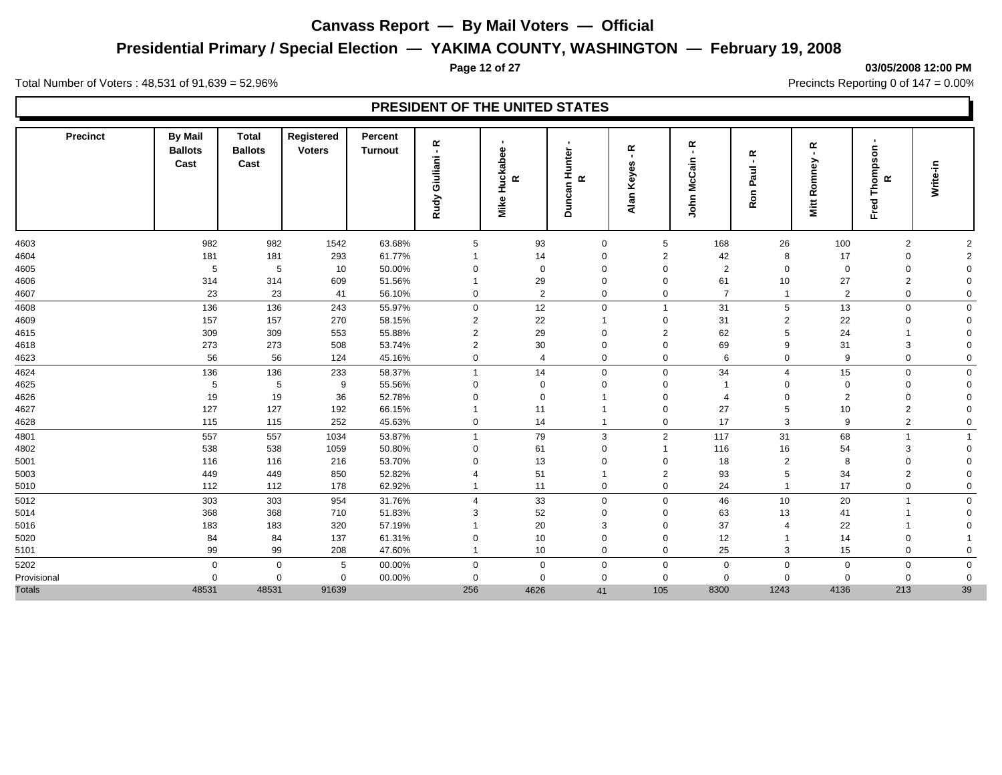## **Presidential Primary / Special Election — YAKIMA COUNTY, WASHINGTON — February 19, 2008**

#### **Page 12 of 27 03/05/2008 12:00 PM**

Total Number of Voters : 48,531 of 91,639 = 52.96% Precincts Reporting 0 of 147 = 0.00%

| <b>Precinct</b> | <b>By Mail</b><br><b>Ballots</b><br>Cast | <b>Total</b><br><b>Ballots</b><br>Cast | Registered<br><b>Voters</b> | Percent<br><b>Turnout</b> | œ<br>Giuliani-<br>Rudy  | Huckabee<br>$\alpha$<br>Mike | unter<br>I<br>œ<br>Duncan | œ<br>w<br>Keye:<br>Alan | $\propto$<br>$\blacksquare$<br>John McCain | ĸ<br>$\blacksquare$<br>Paul<br>Ron | $\propto$<br>$\mathbf{r}$<br>omney<br>ě<br>Mitt | Thompson<br>$\propto$<br>Fred <sup>-</sup> | Write-in       |  |
|-----------------|------------------------------------------|----------------------------------------|-----------------------------|---------------------------|-------------------------|------------------------------|---------------------------|-------------------------|--------------------------------------------|------------------------------------|-------------------------------------------------|--------------------------------------------|----------------|--|
| 4603            | 982                                      | 982                                    | 1542                        | 63.68%                    | 5                       | 93                           | $\mathbf 0$               | 5                       | 168                                        | 26                                 | 100                                             | $\overline{2}$                             | $\overline{2}$ |  |
| 4604            | 181                                      | 181                                    | 293                         | 61.77%                    | $\overline{\mathbf{1}}$ | 14                           | 0                         | $\overline{2}$          | 42                                         | 8                                  | 17                                              | 0                                          | $\overline{c}$ |  |
| 4605            | 5                                        | 5                                      | 10                          | 50.00%                    | $\Omega$                | $\mathbf 0$                  | $\Omega$                  | $\Omega$                | 2                                          | $\Omega$                           | $\mathbf 0$                                     | $\mathbf 0$                                | $\mathbf 0$    |  |
| 4606            | 314                                      | 314                                    | 609                         | 51.56%                    | -1                      | 29                           | 0                         | $\mathbf 0$             | 61                                         | 10                                 | 27                                              | $\overline{2}$                             | $\mathbf 0$    |  |
| 4607            | 23                                       | 23                                     | 41                          | 56.10%                    | $\mathbf 0$             | 2                            | 0                         | 0                       | $\overline{7}$                             |                                    | $\overline{2}$                                  | $\mathbf 0$                                | $\mathbf 0$    |  |
| 4608            | 136                                      | 136                                    | 243                         | 55.97%                    | $\mathbf 0$             | 12                           | $\Omega$                  | $\mathbf{1}$            | 31                                         | 5                                  | 13                                              | $\mathbf 0$                                | $\mathbf 0$    |  |
| 4609            | 157                                      | 157                                    | 270                         | 58.15%                    | $\overline{2}$          | 22                           |                           | 0                       | 31                                         | $\overline{2}$                     | 22                                              | $\mathbf 0$                                | $\Omega$       |  |
| 4615            | 309                                      | 309                                    | 553                         | 55.88%                    | $\overline{2}$          | 29                           | $\Omega$                  | $\overline{2}$          | 62                                         | 5                                  | 24                                              |                                            | $\Omega$       |  |
| 4618            | 273                                      | 273                                    | 508                         | 53.74%                    | 2                       | 30                           | $\overline{0}$            | 0                       | 69                                         | 9                                  | 31                                              | 3                                          | $\Omega$       |  |
| 4623            | 56                                       | 56                                     | 124                         | 45.16%                    | $\mathbf 0$             | $\overline{4}$               | 0                         | 0                       | 6                                          | $\mathbf 0$                        | 9                                               | $\mathbf 0$                                | $\mathbf 0$    |  |
| 4624            | 136                                      | 136                                    | 233                         | 58.37%                    | $\overline{1}$          | 14                           | $\Omega$                  | 0                       | 34                                         | $\boldsymbol{\Delta}$              | 15                                              | $\mathbf 0$                                | $\mathbf 0$    |  |
| 4625            | 5                                        | 5                                      | 9                           | 55.56%                    | 0                       | $\Omega$                     | 0                         | $\Omega$                |                                            | $\Omega$                           | $\Omega$                                        | $\Omega$                                   | $\Omega$       |  |
| 4626            | 19                                       | 19                                     | 36                          | 52.78%                    | $\Omega$                | $\mathbf 0$                  |                           | 0                       | $\overline{4}$                             | $\Omega$                           | $\overline{2}$                                  | $\mathbf 0$                                | $\Omega$       |  |
| 4627            | 127                                      | 127                                    | 192                         | 66.15%                    | -1                      | 11                           |                           | 0                       | 27                                         | 5                                  | 10                                              | $\overline{2}$                             | $\Omega$       |  |
| 4628            | 115                                      | 115                                    | 252                         | 45.63%                    | $\mathbf 0$             | 14                           |                           | 0                       | 17                                         | 3                                  | 9                                               | $\overline{2}$                             | $\Omega$       |  |
| 4801            | 557                                      | 557                                    | 1034                        | 53.87%                    | $\overline{1}$          | 79                           | 3                         | $\overline{2}$          | 117                                        | 31                                 | 68                                              | $\overline{1}$                             |                |  |
| 4802            | 538                                      | 538                                    | 1059                        | 50.80%                    | $\mathbf 0$             | 61                           | 0                         | $\overline{1}$          | 116                                        | 16                                 | 54                                              | 3                                          | $\Omega$       |  |
| 5001            | 116                                      | 116                                    | 216                         | 53.70%                    | $\Omega$                | 13                           | $\Omega$                  | 0                       | 18                                         | $\overline{2}$                     | 8                                               | 0                                          | $\Omega$       |  |
| 5003            | 449                                      | 449                                    | 850                         | 52.82%                    | 4                       | 51                           |                           | 2                       | 93                                         | 5                                  | 34                                              | $\overline{2}$                             | $\Omega$       |  |
| 5010            | 112                                      | 112                                    | 178                         | 62.92%                    | -1                      | 11                           | $\mathbf 0$               | 0                       | 24                                         |                                    | 17                                              | 0                                          | $\mathbf 0$    |  |
| 5012            | 303                                      | 303                                    | 954                         | 31.76%                    | $\overline{4}$          | 33                           | $\mathbf 0$               | $\mathbf 0$             | 46                                         | 10                                 | 20                                              | $\overline{1}$                             | $\mathbf 0$    |  |
| 5014            | 368                                      | 368                                    | 710                         | 51.83%                    | 3                       | 52                           | 0                         | 0                       | 63                                         | 13                                 | 41                                              |                                            | $\Omega$       |  |
| 5016            | 183                                      | 183                                    | 320                         | 57.19%                    | $\overline{\mathbf{1}}$ | 20                           | 3                         | 0                       | 37                                         |                                    | 22                                              |                                            | $\Omega$       |  |
| 5020            | 84                                       | 84                                     | 137                         | 61.31%                    | $\Omega$                | 10                           | $\Omega$                  | $\Omega$                | 12                                         |                                    | 14                                              | $\mathbf 0$                                |                |  |
| 5101            | 99                                       | 99                                     | 208                         | 47.60%                    | -1                      | 10                           | $\mathbf 0$               | 0                       | 25                                         | 3                                  | 15                                              | $\mathbf 0$                                | $\Omega$       |  |
| 5202            | $\mathbf 0$                              | $\mathbf 0$                            | 5                           | 00.00%                    | $\mathbf 0$             | $\mathbf 0$                  | $\Omega$                  | 0                       | $\mathbf 0$                                | $\Omega$                           | $\mathbf{0}$                                    | 0                                          | $\mathbf 0$    |  |
| Provisional     | $\mathbf 0$                              | $\Omega$                               | $\mathbf 0$                 | 00.00%                    | 0                       | $\mathbf 0$                  | $\mathbf 0$               | 0                       | $\mathbf 0$                                | $\Omega$                           | $\Omega$                                        | $\mathbf 0$                                | $\mathbf 0$    |  |
| <b>Totals</b>   | 48531                                    | 48531                                  | 91639                       |                           | 256                     | 4626                         | 41                        | 105                     | 8300                                       | 1243                               | 4136                                            | 213                                        | 39             |  |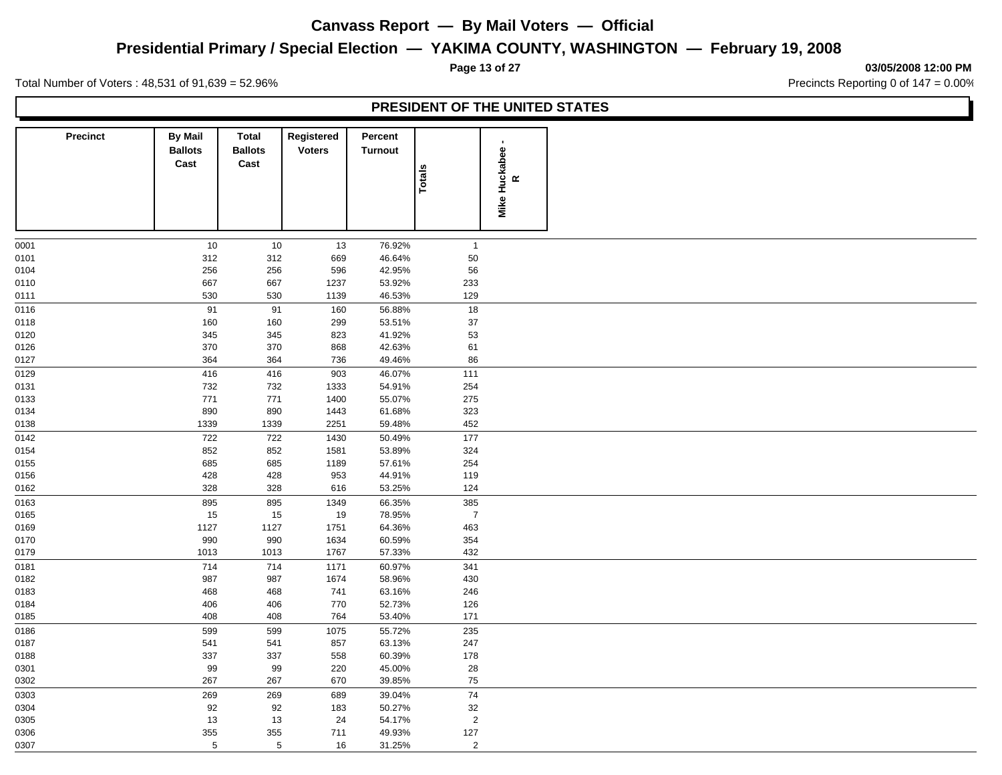## **Presidential Primary / Special Election — YAKIMA COUNTY, WASHINGTON — February 19, 2008**

#### **Page 13 of 27 03/05/2008 12:00 PM**

Total Number of Voters : 48,531 of 91,639 = 52.96% Precincts Reporting 0 of 147 = 0.00%

|                 |                                          |                                 |                             |                           | PRESIDENT OF THE UNITED STATES |                            |  |
|-----------------|------------------------------------------|---------------------------------|-----------------------------|---------------------------|--------------------------------|----------------------------|--|
| <b>Precinct</b> | <b>By Mail</b><br><b>Ballots</b><br>Cast | Total<br><b>Ballots</b><br>Cast | Registered<br><b>Voters</b> | Percent<br><b>Turnout</b> | <b>Totals</b>                  | Mike Huckabee<br>$\propto$ |  |
| 0001            | 10                                       | 10                              | 13                          | 76.92%                    | $\overline{1}$                 |                            |  |
| 0101            | 312                                      | 312                             | 669                         | 46.64%                    | 50                             |                            |  |
| 0104            | 256                                      | 256                             | 596                         | 42.95%                    | 56                             |                            |  |
| 0110            | 667                                      | 667                             | 1237                        | 53.92%                    | 233                            |                            |  |
| 0111            | 530                                      | 530                             | 1139                        | 46.53%                    | 129                            |                            |  |
| 0116            | 91                                       | 91                              | 160                         | 56.88%                    | 18                             |                            |  |
| 0118            | 160                                      | 160                             | 299                         | 53.51%                    | 37                             |                            |  |
| 0120            | 345                                      | 345                             | 823                         | 41.92%                    | 53                             |                            |  |
| 0126            | 370                                      | 370                             | 868                         | 42.63%                    | 61                             |                            |  |
| 0127            | 364                                      | 364                             | 736                         | 49.46%                    | 86                             |                            |  |
| 0129            | 416                                      | 416                             | 903                         | 46.07%                    | 111                            |                            |  |
| 0131            | 732                                      | 732                             | 1333                        | 54.91%                    | 254                            |                            |  |
| 0133            | 771                                      | 771                             | 1400                        | 55.07%                    | 275                            |                            |  |
| 0134            | 890                                      | 890                             | 1443                        | 61.68%                    | 323                            |                            |  |
| 0138            | 1339                                     | 1339                            | 2251                        | 59.48%                    | 452                            |                            |  |
| 0142            | 722                                      | 722                             | 1430                        | 50.49%                    | 177                            |                            |  |
| 0154            | 852                                      | 852                             | 1581                        | 53.89%                    | 324                            |                            |  |
| 0155            | 685                                      | 685                             | 1189                        | 57.61%                    | 254                            |                            |  |
| 0156            | 428                                      | 428                             | 953                         | 44.91%                    | 119                            |                            |  |
| 0162            | 328                                      | 328                             | 616                         | 53.25%                    | 124                            |                            |  |
| 0163            | 895                                      | 895                             | 1349                        | 66.35%                    | 385                            |                            |  |
| 0165            | 15                                       | 15                              | 19                          | 78.95%                    | $\overline{7}$                 |                            |  |
| 0169            | 1127                                     | 1127                            | 1751                        | 64.36%                    | 463                            |                            |  |
| 0170            | 990                                      | 990                             | 1634                        | 60.59%                    | 354                            |                            |  |
| 0179            | 1013                                     | 1013                            | 1767                        | 57.33%                    | 432                            |                            |  |
| 0181            | 714                                      | 714                             | 1171                        | 60.97%                    | 341                            |                            |  |
| 0182            | 987                                      | 987                             | 1674                        | 58.96%                    | 430                            |                            |  |
| 0183            | 468<br>406                               | 468                             | 741<br>770                  | 63.16%                    | 246                            |                            |  |
| 0184<br>0185    | 408                                      | 406<br>408                      | 764                         | 52.73%<br>53.40%          | 126<br>171                     |                            |  |
|                 |                                          |                                 |                             |                           |                                |                            |  |
| 0186            | 599                                      | 599                             | 1075                        | 55.72%                    | 235                            |                            |  |
| 0187<br>0188    | 541<br>337                               | 541<br>337                      | 857<br>558                  | 63.13%<br>60.39%          | 247<br>178                     |                            |  |
| 0301            | 99                                       | 99                              | 220                         | 45.00%                    | 28                             |                            |  |
| 0302            | 267                                      | 267                             | 670                         | 39.85%                    | 75                             |                            |  |
| 0303            | 269                                      | 269                             | 689                         | 39.04%                    | 74                             |                            |  |
| 0304            | 92                                       | 92                              | 183                         | 50.27%                    | 32                             |                            |  |
| 0305            | 13                                       | 13                              | 24                          | 54.17%                    | $\overline{2}$                 |                            |  |
| 0306            | 355                                      | 355                             | 711                         | 49.93%                    | 127                            |                            |  |
| 0307            | 5                                        | $5\phantom{.0}$                 | 16                          | 31.25%                    | $\overline{2}$                 |                            |  |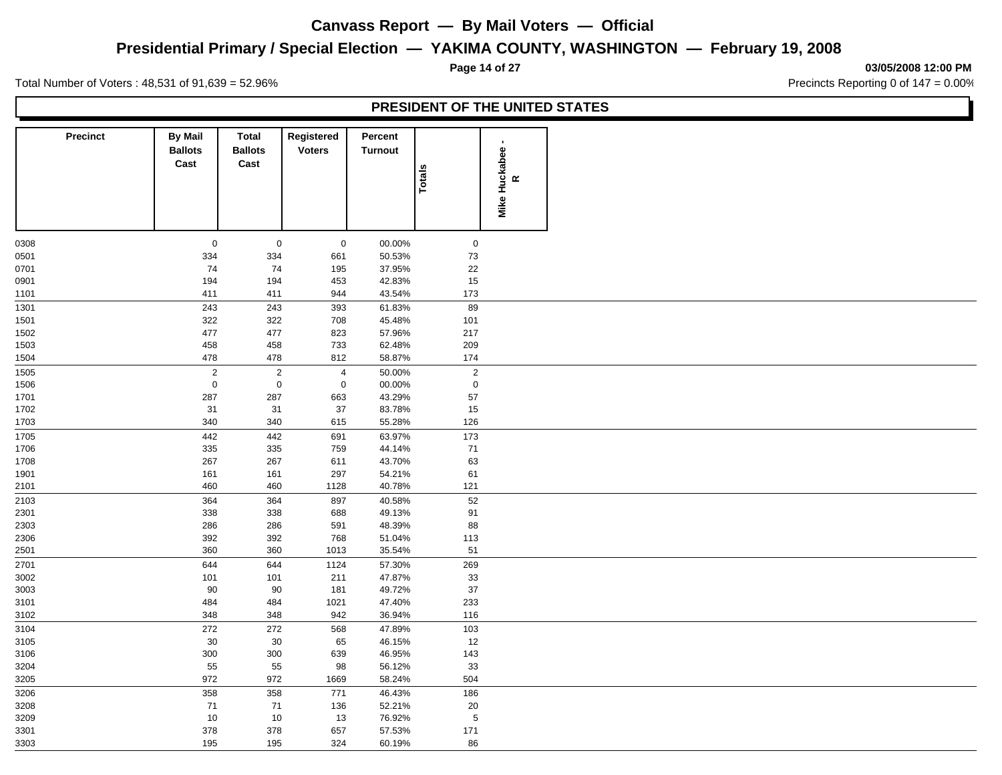## **Presidential Primary / Special Election — YAKIMA COUNTY, WASHINGTON — February 19, 2008**

**Page 14 of 27 03/05/2008 12:00 PM**

Total Number of Voters : 48,531 of 91,639 = 52.96% Precincts Reporting 0 of 147 = 0.00%

| <b>Precinct</b> | <b>By Mail</b><br><b>Ballots</b><br>Cast | <b>Total</b><br><b>Ballots</b><br>Cast | Registered<br><b>Voters</b> | Percent<br><b>Turnout</b> |                 |                      |
|-----------------|------------------------------------------|----------------------------------------|-----------------------------|---------------------------|-----------------|----------------------|
|                 |                                          |                                        |                             |                           | Totals          | Mike Huckabee -<br>R |
| 0308            | $\mathbf 0$                              | $\mathbf 0$                            | $\mathbf 0$                 | 00.00%                    | $\mathsf 0$     |                      |
| 0501            | 334                                      | 334                                    | 661                         | 50.53%                    | $73\,$          |                      |
| 0701            | 74                                       | 74                                     | 195                         | 37.95%                    | 22              |                      |
| 0901            | 194                                      | 194                                    | 453                         | 42.83%                    | 15              |                      |
| 1101            | 411                                      | 411                                    | 944                         | 43.54%                    | 173             |                      |
| 1301            | 243                                      | 243                                    | 393                         | 61.83%                    | 89              |                      |
| 1501            | 322                                      | 322                                    | 708                         | 45.48%                    | 101             |                      |
| 1502            | 477                                      | 477                                    | 823                         | 57.96%                    | 217             |                      |
| 1503            | 458                                      | 458                                    | 733                         | 62.48%                    | 209             |                      |
| 1504            | 478                                      | 478                                    | 812                         | 58.87%                    | 174             |                      |
| 1505            | $\overline{2}$                           | $\overline{2}$                         | $\overline{4}$              | 50.00%                    | $\mathbf 2$     |                      |
| 1506            | $\mathbf 0$                              | $\mathsf 0$                            | $\mathbf 0$                 | 00.00%                    | $\mathbf 0$     |                      |
| 1701            | 287                                      | 287                                    | 663                         | 43.29%                    | 57              |                      |
| 1702            | 31                                       | 31                                     | 37                          | 83.78%                    | $15\,$          |                      |
| 1703            | 340                                      | 340                                    | 615                         | 55.28%                    | 126             |                      |
| 1705            | 442                                      | 442                                    | 691                         | 63.97%                    | 173             |                      |
| 1706            | 335                                      | 335                                    | 759                         | 44.14%                    | 71              |                      |
| 1708            | 267                                      | 267                                    | 611                         | 43.70%                    | 63              |                      |
| 1901            | 161                                      | 161                                    | 297                         | 54.21%                    | 61              |                      |
| 2101            | 460                                      | 460                                    | 1128                        | 40.78%                    | 121             |                      |
| 2103            | 364<br>338                               | 364                                    | 897                         | 40.58%                    | $\overline{52}$ |                      |
| 2301<br>2303    | 286                                      | 338<br>286                             | 688<br>591                  | 49.13%<br>48.39%          | 91<br>88        |                      |
| 2306            | 392                                      | 392                                    | 768                         | 51.04%                    | 113             |                      |
| 2501            | 360                                      | 360                                    | 1013                        | 35.54%                    | 51              |                      |
| 2701            | 644                                      | 644                                    | 1124                        | 57.30%                    | 269             |                      |
| 3002            | 101                                      | 101                                    | 211                         | 47.87%                    | 33              |                      |
| 3003            | 90                                       | 90                                     | 181                         | 49.72%                    | $37\,$          |                      |
| 3101            | 484                                      | 484                                    | 1021                        | 47.40%                    | 233             |                      |
| 3102            | 348                                      | 348                                    | 942                         | 36.94%                    | 116             |                      |
| 3104            | 272                                      | 272                                    | 568                         | 47.89%                    | 103             |                      |
| 3105            | 30                                       | 30                                     | 65                          | 46.15%                    | 12              |                      |
| 3106            | 300                                      | 300                                    | 639                         | 46.95%                    | 143             |                      |
| 3204            | 55                                       | 55                                     | 98                          | 56.12%                    | 33              |                      |
| 3205            | 972                                      | 972                                    | 1669                        | 58.24%                    | 504             |                      |
| 3206            | 358                                      | 358                                    | 771                         | 46.43%                    | 186             |                      |
| 3208            | 71                                       | 71                                     | 136                         | 52.21%                    | 20              |                      |
| 3209            | 10                                       | $10$                                   | 13                          | 76.92%                    | $\sqrt{5}$      |                      |
| 3301            | 378                                      | 378                                    | 657                         | 57.53%                    | 171             |                      |
| 3303            | 195                                      | 195                                    | 324                         | 60.19%                    | 86              |                      |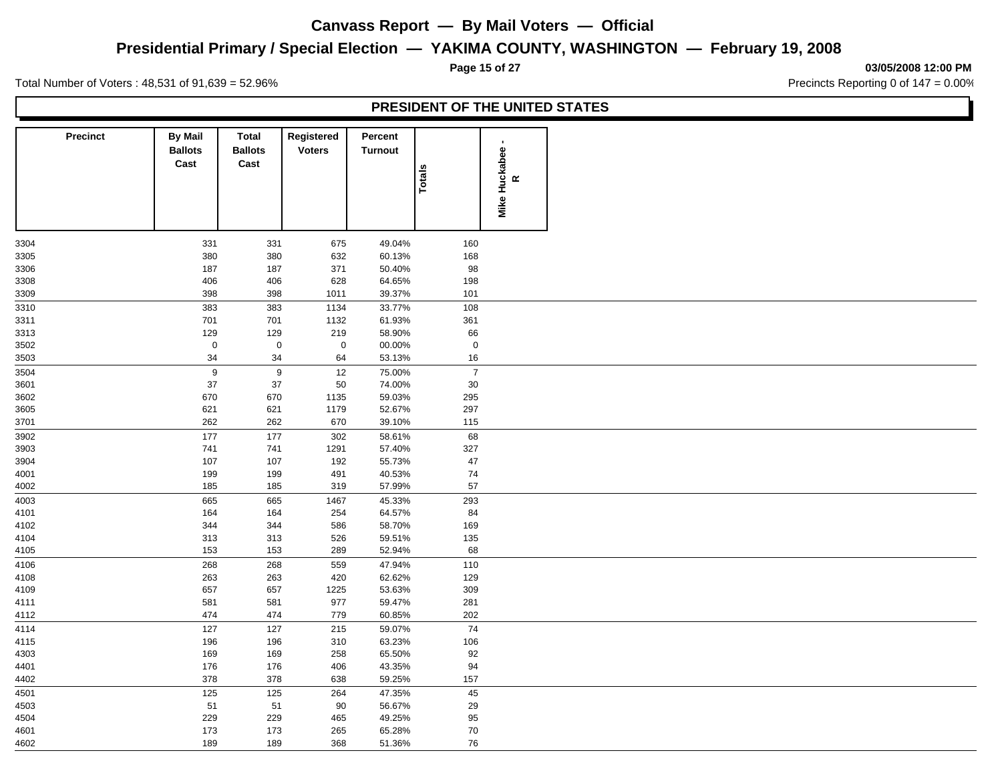## **Presidential Primary / Special Election — YAKIMA COUNTY, WASHINGTON — February 19, 2008**

**Page 15 of 27 03/05/2008 12:00 PM**

Total Number of Voters : 48,531 of 91,639 = 52.96% Precincts Reporting 0 of 147 = 0.00%

| <b>Precinct</b>  | <b>By Mail</b><br><b>Ballots</b><br>Cast | <b>Total</b><br><b>Ballots</b><br>Cast | Registered<br><b>Voters</b> | Percent<br><b>Turnout</b> |                |                      |  |
|------------------|------------------------------------------|----------------------------------------|-----------------------------|---------------------------|----------------|----------------------|--|
|                  |                                          |                                        |                             |                           | Totals         | Mike Huckabee -<br>R |  |
| 3304             | 331                                      | 331                                    | 675                         | 49.04%                    | 160            |                      |  |
| 3305             | 380                                      | 380                                    | 632                         | 60.13%                    | 168            |                      |  |
| 3306             | 187                                      | 187                                    | 371                         | 50.40%                    | 98             |                      |  |
| 3308             | 406                                      | 406                                    | 628                         | 64.65%                    | 198            |                      |  |
| 3309             | 398                                      | 398                                    | 1011                        | 39.37%                    | 101            |                      |  |
| $\frac{1}{3310}$ | 383                                      | 383                                    | 1134                        | 33.77%                    | 108            |                      |  |
| 3311             | 701                                      | 701                                    | 1132                        | 61.93%                    | 361            |                      |  |
| 3313             | 129                                      | 129                                    | 219                         | 58.90%                    | 66             |                      |  |
| 3502             | $\mathsf 0$                              | $\mathbf 0$                            | $\mathbf 0$                 | 00.00%                    | $\mathbf 0$    |                      |  |
| 3503             | 34                                       | 34                                     | 64                          | 53.13%                    | 16             |                      |  |
| 3504             | $\boldsymbol{9}$                         | $9\,$                                  | 12                          | 75.00%                    | $\overline{7}$ |                      |  |
| 3601             | 37                                       | $37\,$                                 | 50                          | 74.00%                    | $30\,$         |                      |  |
| 3602             | 670                                      | 670                                    | 1135                        | 59.03%                    | 295            |                      |  |
| 3605             | 621                                      | 621                                    | 1179                        | 52.67%                    | 297            |                      |  |
| 3701             | 262                                      | 262                                    | 670                         | 39.10%                    | 115            |                      |  |
| 3902             | 177                                      | 177                                    | 302                         | 58.61%                    | 68             |                      |  |
| 3903             | 741                                      | 741                                    | 1291                        | 57.40%                    | 327            |                      |  |
| 3904             | 107                                      | 107                                    | 192                         | 55.73%                    | 47             |                      |  |
| 4001             | 199                                      | 199                                    | 491                         | 40.53%                    | $74\,$<br>57   |                      |  |
| 4002             | 185                                      | 185                                    | 319                         | 57.99%                    |                |                      |  |
| 4003             | 665                                      | 665                                    | 1467                        | 45.33%                    | 293            |                      |  |
| 4101             | 164                                      | 164                                    | 254                         | 64.57%                    | 84             |                      |  |
| 4102             | 344                                      | 344                                    | 586                         | 58.70%                    | 169            |                      |  |
| 4104             | 313                                      | 313                                    | 526                         | 59.51%                    | 135<br>68      |                      |  |
| 4105             | 153                                      | 153                                    | 289                         | 52.94%                    |                |                      |  |
| 4106             | 268<br>263                               | 268<br>263                             | 559                         | 47.94%<br>62.62%          | 110            |                      |  |
| 4108<br>4109     | 657                                      | 657                                    | 420<br>1225                 | 53.63%                    | 129<br>309     |                      |  |
| 4111             | 581                                      | 581                                    | 977                         | 59.47%                    | 281            |                      |  |
| 4112             | 474                                      | 474                                    | 779                         | 60.85%                    | 202            |                      |  |
| 4114             | 127                                      | 127                                    | 215                         | 59.07%                    | $74\,$         |                      |  |
| 4115             | 196                                      | 196                                    | 310                         | 63.23%                    | 106            |                      |  |
| 4303             | 169                                      | 169                                    | 258                         | 65.50%                    | 92             |                      |  |
| 4401             | 176                                      | 176                                    | 406                         | 43.35%                    | 94             |                      |  |
| 4402             | 378                                      | 378                                    | 638                         | 59.25%                    | 157            |                      |  |
| 4501             | 125                                      | 125                                    | 264                         | 47.35%                    | 45             |                      |  |
| 4503             | 51                                       | 51                                     | 90                          | 56.67%                    | 29             |                      |  |
| 4504             | 229                                      | 229                                    | 465                         | 49.25%                    | 95             |                      |  |
| 4601             | 173                                      | 173                                    | 265                         | 65.28%                    | $70\,$         |                      |  |
| 4602             | 189                                      | 189                                    | 368                         | 51.36%                    | 76             |                      |  |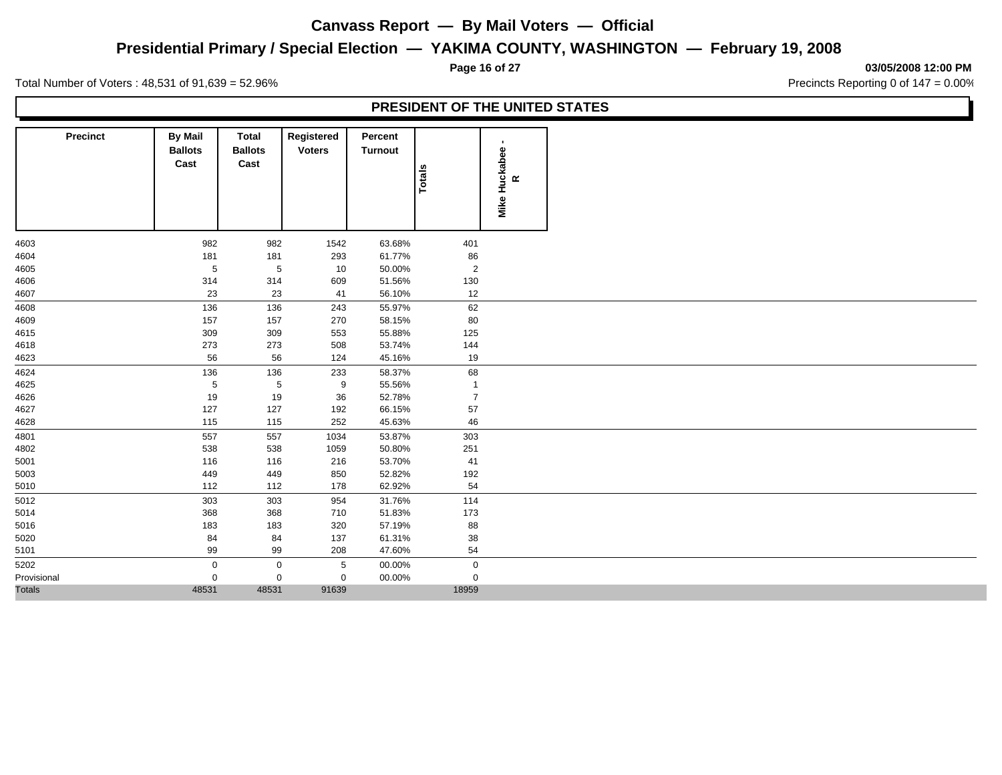## **Presidential Primary / Special Election — YAKIMA COUNTY, WASHINGTON — February 19, 2008**

**Page 16 of 27 03/05/2008 12:00 PM**

Total Number of Voters : 48,531 of 91,639 = 52.96% Precincts Reporting 0 of 147 = 0.00%

| <b>Precinct</b> | <b>By Mail</b><br><b>Ballots</b><br>Cast | <b>Total</b><br><b>Ballots</b><br>Cast | Registered<br><b>Voters</b> | Percent<br>Turnout | <b>Totals</b>  | Mike Huckabee -<br>R |
|-----------------|------------------------------------------|----------------------------------------|-----------------------------|--------------------|----------------|----------------------|
| 4603            | 982                                      | 982                                    | 1542                        | 63.68%             | 401            |                      |
| 4604            | 181                                      | 181                                    | 293                         | 61.77%             | $86\,$         |                      |
| 4605            | $\,$ 5 $\,$                              | $\,$ 5 $\,$                            | $10$                        | 50.00%             | $\sqrt{2}$     |                      |
| 4606            | 314                                      | 314                                    | 609                         | 51.56%             | 130            |                      |
| 4607            | 23                                       | 23                                     | 41                          | 56.10%             | 12             |                      |
| 4608            | 136                                      | 136                                    | 243                         | 55.97%             | 62             |                      |
| 4609            | 157                                      | 157                                    | 270                         | 58.15%             | 80             |                      |
| 4615            | 309                                      | 309                                    | 553                         | 55.88%             | 125            |                      |
| 4618            | 273                                      | 273                                    | 508                         | 53.74%             | 144            |                      |
| 4623            | 56                                       | 56                                     | 124                         | 45.16%             | 19             |                      |
| 4624            | 136                                      | 136                                    | 233                         | 58.37%             | 68             |                      |
| 4625            | $\,$ 5 $\,$                              | $\sqrt{5}$                             | 9                           | 55.56%             | $\overline{1}$ |                      |
| 4626            | 19                                       | 19                                     | 36                          | 52.78%             | $\overline{7}$ |                      |
| 4627            | 127                                      | 127                                    | 192                         | 66.15%             | 57             |                      |
| 4628            | 115                                      | 115                                    | 252                         | 45.63%             | 46             |                      |
| 4801            | 557                                      | 557                                    | 1034                        | 53.87%             | 303            |                      |
| 4802            | 538                                      | 538                                    | 1059                        | 50.80%             | 251            |                      |
| 5001            | 116                                      | 116                                    | 216                         | 53.70%             | 41             |                      |
| 5003            | 449                                      | 449                                    | 850                         | 52.82%             | 192            |                      |
| 5010            | 112                                      | 112                                    | 178                         | 62.92%             | 54             |                      |
| 5012            | 303                                      | 303                                    | 954                         | 31.76%             | 114            |                      |
| 5014            | 368                                      | 368                                    | 710                         | 51.83%             | 173            |                      |
| 5016            | 183                                      | 183                                    | 320                         | 57.19%             | 88             |                      |
| 5020            | 84                                       | 84                                     | 137                         | 61.31%             | 38             |                      |
| 5101            | 99                                       | 99                                     | 208                         | 47.60%             | 54             |                      |
| 5202            | $\mathbf 0$                              | $\mathbf 0$                            | 5                           | 00.00%             | $\mathbf 0$    |                      |
| Provisional     | 0                                        | $\mathbf 0$                            | $\mathbf 0$                 | 00.00%             | $\mathbf 0$    |                      |
| <b>Totals</b>   | 48531                                    | 48531                                  | 91639                       |                    | 18959          |                      |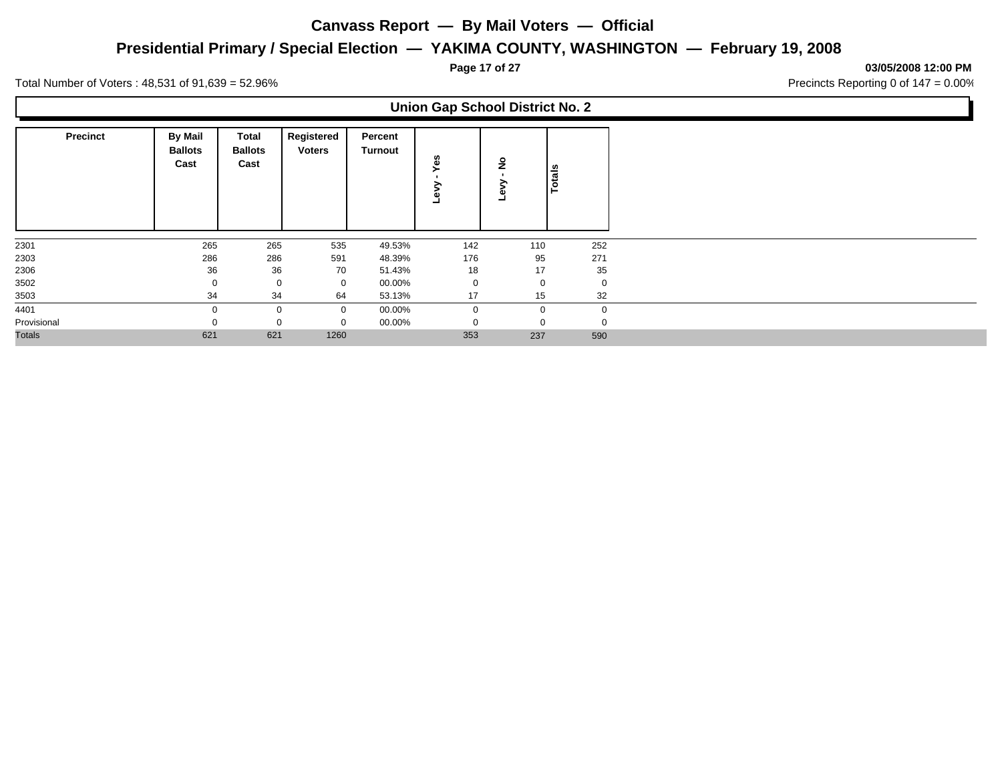## **Presidential Primary / Special Election — YAKIMA COUNTY, WASHINGTON — February 19, 2008**

**Page 17 of 27 03/05/2008 12:00 PM**

Total Number of Voters : 48,531 of 91,639 = 52.96% Precincts Reporting 0 of 147 = 0.00%

Γ

|                 |                                          |                                 |                             |                           | <b>Union Gap School District No. 2</b> |          |                   |
|-----------------|------------------------------------------|---------------------------------|-----------------------------|---------------------------|----------------------------------------|----------|-------------------|
| <b>Precinct</b> | <b>By Mail</b><br><b>Ballots</b><br>Cast | Total<br><b>Ballots</b><br>Cast | Registered<br><b>Voters</b> | Percent<br><b>Turnout</b> | Yes<br>≩                               | ۽        | <b>otals</b><br>⊢ |
| 2301            | 265                                      | 265                             | 535                         | 49.53%                    | 142                                    | 110      | 252               |
| 2303            | 286                                      | 286                             | 591                         | 48.39%                    | 176                                    | 95       | 271               |
| 2306            | 36                                       | 36                              | 70                          | 51.43%                    | 18                                     | 17       | 35                |
| 3502            | $\Omega$                                 | 0                               | 0                           | 00.00%                    | $\mathbf 0$                            | $\Omega$ | $\mathbf 0$       |
| 3503            | 34                                       | 34                              | 64                          | 53.13%                    | 17                                     | 15       | 32                |
| 4401            |                                          | 0                               | $\mathbf 0$                 | 00.00%                    | $\Omega$                               | $\Omega$ |                   |
| Provisional     |                                          | 0                               | 0                           | 00.00%                    |                                        |          |                   |
| <b>Totals</b>   | 621                                      | 621                             | 1260                        |                           | 353                                    | 237      | 590               |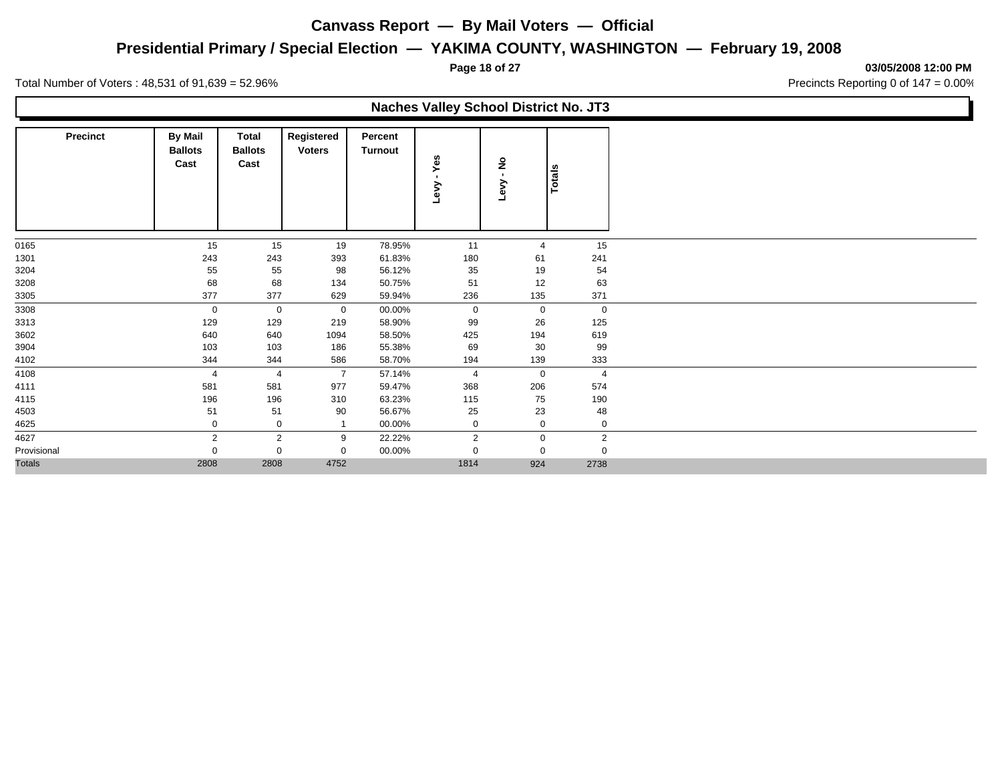## **Presidential Primary / Special Election — YAKIMA COUNTY, WASHINGTON — February 19, 2008**

**Page 18 of 27 03/05/2008 12:00 PM**

Total Number of Voters : 48,531 of 91,639 = 52.96% Precincts Reporting 0 of 147 = 0.00%

L

|                 |                                          |                                        |                             |                           | <b>Naches Valley School District No. JT3</b> |             |                |
|-----------------|------------------------------------------|----------------------------------------|-----------------------------|---------------------------|----------------------------------------------|-------------|----------------|
| <b>Precinct</b> | <b>By Mail</b><br><b>Ballots</b><br>Cast | <b>Total</b><br><b>Ballots</b><br>Cast | Registered<br><b>Voters</b> | Percent<br><b>Turnout</b> | Yes<br>Levy                                  | ş<br>Levy   | Totals         |
| 0165            | 15                                       | 15                                     | 19                          | 78.95%                    | 11                                           | 4           | 15             |
| 1301            | 243                                      | 243                                    | 393                         | 61.83%                    | 180                                          | 61          | 241            |
| 3204            | 55                                       | 55                                     | 98                          | 56.12%                    | 35                                           | 19          | 54             |
| 3208            | 68                                       | 68                                     | 134                         | 50.75%                    | 51                                           | 12          | 63             |
| 3305            | 377                                      | 377                                    | 629                         | 59.94%                    | 236                                          | 135         | 371            |
| 3308            | $\mathbf 0$                              | 0                                      | $\mathbf 0$                 | 00.00%                    | $\mathbf 0$                                  | 0           | 0              |
| 3313            | 129                                      | 129                                    | 219                         | 58.90%                    | 99                                           | 26          | 125            |
| 3602            | 640                                      | 640                                    | 1094                        | 58.50%                    | 425                                          | 194         | 619            |
| 3904            | 103                                      | 103                                    | 186                         | 55.38%                    | 69                                           | 30          | 99             |
| 4102            | 344                                      | 344                                    | 586                         | 58.70%                    | 194                                          | 139         | 333            |
| 4108            | 4                                        | 4                                      | $\overline{7}$              | 57.14%                    | 4                                            | $\mathbf 0$ | 4              |
| 4111            | 581                                      | 581                                    | 977                         | 59.47%                    | 368                                          | 206         | 574            |
| 4115            | 196                                      | 196                                    | 310                         | 63.23%                    | 115                                          | 75          | 190            |
| 4503            | 51                                       | 51                                     | 90                          | 56.67%                    | 25                                           | 23          | 48             |
| 4625            | 0                                        | 0                                      | -1                          | 00.00%                    | $\mathbf 0$                                  | 0           | $\mathbf 0$    |
| 4627            | 2                                        | $\overline{2}$                         | 9                           | 22.22%                    | $\overline{2}$                               | 0           | $\overline{2}$ |
| Provisional     | $\mathbf 0$                              | 0                                      | $\mathbf 0$                 | 00.00%                    | $\Omega$                                     | 0           | 0              |
| <b>Totals</b>   | 2808                                     | 2808                                   | 4752                        |                           | 1814                                         | 924         | 2738           |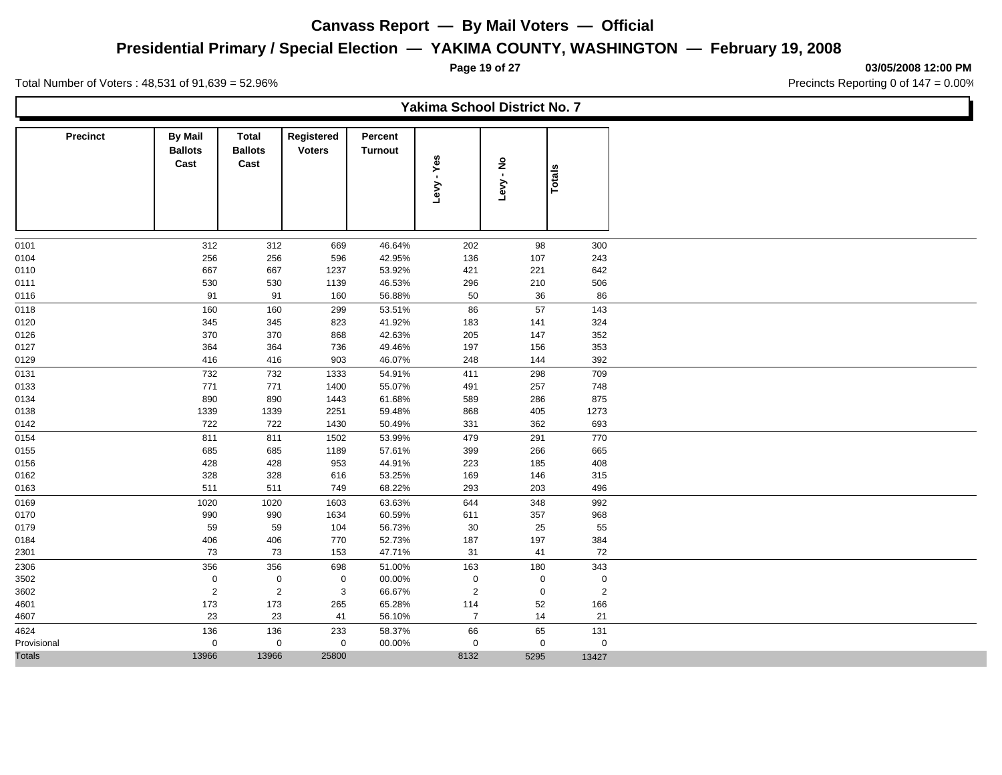## **Presidential Primary / Special Election — YAKIMA COUNTY, WASHINGTON — February 19, 2008**

**Page 19 of 27 03/05/2008 12:00 PM**

Ъ

Total Number of Voters : 48,531 of 91,639 = 52.96% Precincts Reporting 0 of 147 = 0.00%

Г

|                 |                                          |                                        |                             |                    | Yakima School District No. 7 |                        |                |  |
|-----------------|------------------------------------------|----------------------------------------|-----------------------------|--------------------|------------------------------|------------------------|----------------|--|
| <b>Precinct</b> | <b>By Mail</b><br><b>Ballots</b><br>Cast | <b>Total</b><br><b>Ballots</b><br>Cast | Registered<br><b>Voters</b> | Percent<br>Turnout | Levy - Yes                   | $\frac{5}{5}$<br>Levy. | Totals         |  |
| 0101            | 312                                      | 312                                    | 669                         | 46.64%             | 202                          | 98                     | 300            |  |
| 0104            | 256                                      | 256                                    | 596                         | 42.95%             | 136                          | 107                    | 243            |  |
| 0110            | 667                                      | 667                                    | 1237                        | 53.92%             | 421                          | 221                    | 642            |  |
| 0111            | 530                                      | 530                                    | 1139                        | 46.53%             | 296                          | 210                    | 506            |  |
| 0116            | 91                                       | 91                                     | 160                         | 56.88%             | 50                           | 36                     | 86             |  |
| 0118            | 160                                      | 160                                    | 299                         | 53.51%             | 86                           | 57                     | 143            |  |
| 0120            | 345                                      | 345                                    | 823                         | 41.92%             | 183                          | 141                    | 324            |  |
| 0126            | 370                                      | 370                                    | 868                         | 42.63%             | 205                          | 147                    | 352            |  |
| 0127            | 364                                      | 364                                    | 736                         | 49.46%             | 197                          | 156                    | 353            |  |
| 0129            | 416                                      | 416                                    | 903                         | 46.07%             | 248                          | 144                    | 392            |  |
| 0131            | 732                                      | 732                                    | 1333                        | 54.91%             | 411                          | 298                    | 709            |  |
| 0133            | 771                                      | 771                                    | 1400                        | 55.07%             | 491                          | 257                    | 748            |  |
| 0134            | 890                                      | 890                                    | 1443                        | 61.68%             | 589                          | 286                    | 875            |  |
| 0138            | 1339                                     | 1339                                   | 2251                        | 59.48%             | 868                          | 405                    | 1273           |  |
| 0142            | 722                                      | 722                                    | 1430                        | 50.49%             | 331                          | 362                    | 693            |  |
| 0154            | 811                                      | 811                                    | 1502                        | 53.99%             | 479                          | 291                    | 770            |  |
| 0155            | 685                                      | 685                                    | 1189                        | 57.61%             | 399                          | 266                    | 665            |  |
| 0156            | 428                                      | 428                                    | 953                         | 44.91%             | 223                          | 185                    | 408            |  |
| 0162            | 328                                      | 328                                    | 616                         | 53.25%             | 169                          | 146                    | 315            |  |
| 0163            | 511                                      | 511                                    | 749                         | 68.22%             | 293                          | 203                    | 496            |  |
| 0169            | 1020                                     | 1020                                   | 1603                        | 63.63%             | 644                          | 348                    | 992            |  |
| 0170            | 990                                      | 990                                    | 1634                        | 60.59%             | 611                          | 357                    | 968            |  |
| 0179            | 59                                       | 59                                     | 104                         | 56.73%             | $30\,$                       | 25                     | 55             |  |
| 0184            | 406                                      | 406                                    | 770                         | 52.73%             | 187                          | 197                    | 384            |  |
| 2301            | 73                                       | 73                                     | 153                         | 47.71%             | 31                           | 41                     | 72             |  |
| 2306            | 356                                      | 356                                    | 698                         | 51.00%             | 163                          | 180                    | 343            |  |
| 3502            | 0                                        | $\mathbf 0$                            | 0                           | 00.00%             | 0                            | $\pmb{0}$              | $\pmb{0}$      |  |
| 3602            | $\overline{2}$                           | $\overline{2}$                         | 3                           | 66.67%             | $\overline{2}$               | $\mathbf 0$            | $\overline{2}$ |  |
| 4601            | 173                                      | 173                                    | 265                         | 65.28%             | 114                          | 52                     | 166            |  |
| 4607            | 23                                       | 23                                     | 41                          | 56.10%             | $\overline{7}$               | 14                     | 21             |  |
| 4624            | 136                                      | 136                                    | 233                         | 58.37%             | 66                           | 65                     | 131            |  |
| Provisional     | 0                                        | $\mathbf 0$                            | $\mathbf 0$                 | 00.00%             | $\boldsymbol{0}$             | $\mathbf 0$            | $\mathbf 0$    |  |
| <b>Totals</b>   | 13966                                    | 13966                                  | 25800                       |                    | 8132                         | 5295                   | 13427          |  |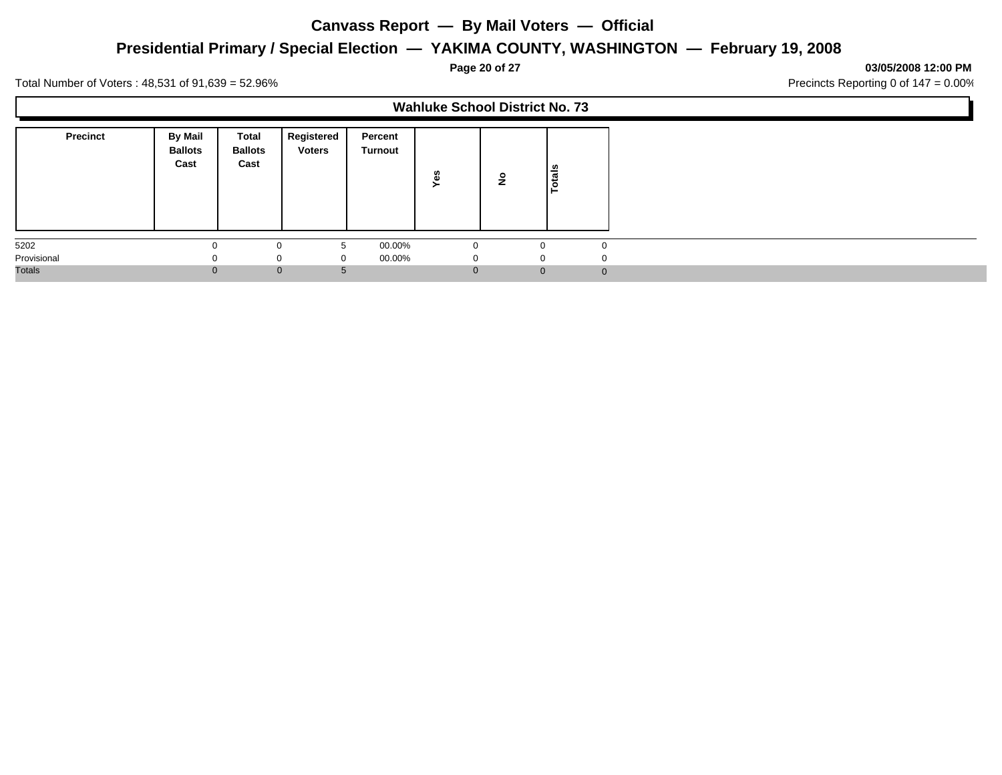## **Presidential Primary / Special Election — YAKIMA COUNTY, WASHINGTON — February 19, 2008**

**Page 20 of 27 03/05/2008 12:00 PM**

Ъ

Total Number of Voters : 48,531 of 91,639 = 52.96% Precincts Reporting 0 of 147 = 0.00%

Г

|                 |                                   |                                        |                             |                    | <b>Wahluke School District No. 73</b> |              |              |
|-----------------|-----------------------------------|----------------------------------------|-----------------------------|--------------------|---------------------------------------|--------------|--------------|
| <b>Precinct</b> | By Mail<br><b>Ballots</b><br>Cast | <b>Total</b><br><b>Ballots</b><br>Cast | Registered<br><b>Voters</b> | Percent<br>Turnout | 8<br>∽                                | ₽            | Totals       |
| 5202            | 0                                 |                                        | 5<br>0                      | 00.00%             | $\Omega$                              |              |              |
| Provisional     | $\Omega$                          | $\Omega$                               | $\Omega$                    | 00.00%             | O                                     | $\Omega$     |              |
| Totals          |                                   | $\mathbf{0}$                           |                             |                    |                                       | $\mathbf{0}$ | $\mathbf{0}$ |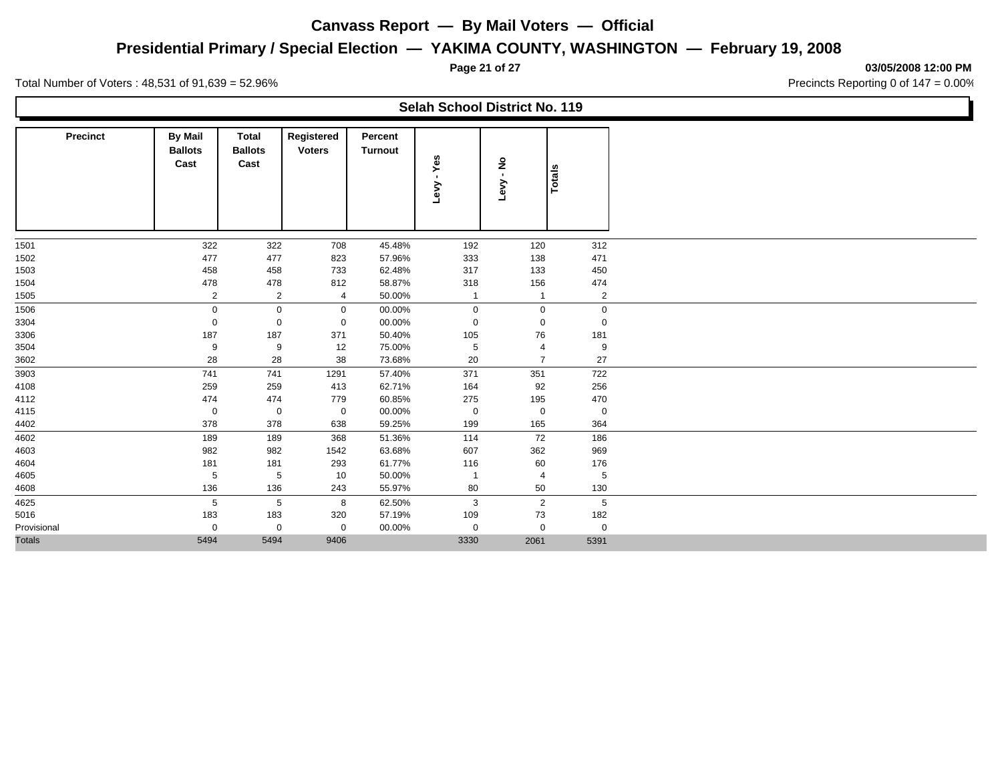## **Presidential Primary / Special Election — YAKIMA COUNTY, WASHINGTON — February 19, 2008**

**Page 21 of 27 03/05/2008 12:00 PM**

Total Number of Voters : 48,531 of 91,639 = 52.96% Precincts Reporting 0 of 147 = 0.00%

 $\mathbf{I}$ 

|                 |                                          |                                        |                             |                           | Selah School District No. 119 |                 |                |  |
|-----------------|------------------------------------------|----------------------------------------|-----------------------------|---------------------------|-------------------------------|-----------------|----------------|--|
| <b>Precinct</b> | <b>By Mail</b><br><b>Ballots</b><br>Cast | <b>Total</b><br><b>Ballots</b><br>Cast | Registered<br><b>Voters</b> | Percent<br><b>Turnout</b> | - Yes<br>Levy                 | ៓<br>វិ<br>Levy | Totals         |  |
| 1501            | 322                                      | 322                                    | 708                         | 45.48%                    | 192                           | 120             | 312            |  |
| 1502            | 477                                      | 477                                    | 823                         | 57.96%                    | 333                           | 138             | 471            |  |
| 1503            | 458                                      | 458                                    | 733                         | 62.48%                    | 317                           | 133             | 450            |  |
| 1504            | 478                                      | 478                                    | 812                         | 58.87%                    | 318                           | 156             | 474            |  |
| 1505            | $\overline{2}$                           | $\overline{2}$                         | $\overline{4}$              | 50.00%                    | $\overline{1}$                | $\overline{1}$  | $\overline{2}$ |  |
| 1506            | $\boldsymbol{0}$                         | $\mathbf 0$                            | $\mathbf 0$                 | 00.00%                    | $\boldsymbol{0}$              | $\mathbf 0$     | $\mathbf 0$    |  |
| 3304            | $\mathbf 0$                              | 0                                      | $\mathbf 0$                 | 00.00%                    | $\mathbf 0$                   | $\mathbf 0$     | $\mathbf 0$    |  |
| 3306            | 187                                      | 187                                    | 371                         | 50.40%                    | 105                           | 76              | 181            |  |
| 3504            | 9                                        | 9                                      | 12                          | 75.00%                    | $\sqrt{5}$                    | 4               | 9              |  |
| 3602            | 28                                       | 28                                     | 38                          | 73.68%                    | 20                            | $\overline{7}$  | 27             |  |
| 3903            | 741                                      | 741                                    | 1291                        | 57.40%                    | 371                           | 351             | 722            |  |
| 4108            | 259                                      | 259                                    | 413                         | 62.71%                    | 164                           | 92              | 256            |  |
| 4112            | 474                                      | 474                                    | 779                         | 60.85%                    | 275                           | 195             | 470            |  |
| 4115            | $\mathbf 0$                              | $\mathbf 0$                            | $\mathbf 0$                 | 00.00%                    | $\mathbf 0$                   | $\mathbf 0$     | $\mathbf 0$    |  |
| 4402            | 378                                      | 378                                    | 638                         | 59.25%                    | 199                           | 165             | 364            |  |
| 4602            | 189                                      | 189                                    | 368                         | 51.36%                    | 114                           | 72              | 186            |  |
| 4603            | 982                                      | 982                                    | 1542                        | 63.68%                    | 607                           | 362             | 969            |  |
| 4604            | 181                                      | 181                                    | 293                         | 61.77%                    | 116                           | 60              | 176            |  |
| 4605            | 5                                        | 5                                      | 10                          | 50.00%                    |                               | 4               | 5              |  |
| 4608            | 136                                      | 136                                    | 243                         | 55.97%                    | 80                            | 50              | 130            |  |
| 4625            | 5                                        | 5                                      | 8                           | 62.50%                    | 3                             | $\overline{2}$  | 5              |  |
| 5016            | 183                                      | 183                                    | 320                         | 57.19%                    | 109                           | 73              | 182            |  |
| Provisional     | $\mathbf 0$                              | $\mathbf 0$                            | $\mathbf 0$                 | 00.00%                    | $\mathbf 0$                   | $\mathbf 0$     | $\mathbf 0$    |  |
| <b>Totals</b>   | 5494                                     | 5494                                   | 9406                        |                           | 3330                          | 2061            | 5391           |  |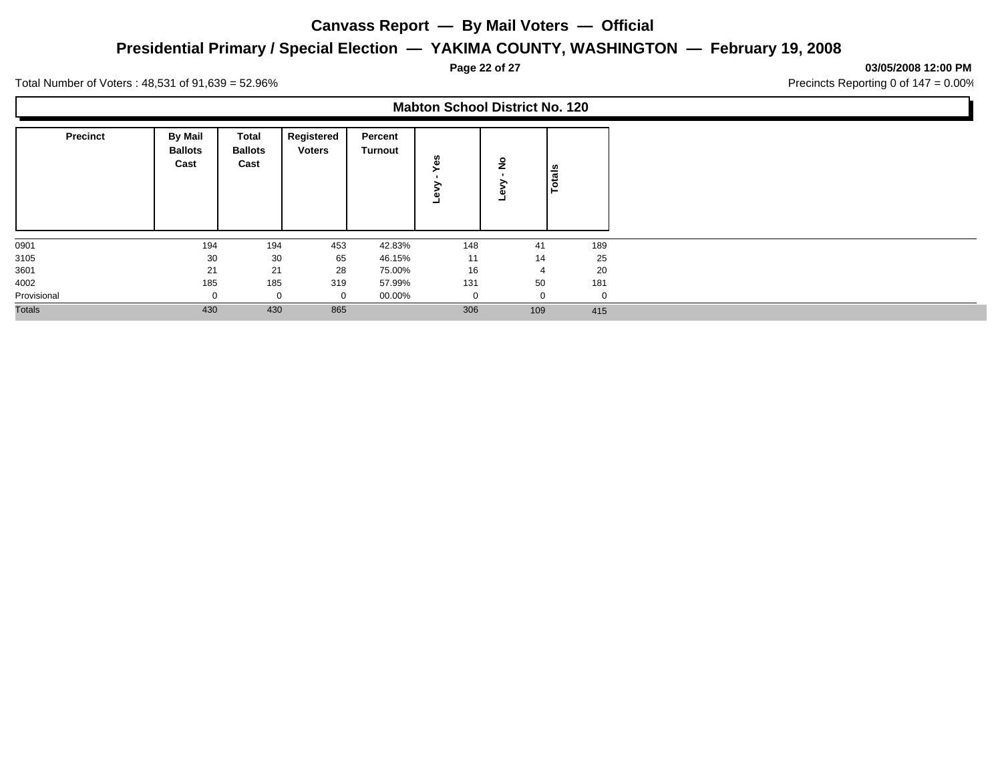## **Presidential Primary / Special Election — YAKIMA COUNTY, WASHINGTON — February 19, 2008**

**Page 22 of 27 03/05/2008 12:00 PM**

Ъ

Total Number of Voters : 48,531 of 91,639 = 52.96% Precincts Reporting 0 of 147 = 0.00%

Г

|                 |                                          |                                        |                             |                           | <b>Mabton School District No. 120</b> |                |               |
|-----------------|------------------------------------------|----------------------------------------|-----------------------------|---------------------------|---------------------------------------|----------------|---------------|
| <b>Precinct</b> | <b>By Mail</b><br><b>Ballots</b><br>Cast | <b>Total</b><br><b>Ballots</b><br>Cast | Registered<br><b>Voters</b> | Percent<br><b>Turnout</b> | n,<br>Φ                               | ۽              | <b>Totals</b> |
| 0901            | 194                                      | 194                                    | 453                         | 42.83%                    | 148                                   | 41             | 189           |
| 3105            | 30                                       | 30                                     | 65                          | 46.15%                    | 11                                    | 14             | 25            |
| 3601            | 21                                       | 21                                     | 28                          | 75.00%                    | 16                                    | $\overline{4}$ | 20            |
| 4002            | 185                                      | 185                                    | 319                         | 57.99%                    | 131                                   | 50             | 181           |
| Provisional     | $\Omega$                                 | $\mathbf 0$                            | $\Omega$                    | 00.00%                    | 0                                     | $\mathbf 0$    | 0             |
| <b>Totals</b>   | 430                                      | 430                                    | 865                         |                           | 306                                   | 109            | 415           |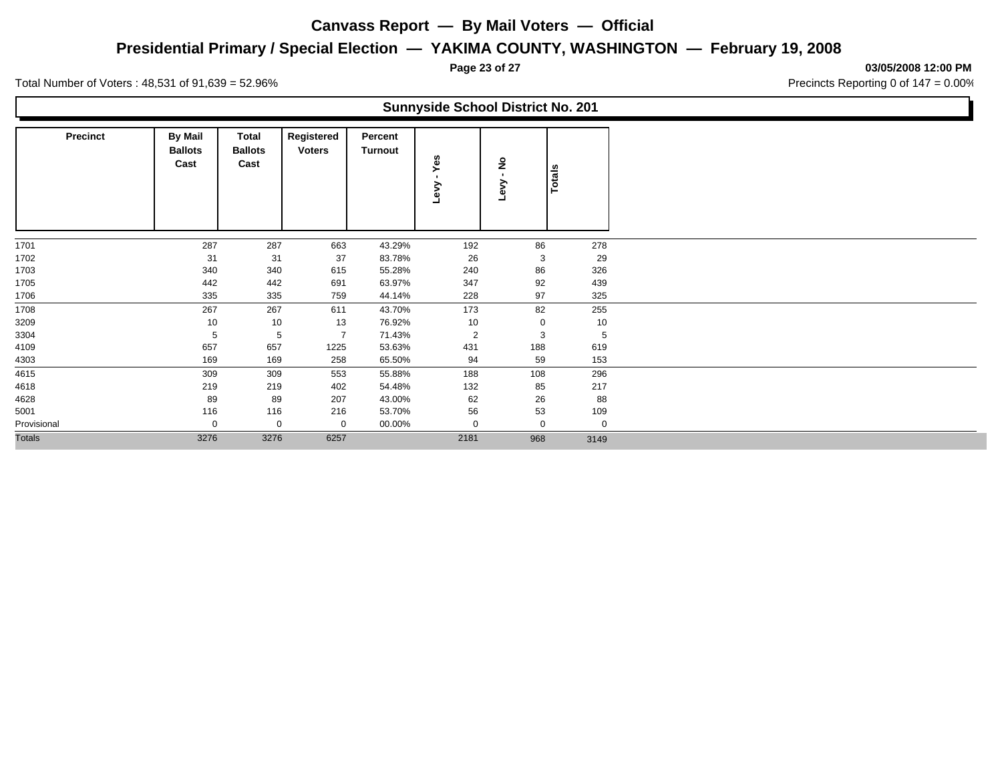## **Presidential Primary / Special Election — YAKIMA COUNTY, WASHINGTON — February 19, 2008**

**Page 23 of 27 03/05/2008 12:00 PM**

Total Number of Voters : 48,531 of 91,639 = 52.96% Precincts Reporting 0 of 147 = 0.00%

Γ

|                 |                                          |                                 |                             |                    | <b>Sunnyside School District No. 201</b> |           |               |
|-----------------|------------------------------------------|---------------------------------|-----------------------------|--------------------|------------------------------------------|-----------|---------------|
| <b>Precinct</b> | <b>By Mail</b><br><b>Ballots</b><br>Cast | Total<br><b>Ballots</b><br>Cast | Registered<br><b>Voters</b> | Percent<br>Turnout | မ္မ<br>≻<br>Lev                          | ş<br>Levy | <b>Totals</b> |
| 1701            | 287                                      | 287                             | 663                         | 43.29%             | 192                                      | 86        | 278           |
| 1702            | 31                                       | 31                              | 37                          | 83.78%             | 26                                       | 3         | 29            |
| 1703            | 340                                      | 340                             | 615                         | 55.28%             | 240                                      | 86        | 326           |
| 1705            | 442                                      | 442                             | 691                         | 63.97%             | 347                                      | 92        | 439           |
| 1706            | 335                                      | 335                             | 759                         | 44.14%             | 228                                      | 97        | 325           |
| 1708            | 267                                      | 267                             | 611                         | 43.70%             | 173                                      | 82        | 255           |
| 3209            | 10                                       | 10                              | 13                          | 76.92%             | 10                                       | 0         | 10            |
| 3304            | 5                                        | 5                               | $\overline{7}$              | 71.43%             | 2                                        | 3         | 5             |
| 4109            | 657                                      | 657                             | 1225                        | 53.63%             | 431                                      | 188       | 619           |
| 4303            | 169                                      | 169                             | 258                         | 65.50%             | 94                                       | 59        | 153           |
| 4615            | 309                                      | 309                             | 553                         | 55.88%             | 188                                      | 108       | 296           |
| 4618            | 219                                      | 219                             | 402                         | 54.48%             | 132                                      | 85        | 217           |
| 4628            | 89                                       | 89                              | 207                         | 43.00%             | 62                                       | 26        | 88            |
| 5001            | 116                                      | 116                             | 216                         | 53.70%             | 56                                       | 53        | 109           |
| Provisional     | 0                                        | 0                               | 0                           | 00.00%             | 0                                        | 0         | 0             |
| <b>Totals</b>   | 3276                                     | 3276                            | 6257                        |                    | 2181                                     | 968       | 3149          |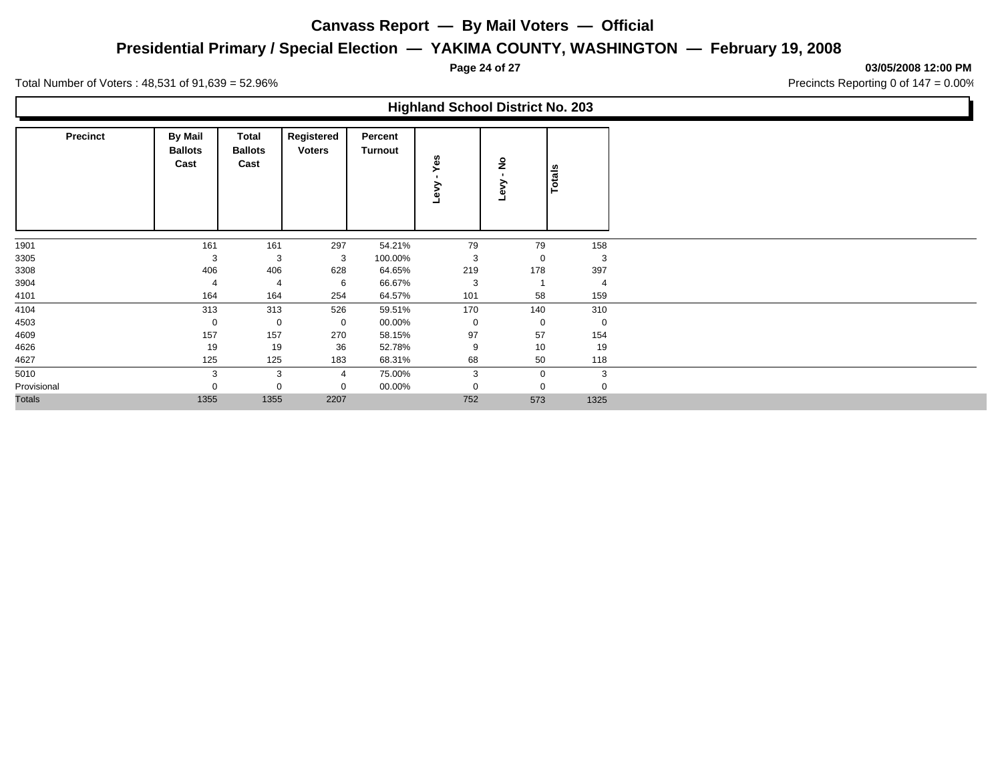## **Presidential Primary / Special Election — YAKIMA COUNTY, WASHINGTON — February 19, 2008**

**Page 24 of 27 03/05/2008 12:00 PM**

Total Number of Voters : 48,531 of 91,639 = 52.96% Precincts Reporting 0 of 147 = 0.00%

Г

|                 |                                   |                                        |                             |                    | <b>Highland School District No. 203</b> |          |               |
|-----------------|-----------------------------------|----------------------------------------|-----------------------------|--------------------|-----------------------------------------|----------|---------------|
| <b>Precinct</b> | By Mail<br><b>Ballots</b><br>Cast | <b>Total</b><br><b>Ballots</b><br>Cast | Registered<br><b>Voters</b> | Percent<br>Turnout | Yes<br>ق                                | ۽        | <b>Totals</b> |
| 1901            | 161                               | 161                                    | 297                         | 54.21%             | 79                                      | 79       | 158           |
| 3305            | 3                                 | 3                                      | 3                           | 100.00%            | 3                                       | 0        | 3             |
| 3308            | 406                               | 406                                    | 628                         | 64.65%             | 219                                     | 178      | 397           |
| 3904            |                                   |                                        | 6                           | 66.67%             | 3                                       |          |               |
| 4101            | 164                               | 164                                    | 254                         | 64.57%             | 101                                     | 58       | 159           |
| 4104            | 313                               | 313                                    | 526                         | 59.51%             | 170                                     | 140      | 310           |
| 4503            | 0                                 | $\mathbf 0$                            | 0                           | 00.00%             | 0                                       | 0        | 0             |
| 4609            | 157                               | 157                                    | 270                         | 58.15%             | 97                                      | 57       | 154           |
| 4626            | 19                                | 19                                     | 36                          | 52.78%             | 9                                       | 10       | 19            |
| 4627            | 125                               | 125                                    | 183                         | 68.31%             | 68                                      | 50       | 118           |
| 5010            | 3                                 | 3                                      | $\overline{4}$              | 75.00%             | 3                                       | 0        | 3             |
| Provisional     |                                   |                                        | 0                           | 00.00%             | 0                                       | $\Omega$ | $\Omega$      |
| <b>Totals</b>   | 1355                              | 1355                                   | 2207                        |                    | 752                                     | 573      | 1325          |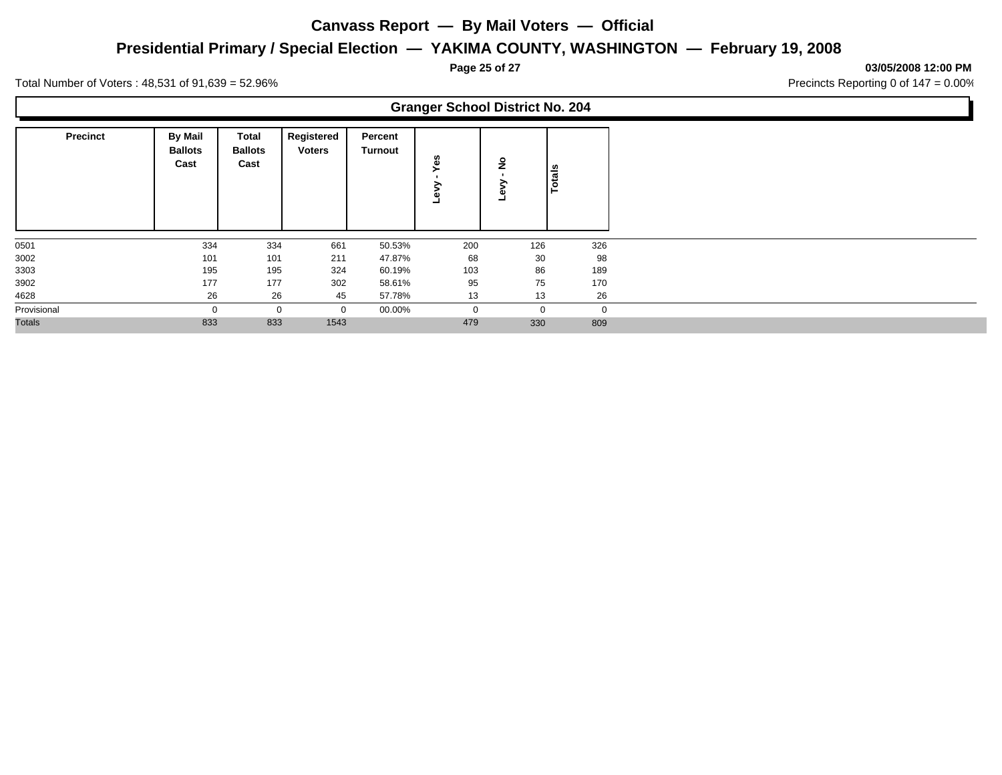## **Presidential Primary / Special Election — YAKIMA COUNTY, WASHINGTON — February 19, 2008**

**Page 25 of 27 03/05/2008 12:00 PM**

Ъ

Total Number of Voters : 48,531 of 91,639 = 52.96% Precincts Reporting 0 of 147 = 0.00%

Г

|                 |                                          |                                 |                             |                           | <b>Granger School District No. 204</b> |                    |        |
|-----------------|------------------------------------------|---------------------------------|-----------------------------|---------------------------|----------------------------------------|--------------------|--------|
| <b>Precinct</b> | <b>By Mail</b><br><b>Ballots</b><br>Cast | Total<br><b>Ballots</b><br>Cast | Registered<br><b>Voters</b> | Percent<br><b>Turnout</b> | Yes                                    | $\frac{1}{2}$<br>ه | Totals |
| 0501            | 334                                      | 334                             | 661                         | 50.53%                    | 200                                    | 126                | 326    |
| 3002            | 101                                      | 101                             | 211                         | 47.87%                    | 68                                     | 30                 | 98     |
| 3303            | 195                                      | 195                             | 324                         | 60.19%                    | 103                                    | 86                 | 189    |
| 3902            | 177                                      | 177                             | 302                         | 58.61%                    | 95                                     | 75                 | 170    |
| 4628            | 26                                       | 26                              | 45                          | 57.78%                    | 13                                     | 13                 | 26     |
| Provisional     |                                          | 0                               | 0                           | 00.00%                    | 0                                      | $\mathbf 0$        | 0      |
| <b>Totals</b>   | 833                                      | 833                             | 1543                        |                           | 479                                    | 330                | 809    |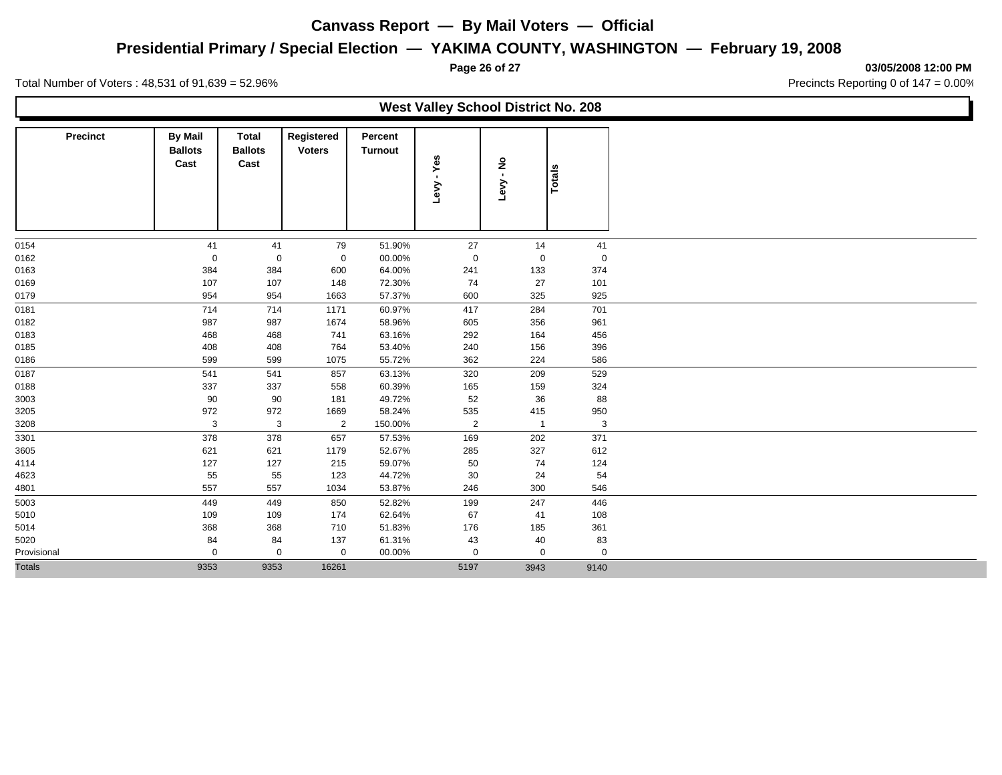## **Presidential Primary / Special Election — YAKIMA COUNTY, WASHINGTON — February 19, 2008**

**Page 26 of 27 03/05/2008 12:00 PM**

Total Number of Voters : 48,531 of 91,639 = 52.96% Precincts Reporting 0 of 147 = 0.00%

L

|                 |                                          |                                        |                             |                    | <b>West Valley School District No. 208</b> |                 |             |  |
|-----------------|------------------------------------------|----------------------------------------|-----------------------------|--------------------|--------------------------------------------|-----------------|-------------|--|
| <b>Precinct</b> | <b>By Mail</b><br><b>Ballots</b><br>Cast | <b>Total</b><br><b>Ballots</b><br>Cast | Registered<br><b>Voters</b> | Percent<br>Turnout | - Yes<br>Levy                              | ءِ<br>ڊ<br>Levy | Totals      |  |
| 0154            | 41                                       | 41                                     | 79                          | 51.90%             | 27                                         | 14              | 41          |  |
| 0162            | $\mathbf 0$                              | $\mathbf 0$                            | $\mathbf 0$                 | 00.00%             | $\mathbf 0$                                | $\mathbf 0$     | $\mathbf 0$ |  |
| 0163            | 384                                      | 384                                    | 600                         | 64.00%             | 241                                        | 133             | 374         |  |
| 0169            | 107                                      | 107                                    | 148                         | 72.30%             | 74                                         | 27              | 101         |  |
| 0179            | 954                                      | 954                                    | 1663                        | 57.37%             | 600                                        | 325             | 925         |  |
| 0181            | 714                                      | 714                                    | 1171                        | 60.97%             | 417                                        | 284             | 701         |  |
| 0182            | 987                                      | 987                                    | 1674                        | 58.96%             | 605                                        | 356             | 961         |  |
| 0183            | 468                                      | 468                                    | 741                         | 63.16%             | 292                                        | 164             | 456         |  |
| 0185            | 408                                      | 408                                    | 764                         | 53.40%             | 240                                        | 156             | 396         |  |
| 0186            | 599                                      | 599                                    | 1075                        | 55.72%             | 362                                        | 224             | 586         |  |
| 0187            | 541                                      | 541                                    | 857                         | 63.13%             | 320                                        | 209             | 529         |  |
| 0188            | 337                                      | 337                                    | 558                         | 60.39%             | 165                                        | 159             | 324         |  |
| 3003            | 90                                       | 90                                     | 181                         | 49.72%             | 52                                         | 36              | 88          |  |
| 3205            | 972                                      | 972                                    | 1669                        | 58.24%             | 535                                        | 415             | 950         |  |
| 3208            | 3                                        | 3                                      | $\overline{2}$              | 150.00%            | $\overline{2}$                             | $\overline{1}$  | 3           |  |
| 3301            | 378                                      | 378                                    | 657                         | 57.53%             | 169                                        | 202             | 371         |  |
| 3605            | 621                                      | 621                                    | 1179                        | 52.67%             | 285                                        | 327             | 612         |  |
| 4114            | 127                                      | 127                                    | 215                         | 59.07%             | 50                                         | 74              | 124         |  |
| 4623            | 55                                       | 55                                     | 123                         | 44.72%             | 30                                         | 24              | 54          |  |
| 4801            | 557                                      | 557                                    | 1034                        | 53.87%             | 246                                        | 300             | 546         |  |
| 5003            | 449                                      | 449                                    | 850                         | 52.82%             | 199                                        | 247             | 446         |  |
| 5010            | 109                                      | 109                                    | 174                         | 62.64%             | 67                                         | 41              | 108         |  |
| 5014            | 368                                      | 368                                    | 710                         | 51.83%             | 176                                        | 185             | 361         |  |
| 5020            | 84                                       | 84                                     | 137                         | 61.31%             | 43                                         | 40              | 83          |  |
| Provisional     | $\Omega$                                 | $\mathbf 0$                            | 0                           | 00.00%             | $\mathbf 0$                                | $\mathbf 0$     | $\mathbf 0$ |  |
| <b>Totals</b>   | 9353                                     | 9353                                   | 16261                       |                    | 5197                                       | 3943            | 9140        |  |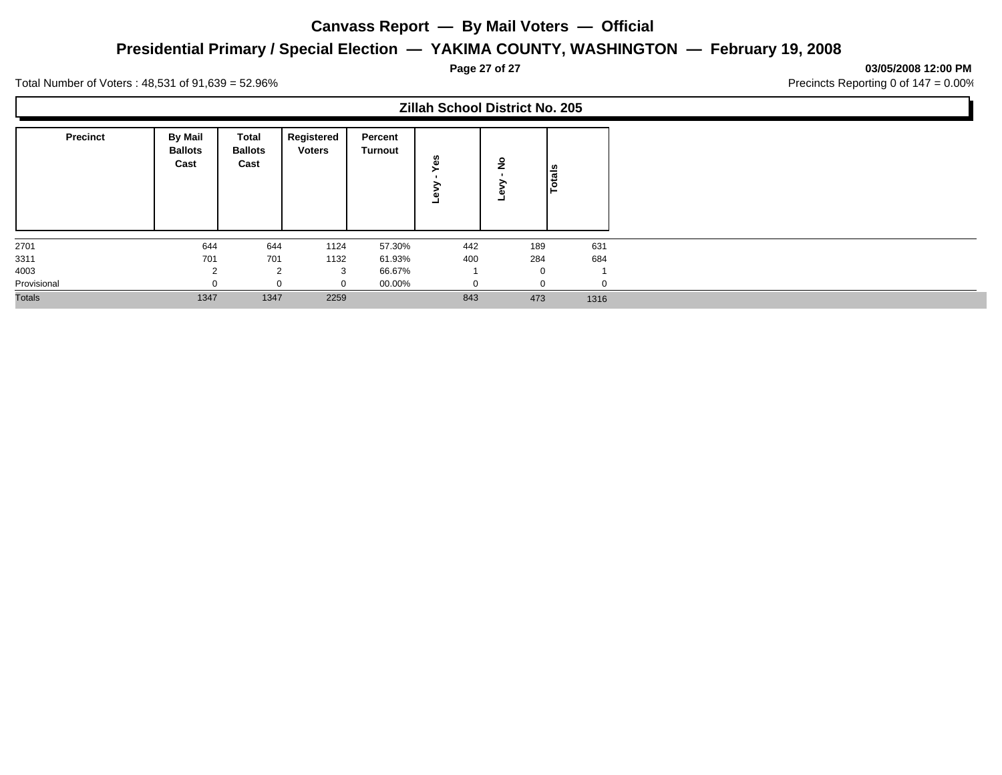## **Presidential Primary / Special Election — YAKIMA COUNTY, WASHINGTON — February 19, 2008**

**Page 27 of 27 03/05/2008 12:00 PM**

Ъ

Total Number of Voters : 48,531 of 91,639 = 52.96% Precincts Reporting 0 of 147 = 0.00%

Г

|                 |                                   |                                 |                             |                           | <b>Zillah School District No. 205</b> |          |        |
|-----------------|-----------------------------------|---------------------------------|-----------------------------|---------------------------|---------------------------------------|----------|--------|
| <b>Precinct</b> | By Mail<br><b>Ballots</b><br>Cast | Total<br><b>Ballots</b><br>Cast | Registered<br><b>Voters</b> | Percent<br><b>Turnout</b> | u.<br>ه<br>∼                          | ۽        | Totals |
| 2701            | 644                               | 644                             | 1124                        | 57.30%                    | 442                                   | 189      | 631    |
| 3311            | 701                               | 701                             | 1132                        | 61.93%                    | 400                                   | 284      | 684    |
| 4003            |                                   | $\overline{2}$                  | 3                           | 66.67%                    |                                       | $\Omega$ |        |
| Provisional     |                                   | $\Omega$                        | $\Omega$                    | 00.00%                    |                                       |          |        |
| <b>Totals</b>   | 1347                              | 1347                            | 2259                        |                           | 843                                   | 473      | 1316   |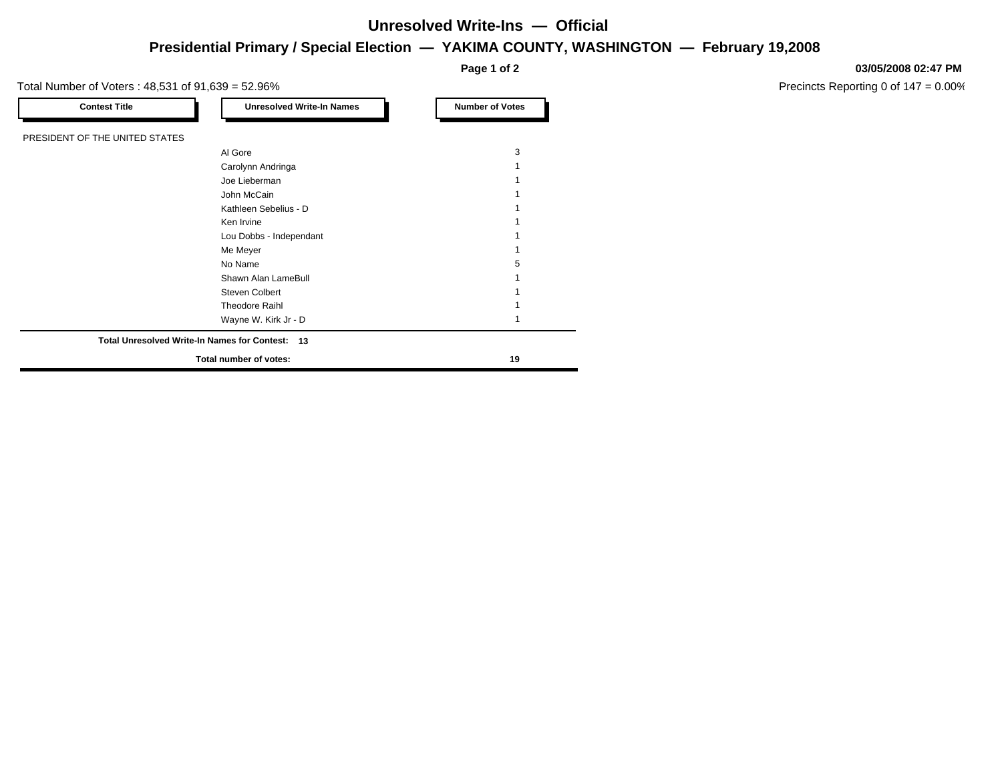# **Presidential Primary / Special Election — YAKIMA COUNTY, WASHINGTON — February 19,2008 Unresolved Write-Ins — Official**

| <b>Contest Title</b>           | <b>Unresolved Write-In Names</b>                | <b>Number of Votes</b> |
|--------------------------------|-------------------------------------------------|------------------------|
| PRESIDENT OF THE UNITED STATES |                                                 |                        |
|                                | Al Gore                                         | 3                      |
|                                | Carolynn Andringa                               |                        |
|                                | Joe Lieberman                                   |                        |
|                                | John McCain                                     |                        |
|                                | Kathleen Sebelius - D                           |                        |
|                                | Ken Irvine                                      |                        |
|                                | Lou Dobbs - Independant                         |                        |
|                                | Me Meyer                                        |                        |
|                                | No Name                                         | 5                      |
|                                | Shawn Alan LameBull                             |                        |
|                                | Steven Colbert                                  |                        |
|                                | Theodore Raihl                                  |                        |
|                                | Wayne W. Kirk Jr - D                            |                        |
|                                | Total Unresolved Write-In Names for Contest: 13 |                        |
|                                | Total number of votes:                          | 19                     |

#### **03/05/2008 02:47 PM**

Precincts Reporting 0 of 147 = 0.00%